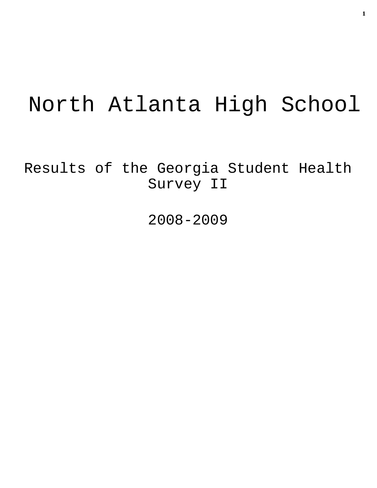# North Atlanta High School

Results of the Georgia Student Health Survey II

2008-2009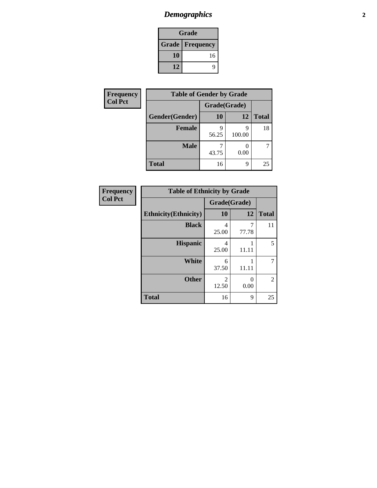# *Demographics* **2**

| Grade                    |    |  |  |  |
|--------------------------|----|--|--|--|
| <b>Grade   Frequency</b> |    |  |  |  |
| 10                       | 16 |  |  |  |
| 12                       |    |  |  |  |

| Frequency      | <b>Table of Gender by Grade</b> |              |             |              |  |
|----------------|---------------------------------|--------------|-------------|--------------|--|
| <b>Col Pct</b> |                                 | Grade(Grade) |             |              |  |
|                | Gender(Gender)                  | 10           | 12          | <b>Total</b> |  |
|                | <b>Female</b>                   | 56.25        | Q<br>100.00 | 18           |  |
|                | <b>Male</b>                     | 43.75        | 0.00        | 7            |  |
|                | <b>Total</b>                    | 16           | 9           | 25           |  |

| Frequency      |
|----------------|
| <b>Col Pct</b> |

| <b>Table of Ethnicity by Grade</b> |              |            |              |  |  |  |  |
|------------------------------------|--------------|------------|--------------|--|--|--|--|
|                                    | Grade(Grade) |            |              |  |  |  |  |
| <b>Ethnicity</b> (Ethnicity)       | 10           | 12         | <b>Total</b> |  |  |  |  |
| <b>Black</b>                       | 4<br>25.00   | 7<br>77.78 | 11           |  |  |  |  |
| <b>Hispanic</b>                    | 4<br>25.00   | 11.11      | 5            |  |  |  |  |
| White                              | 6<br>37.50   | 11.11      | 7            |  |  |  |  |
| <b>Other</b>                       | 2<br>12.50   | 0<br>0.00  | 2            |  |  |  |  |
| <b>Total</b>                       | 16           | 9          | 25           |  |  |  |  |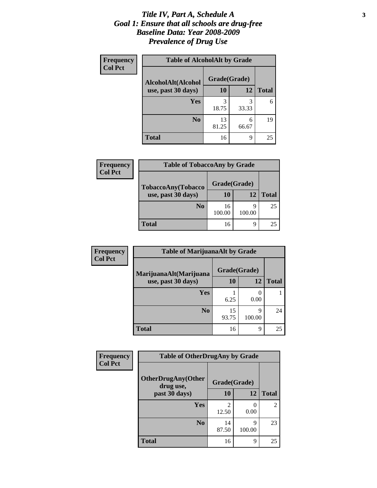### *Title IV, Part A, Schedule A* **3** *Goal 1: Ensure that all schools are drug-free Baseline Data: Year 2008-2009 Prevalence of Drug Use*

| Frequency      | <b>Table of AlcoholAlt by Grade</b> |              |            |              |  |  |
|----------------|-------------------------------------|--------------|------------|--------------|--|--|
| <b>Col Pct</b> | AlcoholAlt(Alcohol                  | Grade(Grade) |            |              |  |  |
|                | use, past 30 days)                  | 10           | 12         | <b>Total</b> |  |  |
|                | Yes                                 | 3<br>18.75   | 3<br>33.33 | 6            |  |  |
|                | N <sub>0</sub>                      | 13<br>81.25  | 6<br>66.67 | 19           |  |  |
|                | Total                               | 16           | 9          | 25           |  |  |

| <b>Frequency</b> | <b>Table of TobaccoAny by Grade</b> |              |             |              |  |
|------------------|-------------------------------------|--------------|-------------|--------------|--|
| <b>Col Pct</b>   | TobaccoAny(Tobacco                  | Grade(Grade) |             |              |  |
|                  | use, past 30 days)                  | 10           | 12          | <b>Total</b> |  |
|                  | N <sub>0</sub>                      | 16<br>100.00 | q<br>100.00 | 25           |  |
|                  | <b>Total</b>                        | 16           | q           | 25           |  |

| Frequency      | <b>Table of MarijuanaAlt by Grade</b> |              |             |              |  |
|----------------|---------------------------------------|--------------|-------------|--------------|--|
| <b>Col Pct</b> | MarijuanaAlt(Marijuana                | Grade(Grade) |             |              |  |
|                | use, past 30 days)                    | 10           | 12          | <b>Total</b> |  |
|                | <b>Yes</b>                            |              |             |              |  |
|                |                                       | 6.25         | 0.00        |              |  |
|                | N <sub>0</sub>                        | 15<br>93.75  | 9<br>100.00 | 24           |  |
|                | <b>Total</b>                          | 16           | 9           | 25           |  |

| <b>Frequency</b> | <b>Table of OtherDrugAny by Grade</b>  |              |             |              |  |
|------------------|----------------------------------------|--------------|-------------|--------------|--|
| <b>Col Pct</b>   | <b>OtherDrugAny(Other</b><br>drug use, | Grade(Grade) |             |              |  |
|                  | past 30 days)                          | <b>10</b>    | 12          | <b>Total</b> |  |
|                  | <b>Yes</b>                             | 12.50        | 0.00        | 2            |  |
|                  | N <sub>0</sub>                         | 14<br>87.50  | 9<br>100.00 | 23           |  |
|                  | <b>Total</b>                           | 16           | 9           | 25           |  |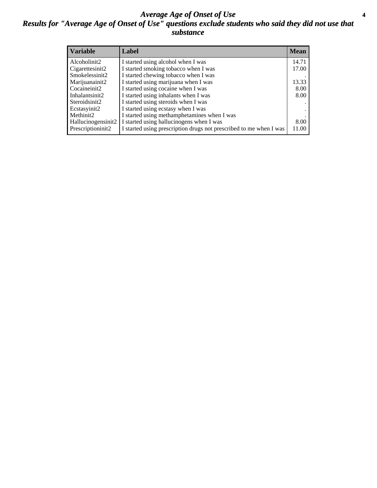### *Average Age of Onset of Use* **4** *Results for "Average Age of Onset of Use" questions exclude students who said they did not use that substance*

| <b>Variable</b>    | Label                                                              | <b>Mean</b> |
|--------------------|--------------------------------------------------------------------|-------------|
| Alcoholinit2       | I started using alcohol when I was                                 | 14.71       |
| Cigarettesinit2    | I started smoking tobacco when I was                               | 17.00       |
| Smokelessinit2     | I started chewing tobacco when I was                               |             |
| Marijuanainit2     | I started using marijuana when I was                               | 13.33       |
| Cocaineinit2       | I started using cocaine when I was                                 | 8.00        |
| Inhalantsinit2     | I started using inhalants when I was                               | 8.00        |
| Steroidsinit2      | I started using steroids when I was                                |             |
| Ecstasyinit2       | I started using ecstasy when I was                                 |             |
| Methinit2          | I started using methamphetamines when I was                        |             |
| Hallucinogensinit2 | I started using hallucinogens when I was                           | 8.00        |
| Prescriptioninit2  | I started using prescription drugs not prescribed to me when I was | 11.00       |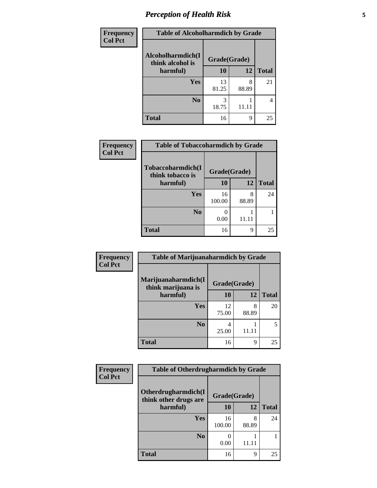# *Perception of Health Risk* **5**

| <b>Frequency</b> | <b>Table of Alcoholharmdich by Grade</b> |              |            |              |  |
|------------------|------------------------------------------|--------------|------------|--------------|--|
| <b>Col Pct</b>   | Alcoholharmdich(I<br>think alcohol is    | Grade(Grade) |            |              |  |
|                  | harmful)                                 | 10           | 12         | <b>Total</b> |  |
|                  | Yes                                      | 13<br>81.25  | 8<br>88.89 | 21           |  |
|                  | N <sub>0</sub>                           | 3<br>18.75   | 11.11      | 4            |  |
|                  | <b>Total</b>                             | 16           | 9          | 25           |  |

| Frequency      | <b>Table of Tobaccoharmdich by Grade</b> |              |            |              |  |
|----------------|------------------------------------------|--------------|------------|--------------|--|
| <b>Col Pct</b> | Tobaccoharmdich(I<br>think tobacco is    | Grade(Grade) |            |              |  |
|                | harmful)                                 | 10           | 12         | <b>Total</b> |  |
|                | <b>Yes</b>                               | 16<br>100.00 | 8<br>88.89 | 24           |  |
|                | N <sub>0</sub>                           | 0.00         | 11.11      |              |  |
|                | <b>Total</b>                             | 16           | 9          | 25           |  |

| Frequency      | <b>Table of Marijuanaharmdich by Grade</b> |              |            |              |  |
|----------------|--------------------------------------------|--------------|------------|--------------|--|
| <b>Col Pct</b> | Marijuanaharmdich(I<br>think marijuana is  | Grade(Grade) |            |              |  |
|                | harmful)                                   | 10           | 12         | <b>Total</b> |  |
|                | Yes                                        | 12<br>75.00  | 8<br>88.89 | 20           |  |
|                | N <sub>0</sub>                             | 4<br>25.00   |            | 5            |  |
|                | <b>Total</b>                               | 16           | 9          | 25           |  |

| Frequency      | <b>Table of Otherdrugharmdich by Grade</b>                   |              |            |              |  |
|----------------|--------------------------------------------------------------|--------------|------------|--------------|--|
| <b>Col Pct</b> | Otherdrugharmdich(I<br>Grade(Grade)<br>think other drugs are |              |            |              |  |
|                | harmful)                                                     | 10           | 12         | <b>Total</b> |  |
|                | Yes                                                          | 16<br>100.00 | 8<br>88.89 | 24           |  |
|                | N <sub>0</sub>                                               | 0.00         |            |              |  |
|                | <b>Total</b>                                                 | 16           | 9          | 25           |  |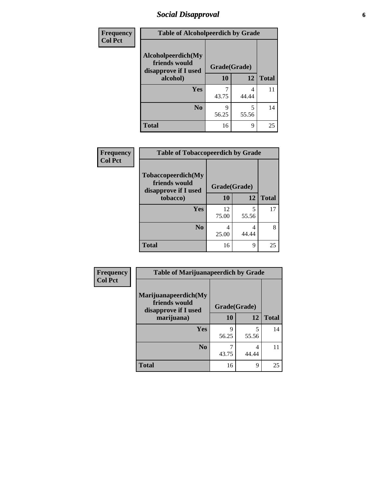### *Social Disapproval* **6**

| Frequency      | <b>Table of Alcoholpeerdich by Grade</b>                    |              |              |    |
|----------------|-------------------------------------------------------------|--------------|--------------|----|
| <b>Col Pct</b> | Alcoholpeerdich(My<br>friends would<br>disapprove if I used | Grade(Grade) |              |    |
|                | alcohol)                                                    | 10<br>12     | <b>Total</b> |    |
|                | <b>Yes</b>                                                  | 43.75        | 4<br>44.44   | 11 |
|                | N <sub>0</sub>                                              | Q<br>56.25   | 5<br>55.56   | 14 |
|                | <b>Total</b>                                                | 16           | 9            | 25 |

| <b>Frequency</b> |
|------------------|
| <b>Col Pct</b>   |

| <b>Table of Tobaccopeerdich by Grade</b>                    |             |              |              |  |  |  |
|-------------------------------------------------------------|-------------|--------------|--------------|--|--|--|
| Tobaccopeerdich(My<br>friends would<br>disapprove if I used |             | Grade(Grade) |              |  |  |  |
| tobacco)                                                    | 10          | 12           | <b>Total</b> |  |  |  |
| Yes                                                         | 12<br>75.00 | 5<br>55.56   | 17           |  |  |  |
| N <sub>0</sub>                                              | 4<br>25.00  | 4<br>44.44   | 8            |  |  |  |
| <b>Total</b>                                                | 16          | 9            | 25           |  |  |  |

| <b>Frequency</b> | <b>Table of Marijuanapeerdich by Grade</b>                    |              |            |              |  |  |
|------------------|---------------------------------------------------------------|--------------|------------|--------------|--|--|
| <b>Col Pct</b>   | Marijuanapeerdich(My<br>friends would<br>disapprove if I used | Grade(Grade) |            |              |  |  |
|                  | marijuana)                                                    |              | 12         | <b>Total</b> |  |  |
|                  | <b>Yes</b>                                                    | 9<br>56.25   | 5<br>55.56 | 14           |  |  |
|                  | N <sub>0</sub>                                                | 43.75        | 4<br>44.44 | 11           |  |  |
|                  | <b>Total</b>                                                  | 16           | 9          | 25           |  |  |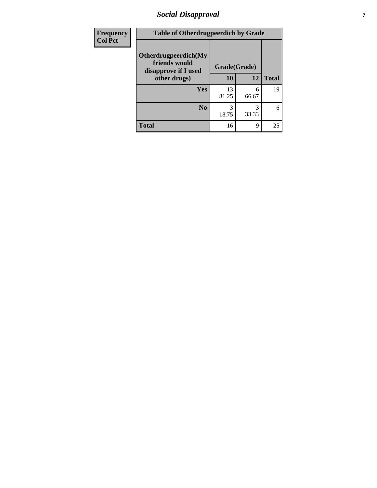### *Social Disapproval* **7**

| Frequency      | <b>Table of Otherdrugpeerdich by Grade</b>                    |              |            |              |  |  |
|----------------|---------------------------------------------------------------|--------------|------------|--------------|--|--|
| <b>Col Pct</b> | Otherdrugpeerdich(My<br>friends would<br>disapprove if I used | Grade(Grade) |            |              |  |  |
|                | other drugs)                                                  | 10           | 12         | <b>Total</b> |  |  |
|                | Yes                                                           | 13<br>81.25  | 6<br>66.67 | 19           |  |  |
|                | N <sub>0</sub>                                                | 3<br>18.75   | 33.33      | 6            |  |  |
|                | <b>Total</b>                                                  | 16           | 9          | 25           |  |  |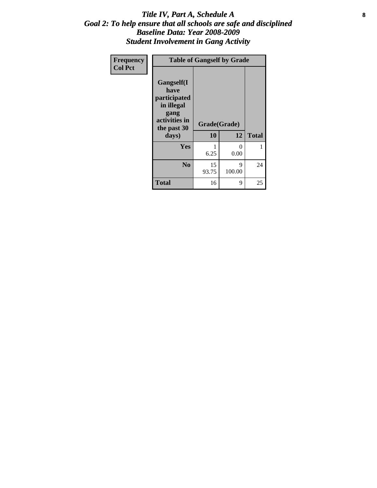### Title IV, Part A, Schedule A **8** *Goal 2: To help ensure that all schools are safe and disciplined Baseline Data: Year 2008-2009 Student Involvement in Gang Activity*

| Frequency      | <b>Table of Gangself by Grade</b>                                                                 |                    |                  |              |  |  |
|----------------|---------------------------------------------------------------------------------------------------|--------------------|------------------|--------------|--|--|
| <b>Col Pct</b> | Gangself(I<br>have<br>participated<br>in illegal<br>gang<br>activities in<br>the past 30<br>days) | Grade(Grade)<br>10 | 12               | <b>Total</b> |  |  |
|                | Yes                                                                                               | 1<br>6.25          | $\theta$<br>0.00 | 1            |  |  |
|                | N <sub>0</sub>                                                                                    | 15<br>93.75        | 9<br>100.00      | 24           |  |  |
|                | Total                                                                                             | 16                 | 9                | 25           |  |  |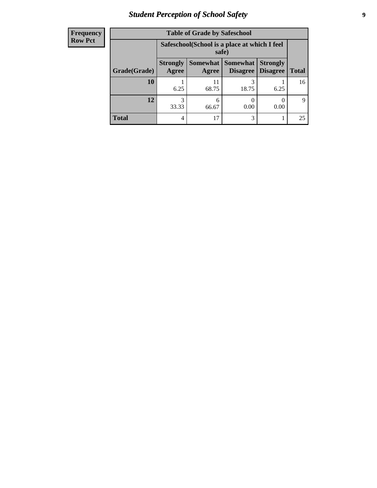# *Student Perception of School Safety* **9**

| <b>Frequency</b> |
|------------------|
| <b>Row Pct</b>   |

| <b>Table of Grade by Safeschool</b> |                                                                                                                            |                                                        |            |      |             |  |
|-------------------------------------|----------------------------------------------------------------------------------------------------------------------------|--------------------------------------------------------|------------|------|-------------|--|
|                                     |                                                                                                                            | Safeschool (School is a place at which I feel<br>safe) |            |      |             |  |
| Grade(Grade)                        | Somewhat   Somewhat<br><b>Strongly</b><br><b>Strongly</b><br><b>Disagree</b><br>Agree<br>Disagree<br><b>Total</b><br>Agree |                                                        |            |      |             |  |
| 10                                  | 6.25                                                                                                                       | 11<br>68.75                                            | 3<br>18.75 | 6.25 | 16          |  |
| 12                                  | 33.33                                                                                                                      | 6<br>66.67                                             | 0.00       | 0.00 | $\mathbf Q$ |  |
| <b>Total</b>                        | 4                                                                                                                          | 17                                                     | 3          |      | 25          |  |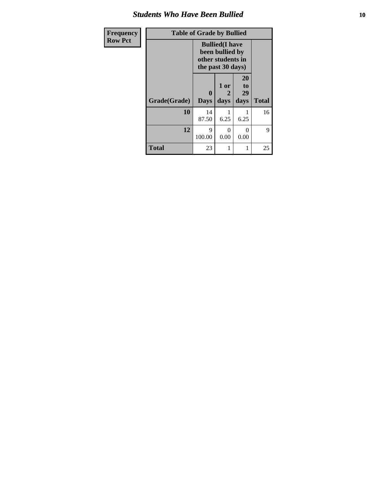### *Students Who Have Been Bullied* **10**

| Frequency      | <b>Table of Grade by Bullied</b> |                  |                                                                                     |                               |              |  |  |  |
|----------------|----------------------------------|------------------|-------------------------------------------------------------------------------------|-------------------------------|--------------|--|--|--|
| <b>Row Pct</b> |                                  |                  | <b>Bullied</b> (I have<br>been bullied by<br>other students in<br>the past 30 days) |                               |              |  |  |  |
|                | Grade(Grade)                     | 0<br><b>Days</b> | 1 or<br>2<br>days                                                                   | <b>20</b><br>to<br>29<br>days | <b>Total</b> |  |  |  |
|                | 10                               | 14<br>87.50      | 6.25                                                                                | 6.25                          | 16           |  |  |  |
|                | 12                               | 9<br>100.00      | 0<br>0.00                                                                           | $\Omega$<br>0.00              | 9            |  |  |  |
|                | <b>Total</b>                     | 23               | 1                                                                                   | 1                             | 25           |  |  |  |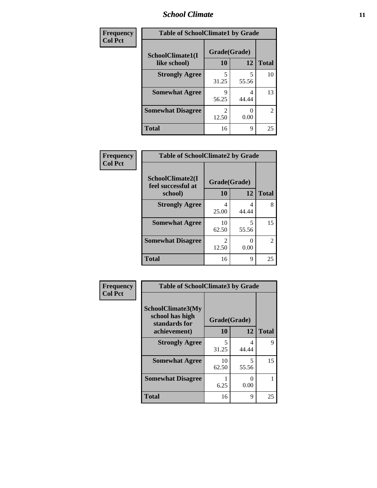### *School Climate* **11**

| Frequency      | <b>Table of SchoolClimate1 by Grade</b> |            |              |                |  |  |
|----------------|-----------------------------------------|------------|--------------|----------------|--|--|
| <b>Col Pct</b> | SchoolClimate1(I                        |            | Grade(Grade) |                |  |  |
|                | like school)                            | 10         | 12           | <b>Total</b>   |  |  |
|                | <b>Strongly Agree</b>                   | 5<br>31.25 | 55.56        | 10             |  |  |
|                | <b>Somewhat Agree</b>                   | q<br>56.25 | 4<br>44.44   | 13             |  |  |
|                | <b>Somewhat Disagree</b>                | 2<br>12.50 | 0.00         | $\overline{2}$ |  |  |
|                | <b>Total</b>                            | 16         | 9            | 25             |  |  |

| Frequency      | <b>Table of SchoolClimate2 by Grade</b> |                                      |                           |                |  |  |
|----------------|-----------------------------------------|--------------------------------------|---------------------------|----------------|--|--|
| <b>Col Pct</b> | SchoolClimate2(I<br>feel successful at  | Grade(Grade)<br>10                   |                           |                |  |  |
|                | school)                                 |                                      | 12                        | <b>Total</b>   |  |  |
|                | <b>Strongly Agree</b>                   | 4                                    | 4                         | 8              |  |  |
|                |                                         | 25.00                                | 44.44                     |                |  |  |
|                | <b>Somewhat Agree</b>                   | 10<br>62.50                          | 5<br>55.56                | 15             |  |  |
|                | <b>Somewhat Disagree</b>                | $\mathcal{D}_{\mathcal{L}}$<br>12.50 | $\mathbf{\Omega}$<br>0.00 | $\mathfrak{D}$ |  |  |
|                | <b>Total</b>                            | 16                                   | 9                         | 25             |  |  |

| Frequency      | <b>Table of SchoolClimate3 by Grade</b>               |              |              |    |
|----------------|-------------------------------------------------------|--------------|--------------|----|
| <b>Col Pct</b> | SchoolClimate3(My<br>school has high<br>standards for | Grade(Grade) |              |    |
| achievement)   | 10                                                    | 12           | <b>Total</b> |    |
|                | <b>Strongly Agree</b>                                 | 5<br>31.25   | 4<br>44.44   | 9  |
|                | <b>Somewhat Agree</b>                                 | 10<br>62.50  | 5<br>55.56   | 15 |
|                | <b>Somewhat Disagree</b>                              | 6.25         | 0<br>0.00    |    |
|                | <b>Total</b>                                          | 16           | 9            | 25 |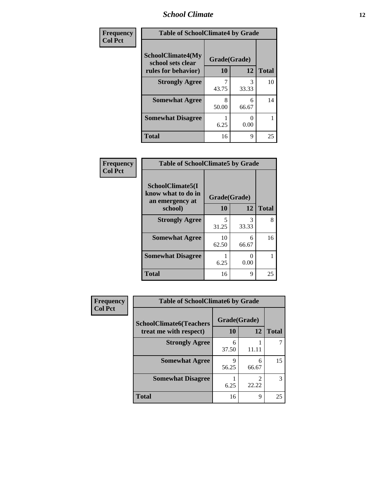### *School Climate* **12**

| Frequency<br><b>Col Pct</b> | <b>Table of SchoolClimate4 by Grade</b>       |              |            |                    |
|-----------------------------|-----------------------------------------------|--------------|------------|--------------------|
|                             | <b>SchoolClimate4(My</b><br>school sets clear | Grade(Grade) |            |                    |
|                             | rules for behavior)                           | 10           | 12         | <b>Total</b><br>10 |
|                             | <b>Strongly Agree</b>                         | 43.75        | 3<br>33.33 |                    |
|                             | <b>Somewhat Agree</b>                         | 8<br>50.00   | 6<br>66.67 | 14                 |
|                             | <b>Somewhat Disagree</b>                      | 6.25         | 0.00       |                    |
|                             | <b>Total</b>                                  | 16           | 9          | 25                 |

| Frequency      | <b>Table of SchoolClimate5 by Grade</b>                              |                           |                           |              |
|----------------|----------------------------------------------------------------------|---------------------------|---------------------------|--------------|
| <b>Col Pct</b> | SchoolClimate5(I<br>know what to do in<br>an emergency at<br>school) | Grade(Grade)<br><b>10</b> | <b>12</b>                 | <b>Total</b> |
|                |                                                                      |                           |                           |              |
|                | <b>Strongly Agree</b>                                                | 5<br>31.25                | 3<br>33.33                | 8            |
|                | <b>Somewhat Agree</b>                                                | 10<br>62.50               | 6<br>66.67                | 16           |
|                | <b>Somewhat Disagree</b>                                             | 6.25                      | $\mathbf{\Omega}$<br>0.00 |              |
|                | <b>Total</b>                                                         | 16                        | 9                         | 25           |

| Frequency      | <b>Table of SchoolClimate6 by Grade</b>                  |                           |             |              |
|----------------|----------------------------------------------------------|---------------------------|-------------|--------------|
| <b>Col Pct</b> | <b>SchoolClimate6(Teachers</b><br>treat me with respect) | Grade(Grade)<br><b>10</b> | 12          | <b>Total</b> |
|                | <b>Strongly Agree</b>                                    | 6<br>37.50                | 11.11       |              |
|                | <b>Somewhat Agree</b>                                    | 9<br>56.25                | 6<br>66.67  | 15           |
|                | <b>Somewhat Disagree</b>                                 | 6.25                      | 22.22       | 3            |
|                | <b>Total</b>                                             | 16                        | $\mathbf Q$ | 25           |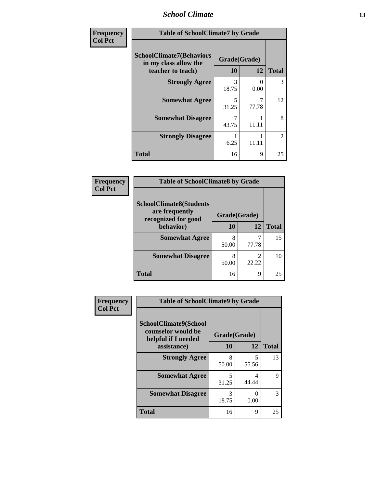### *School Climate* **13**

| Frequency      | <b>Table of SchoolClimate7 by Grade</b>                  |                           |                         |                |
|----------------|----------------------------------------------------------|---------------------------|-------------------------|----------------|
| <b>Col Pct</b> | <b>SchoolClimate7(Behaviors</b><br>in my class allow the | Grade(Grade)<br><b>10</b> | 12                      | <b>Total</b>   |
|                | teacher to teach)<br><b>Strongly Agree</b>               | 3<br>18.75                | 0<br>0.00               | 3              |
|                | <b>Somewhat Agree</b>                                    | 5<br>31.25                | $\overline{7}$<br>77.78 | 12             |
|                | <b>Somewhat Disagree</b>                                 | 7<br>43.75                | 11.11                   | 8              |
|                | <b>Strongly Disagree</b>                                 | 6.25                      | 11.11                   | $\mathfrak{D}$ |
|                | <b>Total</b>                                             | 16                        | $\mathbf Q$             | 25             |

| Frequency      | <b>Table of SchoolClimate8 by Grade</b>          |              |                         |              |  |
|----------------|--------------------------------------------------|--------------|-------------------------|--------------|--|
| <b>Col Pct</b> | <b>SchoolClimate8(Students</b><br>are frequently |              |                         |              |  |
|                | recognized for good                              | Grade(Grade) |                         |              |  |
|                | behavior)                                        | 10           | 12                      | <b>Total</b> |  |
|                | <b>Somewhat Agree</b>                            | 8<br>50.00   | 77.78                   | 15           |  |
|                | <b>Somewhat Disagree</b>                         | 8<br>50.00   | $\mathfrak{D}$<br>22.22 | 10           |  |
|                | <b>Total</b>                                     | 16           | 9                       | 25           |  |

| Frequency<br><b>Col Pct</b> | <b>Table of SchoolClimate9 by Grade</b>                                           |                    |            |              |
|-----------------------------|-----------------------------------------------------------------------------------|--------------------|------------|--------------|
|                             | SchoolClimate9(School<br>counselor would be<br>helpful if I needed<br>assistance) | Grade(Grade)<br>10 | 12         | <b>Total</b> |
|                             | <b>Strongly Agree</b>                                                             | 8<br>50.00         | 5<br>55.56 | 13           |
|                             | <b>Somewhat Agree</b>                                                             | 5<br>31.25         | 4<br>44.44 | 9            |
|                             | <b>Somewhat Disagree</b>                                                          | 3<br>18.75         | 0.00       | 3            |
|                             | <b>Total</b>                                                                      | 16                 | 9          | 25           |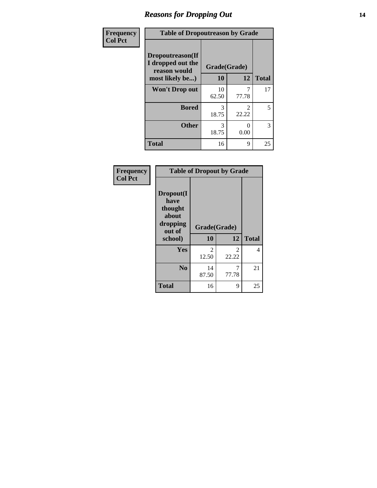### *Reasons for Dropping Out* **14**

| Frequency      | <b>Table of Dropoutreason by Grade</b>                |              |                                      |              |
|----------------|-------------------------------------------------------|--------------|--------------------------------------|--------------|
| <b>Col Pct</b> | Dropoutreason(If<br>I dropped out the<br>reason would | Grade(Grade) |                                      |              |
|                | most likely be)                                       | 10           | 12                                   | <b>Total</b> |
|                | <b>Won't Drop out</b>                                 | 10<br>62.50  | 77.78                                | 17           |
|                | <b>Bored</b>                                          | 3<br>18.75   | $\mathcal{D}_{\mathcal{L}}$<br>22.22 | 5            |
|                | <b>Other</b>                                          | 3<br>18.75   | 0.00                                 | 3            |
|                | <b>Total</b>                                          | 16           | 9                                    | 25           |

| Frequency<br><b>Col Pct</b> | <b>Table of Dropout by Grade</b>                            |                        |                         |              |  |
|-----------------------------|-------------------------------------------------------------|------------------------|-------------------------|--------------|--|
|                             | Dropout(I<br>have<br>thought<br>about<br>dropping<br>out of | Grade(Grade)           |                         |              |  |
|                             | school)                                                     | 10                     | 12                      | <b>Total</b> |  |
|                             | <b>Yes</b>                                                  | $\mathcal{L}$<br>12.50 | $\mathfrak{D}$<br>22.22 | 4            |  |
|                             | N <sub>0</sub>                                              | 14<br>87.50            | 7<br>77.78              | 21           |  |
|                             | <b>Total</b>                                                | 16                     | 9                       | 25           |  |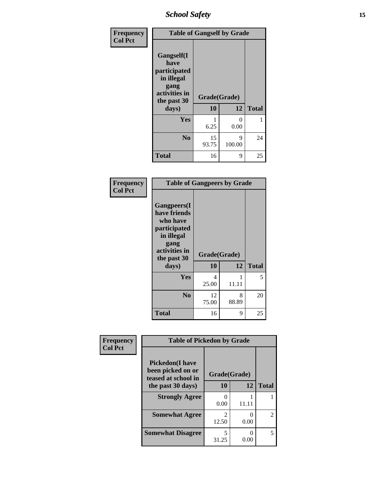*School Safety* **15**

| Frequency      | <b>Table of Gangself by Grade</b>                                                                 |                    |             |              |
|----------------|---------------------------------------------------------------------------------------------------|--------------------|-------------|--------------|
| <b>Col Pct</b> | Gangself(I<br>have<br>participated<br>in illegal<br>gang<br>activities in<br>the past 30<br>days) | Grade(Grade)<br>10 | 12          | <b>Total</b> |
|                | Yes                                                                                               | 6.25               | 0<br>0.00   | 1            |
|                | N <sub>0</sub>                                                                                    | 15<br>93.75        | 9<br>100.00 | 24           |
|                | <b>Total</b>                                                                                      | 16                 | 9           | 25           |

| Frequency<br><b>Col Pct</b> | <b>Table of Gangpeers by Grade</b>                                                                                             |                    |            |              |
|-----------------------------|--------------------------------------------------------------------------------------------------------------------------------|--------------------|------------|--------------|
|                             | <b>Gangpeers</b> (I<br>have friends<br>who have<br>participated<br>in illegal<br>gang<br>activities in<br>the past 30<br>days) | Grade(Grade)<br>10 | 12         | <b>Total</b> |
|                             | <b>Yes</b>                                                                                                                     | 4<br>25.00         | 11.11      | 5            |
|                             | N <sub>0</sub>                                                                                                                 | 12<br>75.00        | 8<br>88.89 | 20           |
|                             | <b>Total</b>                                                                                                                   | 16                 | 9          | 25           |

| Frequency      | <b>Table of Pickedon by Grade</b>                                  |                         |       |                |
|----------------|--------------------------------------------------------------------|-------------------------|-------|----------------|
| <b>Col Pct</b> | <b>Pickedon(I have</b><br>been picked on or<br>teased at school in | Grade(Grade)            |       |                |
|                | the past 30 days)                                                  | 10                      | 12    | <b>Total</b>   |
|                | <b>Strongly Agree</b>                                              | 0<br>0.00               | 11.11 |                |
|                | <b>Somewhat Agree</b>                                              | $\mathfrak{D}$<br>12.50 | 0.00  | $\mathfrak{D}$ |
|                | <b>Somewhat Disagree</b>                                           | 5<br>31.25              | 0.00  | 5              |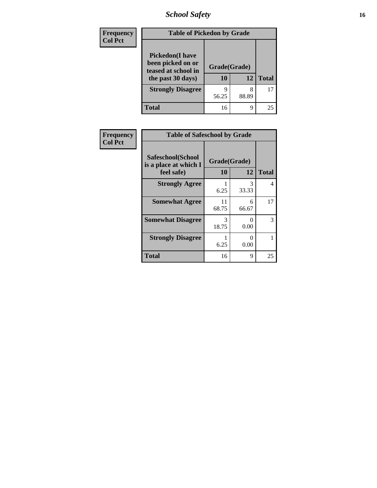*School Safety* **16**

| <b>Frequency</b> | <b>Table of Pickedon by Grade</b>                                                        |                          |            |              |  |
|------------------|------------------------------------------------------------------------------------------|--------------------------|------------|--------------|--|
| <b>Col Pct</b>   | <b>Pickedon</b> (I have<br>been picked on or<br>teased at school in<br>the past 30 days) | Grade(Grade)<br>10<br>12 |            | <b>Total</b> |  |
|                  | <b>Strongly Disagree</b>                                                                 | q<br>56.25               | 8<br>88.89 | 17           |  |
|                  | <b>Total</b>                                                                             | 16                       | 9          | 25           |  |

| Frequency      | <b>Table of Safeschool by Grade</b>                      |                    |                           |              |
|----------------|----------------------------------------------------------|--------------------|---------------------------|--------------|
| <b>Col Pct</b> | Safeschool(School<br>is a place at which I<br>feel safe) | Grade(Grade)<br>10 | 12                        | <b>Total</b> |
|                | <b>Strongly Agree</b>                                    | 6.25               | 3<br>33.33                | 4            |
|                | <b>Somewhat Agree</b>                                    | 11<br>68.75        | 6<br>66.67                | 17           |
|                | <b>Somewhat Disagree</b>                                 | 3<br>18.75         | $\mathbf{\Omega}$<br>0.00 | 3            |
|                | <b>Strongly Disagree</b>                                 | 6.25               | $\mathbf{\Omega}$<br>0.00 |              |
|                | <b>Total</b>                                             | 16                 | 9                         | 25           |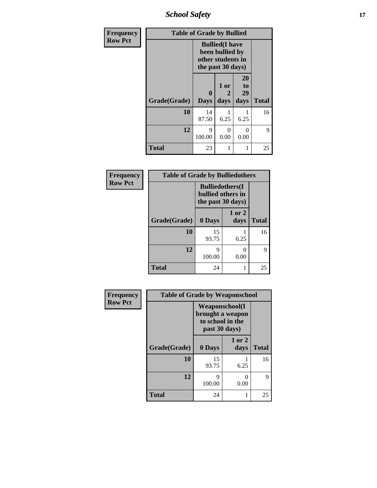*School Safety* **17**

| Frequency      | <b>Table of Grade by Bullied</b> |                                                                                     |                   |                        |              |
|----------------|----------------------------------|-------------------------------------------------------------------------------------|-------------------|------------------------|--------------|
| <b>Row Pct</b> |                                  | <b>Bullied</b> (I have<br>been bullied by<br>other students in<br>the past 30 days) |                   |                        |              |
|                | Grade(Grade)                     | $\bf{0}$<br><b>Days</b>                                                             | 1 or<br>2<br>days | 20<br>to<br>29<br>days | <b>Total</b> |
|                | 10                               | 14<br>87.50                                                                         | 6.25              | 6.25                   | 16           |
|                | 12                               | 9<br>100.00                                                                         | $\Omega$<br>0.00  | 0<br>0.00              | 9            |
|                | <b>Total</b>                     | 23                                                                                  | 1                 |                        | 25           |

| Frequency      | <b>Table of Grade by Bulliedothers</b> |             |                                                                   |              |
|----------------|----------------------------------------|-------------|-------------------------------------------------------------------|--------------|
| <b>Row Pct</b> |                                        |             | <b>Bulliedothers</b> (I<br>bullied others in<br>the past 30 days) |              |
|                | Grade(Grade)                           | 0 Days      | 1 or 2<br>days                                                    | <b>Total</b> |
|                | 10                                     | 15<br>93.75 | 6.25                                                              | 16           |
|                | 12                                     | 9<br>100.00 | 0.00                                                              | 9            |
|                | <b>Total</b>                           | 24          |                                                                   | 25           |

| Frequency      |              | <b>Table of Grade by Weaponschool</b>                                   |                |              |  |
|----------------|--------------|-------------------------------------------------------------------------|----------------|--------------|--|
| <b>Row Pct</b> |              | Weaponschool(I<br>brought a weapon<br>to school in the<br>past 30 days) |                |              |  |
|                | Grade(Grade) | 0 Days                                                                  | 1 or 2<br>days | <b>Total</b> |  |
|                | 10           | 15<br>93.75                                                             | 6.25           | 16           |  |
|                | 12           | 9<br>100.00                                                             | ∩<br>0.00      | 9            |  |
|                | <b>Total</b> | 24                                                                      |                | 25           |  |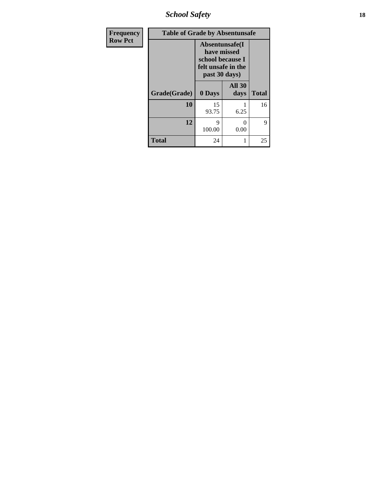*School Safety* **18**

| <b>Frequency</b> | <b>Table of Grade by Absentunsafe</b> |                                                                                           |                       |              |  |
|------------------|---------------------------------------|-------------------------------------------------------------------------------------------|-----------------------|--------------|--|
| <b>Row Pct</b>   |                                       | Absentunsafe(I)<br>have missed<br>school because I<br>felt unsafe in the<br>past 30 days) |                       |              |  |
|                  | Grade(Grade)                          | 0 Days                                                                                    | <b>All 30</b><br>days | <b>Total</b> |  |
|                  | 10                                    | 15<br>93.75                                                                               | 6.25                  | 16           |  |
|                  | 12                                    | 9<br>100.00                                                                               | 0<br>0.00             | 9            |  |
|                  | <b>Total</b>                          | 24                                                                                        | 1                     | 25           |  |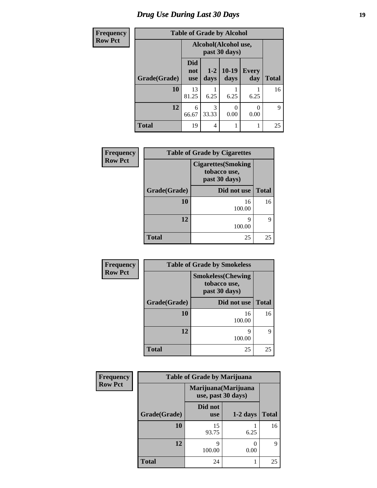# *Drug Use During Last 30 Days* **19**

| <b>Frequency</b> | <b>Table of Grade by Alcohol</b> |                                       |               |                 |                     |              |
|------------------|----------------------------------|---------------------------------------|---------------|-----------------|---------------------|--------------|
| <b>Row Pct</b>   |                                  | Alcohol(Alcohol use,<br>past 30 days) |               |                 |                     |              |
|                  | Grade(Grade)                     | <b>Did</b><br>not<br><b>use</b>       | $1-2$<br>days | $10-19$<br>days | <b>Every</b><br>day | <b>Total</b> |
|                  | 10                               | 13<br>81.25                           | 6.25          | 6.25            | 6.25                | 16           |
|                  | 12                               | 6<br>66.67                            | 3<br>33.33    | 0.00            | 0<br>0.00           | 9            |
|                  | <b>Total</b>                     | 19                                    | 4             |                 | 1                   | 25           |

| <b>Frequency</b> | <b>Table of Grade by Cigarettes</b> |                                                            |              |
|------------------|-------------------------------------|------------------------------------------------------------|--------------|
| <b>Row Pct</b>   |                                     | <b>Cigarettes(Smoking</b><br>tobacco use,<br>past 30 days) |              |
|                  | Grade(Grade)                        | Did not use                                                | <b>Total</b> |
|                  | 10                                  | 16<br>100.00                                               | 16           |
|                  | 12                                  | Q<br>100.00                                                | Q            |
|                  | <b>Total</b>                        | 25                                                         | 25           |

| Frequency      |              | <b>Table of Grade by Smokeless</b>                        |              |  |  |
|----------------|--------------|-----------------------------------------------------------|--------------|--|--|
| <b>Row Pct</b> |              | <b>Smokeless(Chewing</b><br>tobacco use,<br>past 30 days) |              |  |  |
|                | Grade(Grade) | Did not use                                               | <b>Total</b> |  |  |
|                | 10           | 16<br>100.00                                              | 16           |  |  |
|                | 12           | q<br>100.00                                               | 9            |  |  |
|                | <b>Total</b> | 25                                                        | 25           |  |  |

| Frequency      |              | <b>Table of Grade by Marijuana</b>         |            |              |  |
|----------------|--------------|--------------------------------------------|------------|--------------|--|
| <b>Row Pct</b> |              | Marijuana (Marijuana<br>use, past 30 days) |            |              |  |
|                | Grade(Grade) | Did not<br><b>use</b>                      | $1-2$ days | <b>Total</b> |  |
|                | 10           | 15<br>93.75                                | 6.25       | 16           |  |
|                | 12           | Q<br>100.00                                | 0.00       | 9            |  |
|                | <b>Total</b> | 24                                         |            | 25           |  |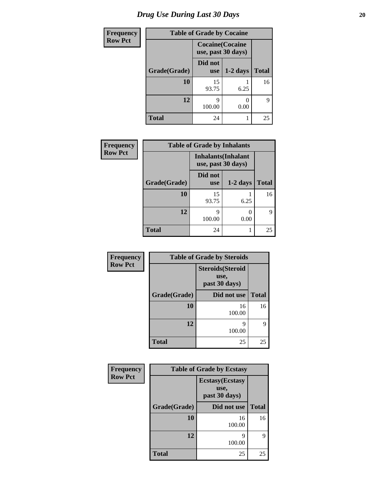# *Drug Use During Last 30 Days* 20

| <b>Frequency</b> | <b>Table of Grade by Cocaine</b> |                                               |            |              |
|------------------|----------------------------------|-----------------------------------------------|------------|--------------|
| <b>Row Pct</b>   |                                  | <b>Cocaine</b> (Cocaine<br>use, past 30 days) |            |              |
|                  | Grade(Grade)                     | Did not<br><b>use</b>                         | $1-2$ days | <b>Total</b> |
|                  | 10                               | 15<br>93.75                                   | 6.25       | 16           |
|                  | 12                               | Q<br>100.00                                   | 0<br>0.00  | 9            |
|                  | <b>Total</b>                     | 24                                            |            | 25           |

| Frequency      | <b>Table of Grade by Inhalants</b> |                                                  |            |              |
|----------------|------------------------------------|--------------------------------------------------|------------|--------------|
| <b>Row Pct</b> |                                    | <b>Inhalants</b> (Inhalant<br>use, past 30 days) |            |              |
|                | Grade(Grade)                       | Did not<br><b>use</b>                            | $1-2$ days | <b>Total</b> |
|                | 10                                 | 15<br>93.75                                      | 6.25       | 16           |
|                | 12                                 | 9<br>100.00                                      | 0<br>0.00  | q            |
|                | <b>Total</b>                       | 24                                               |            | 25           |

| Frequency      | <b>Table of Grade by Steroids</b><br><b>Steroids</b> (Steroid<br>use,<br>past 30 days) |              |              |  |
|----------------|----------------------------------------------------------------------------------------|--------------|--------------|--|
| <b>Row Pct</b> |                                                                                        |              |              |  |
|                | Grade(Grade)                                                                           | Did not use  | <b>Total</b> |  |
|                | 10                                                                                     | 16<br>100.00 | 16           |  |
|                | 12                                                                                     | 9<br>100.00  | 9            |  |
|                | <b>Total</b>                                                                           | 25           | 25           |  |

| <b>Frequency</b> | <b>Table of Grade by Ecstasy</b> |                                                  |              |
|------------------|----------------------------------|--------------------------------------------------|--------------|
| <b>Row Pct</b>   |                                  | <b>Ecstasy</b> (Ecstasy<br>use,<br>past 30 days) |              |
|                  | Grade(Grade)                     | Did not use                                      | <b>Total</b> |
|                  | 10                               | 16<br>100.00                                     | 16           |
|                  | 12                               | 9<br>100.00                                      | 9            |
|                  | <b>Total</b>                     | 25                                               | 25           |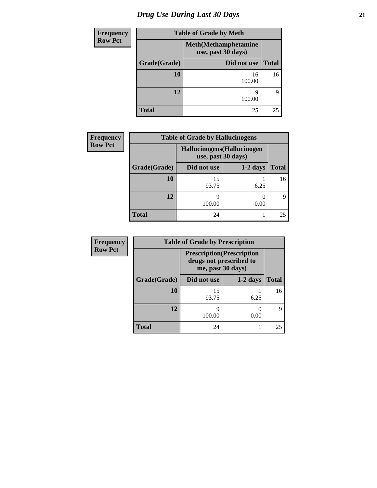# *Drug Use During Last 30 Days* **21**

| <b>Frequency</b> | <b>Table of Grade by Meth</b> |                                                    |              |
|------------------|-------------------------------|----------------------------------------------------|--------------|
| <b>Row Pct</b>   |                               | <b>Meth</b> (Methamphetamine<br>use, past 30 days) |              |
|                  | Grade(Grade)                  | Did not use                                        | <b>Total</b> |
|                  | 10                            | 16<br>100.00                                       | 16           |
|                  | 12                            | q<br>100.00                                        | 9            |
|                  | <b>Total</b>                  | 25                                                 | 25           |

| <b>Frequency</b> | <b>Table of Grade by Hallucinogens</b> |                                                   |            |       |
|------------------|----------------------------------------|---------------------------------------------------|------------|-------|
| <b>Row Pct</b>   |                                        | Hallucinogens (Hallucinogen<br>use, past 30 days) |            |       |
|                  | Grade(Grade)                           | Did not use                                       | $1-2$ days | Total |
|                  | 10                                     | 15<br>93.75                                       | 6.25       | 16    |
|                  | 12                                     | 9<br>100.00                                       | 0.00       | 9     |
|                  | <b>Total</b>                           | 24                                                |            | 25    |

| <b>Frequency</b> | <b>Table of Grade by Prescription</b> |                                                                                   |            |              |
|------------------|---------------------------------------|-----------------------------------------------------------------------------------|------------|--------------|
| <b>Row Pct</b>   |                                       | <b>Prescription</b> (Prescription<br>drugs not prescribed to<br>me, past 30 days) |            |              |
|                  | Grade(Grade)                          | Did not use                                                                       | $1-2$ days | <b>Total</b> |
|                  | 10                                    | 15<br>93.75                                                                       | 6.25       | 16           |
|                  | 12                                    | q<br>100.00                                                                       | 0.00       | Q            |
|                  | <b>Total</b>                          | 24                                                                                |            | 25           |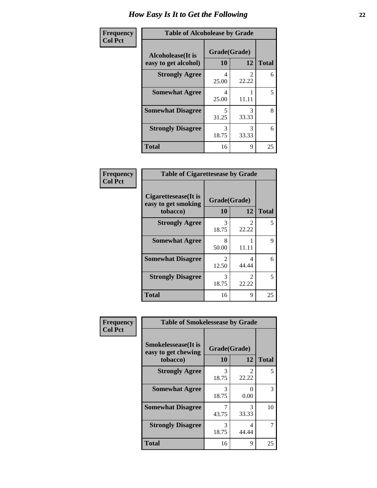| Frequency      | <b>Table of Alcoholease by Grade</b>              |                    |            |              |
|----------------|---------------------------------------------------|--------------------|------------|--------------|
| <b>Col Pct</b> | <b>Alcoholease</b> (It is<br>easy to get alcohol) | Grade(Grade)<br>10 | 12         | <b>Total</b> |
|                | <b>Strongly Agree</b>                             | 4<br>25.00         | 22.22      | 6            |
|                | <b>Somewhat Agree</b>                             | 4<br>25.00         | 11.11      | 5            |
|                | <b>Somewhat Disagree</b>                          | 5<br>31.25         | 3<br>33.33 | 8            |
|                | <b>Strongly Disagree</b>                          | 3<br>18.75         | 3<br>33.33 | 6            |
|                | <b>Total</b>                                      | 16                 | 9          | 25           |

| Frequency      | <b>Table of Cigarettesease by Grade</b>                  |                         |                                |              |
|----------------|----------------------------------------------------------|-------------------------|--------------------------------|--------------|
| <b>Col Pct</b> | Cigarettesease (It is<br>easy to get smoking<br>tobacco) | Grade(Grade)<br>10      | 12                             | <b>Total</b> |
|                | <b>Strongly Agree</b>                                    | 3<br>18.75              | 2<br>22.22                     | 5            |
|                | <b>Somewhat Agree</b>                                    | 8<br>50.00              | 11.11                          | 9            |
|                | <b>Somewhat Disagree</b>                                 | $\mathfrak{D}$<br>12.50 | 4<br>44.44                     | 6            |
|                | <b>Strongly Disagree</b>                                 | 3<br>18.75              | $\mathcal{D}_{\cdot}$<br>22.22 | 5            |
|                | <b>Total</b>                                             | 16                      | 9                              | 25           |

| Frequency      | <b>Table of Smokelessease by Grade</b>                         |                    |            |              |
|----------------|----------------------------------------------------------------|--------------------|------------|--------------|
| <b>Col Pct</b> | <b>Smokelessease</b> (It is<br>easy to get chewing<br>tobacco) | Grade(Grade)<br>10 | 12         | <b>Total</b> |
|                | <b>Strongly Agree</b>                                          | 3<br>18.75         | 2<br>22.22 | 5            |
|                | <b>Somewhat Agree</b>                                          | 3<br>18.75         | 0<br>0.00  | 3            |
|                | <b>Somewhat Disagree</b>                                       | 43.75              | 3<br>33.33 | 10           |
|                | <b>Strongly Disagree</b>                                       | 3<br>18.75         | 4<br>44.44 |              |
|                | <b>Total</b>                                                   | 16                 | 9          | 25           |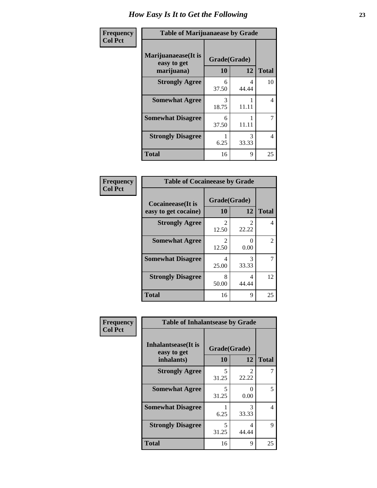| Frequency      | <b>Table of Marijuanaease by Grade</b>           |                    |            |              |
|----------------|--------------------------------------------------|--------------------|------------|--------------|
| <b>Col Pct</b> | Marijuanaease(It is<br>easy to get<br>marijuana) | Grade(Grade)<br>10 | 12         | <b>Total</b> |
|                | <b>Strongly Agree</b>                            | 6<br>37.50         | 4<br>44.44 | 10           |
|                | <b>Somewhat Agree</b>                            | 3<br>18.75         | 11.11      | 4            |
|                | <b>Somewhat Disagree</b>                         | 6<br>37.50         | 11.11      | 7            |
|                | <b>Strongly Disagree</b>                         | 6.25               | 3<br>33.33 | 4            |
|                | <b>Total</b>                                     | 16                 | 9          | 25           |

#### **Frequency Col Pct**

| <b>Table of Cocaineease by Grade</b>              |                    |                         |                |  |
|---------------------------------------------------|--------------------|-------------------------|----------------|--|
| <b>Cocaineease</b> (It is<br>easy to get cocaine) | Grade(Grade)<br>10 | 12                      | <b>Total</b>   |  |
| <b>Strongly Agree</b>                             | 2<br>12.50         | $\mathfrak{D}$<br>22.22 | 4              |  |
| <b>Somewhat Agree</b>                             | 2<br>12.50         | 0<br>0.00               | $\mathfrak{D}$ |  |
| <b>Somewhat Disagree</b>                          | 4<br>25.00         | 3<br>33.33              | 7              |  |
| <b>Strongly Disagree</b>                          | 8<br>50.00         | 4<br>44.44              | 12             |  |
| <b>Total</b>                                      | 16                 | 9                       | 25             |  |

| Frequency      | <b>Table of Inhalantsease by Grade</b>                   |                                   |                         |              |
|----------------|----------------------------------------------------------|-----------------------------------|-------------------------|--------------|
| <b>Col Pct</b> | <b>Inhalantsease</b> (It is<br>easy to get<br>inhalants) | Grade(Grade)<br>10                | 12                      | <b>Total</b> |
|                | <b>Strongly Agree</b>                                    | $\overline{\mathcal{L}}$<br>31.25 | $\mathfrak{D}$<br>22.22 |              |
|                | <b>Somewhat Agree</b>                                    | $\overline{\mathcal{L}}$<br>31.25 | 0<br>0.00               | 5            |
|                | <b>Somewhat Disagree</b>                                 | 6.25                              | 3<br>33.33              | 4            |
|                | <b>Strongly Disagree</b>                                 | 5<br>31.25                        | 4<br>44.44              | 9            |
|                | <b>Total</b>                                             | 16                                | 9                       | 25           |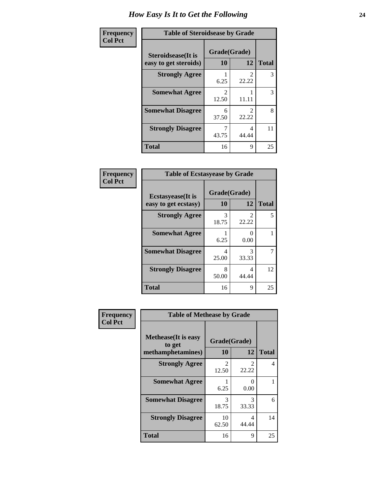| Frequency      | <b>Table of Steroidsease by Grade</b>               |                         |                         |              |
|----------------|-----------------------------------------------------|-------------------------|-------------------------|--------------|
| <b>Col Pct</b> | <b>Steroidsease</b> (It is<br>easy to get steroids) | Grade(Grade)<br>10      | 12                      | <b>Total</b> |
|                | <b>Strongly Agree</b>                               | 6.25                    | 22.22                   | 3            |
|                | <b>Somewhat Agree</b>                               | $\mathfrak{D}$<br>12.50 | 11.11                   | 3            |
|                | <b>Somewhat Disagree</b>                            | 6<br>37.50              | $\mathfrak{D}$<br>22.22 | 8            |
|                | <b>Strongly Disagree</b>                            | 43.75                   | 4<br>44.44              | 11           |
|                | <b>Total</b>                                        | 16                      | 9                       | 25           |

| Frequency      | <b>Table of Ecstasyease by Grade</b>              |                    |                           |              |  |
|----------------|---------------------------------------------------|--------------------|---------------------------|--------------|--|
| <b>Col Pct</b> | <b>Ecstasyease</b> (It is<br>easy to get ecstasy) | Grade(Grade)<br>10 | 12                        | <b>Total</b> |  |
|                | <b>Strongly Agree</b>                             | 3<br>18.75         | 2<br>22.22                | 5            |  |
|                | <b>Somewhat Agree</b>                             | 6.25               | $\mathbf{\Omega}$<br>0.00 |              |  |
|                | <b>Somewhat Disagree</b>                          | 4<br>25.00         | 3<br>33.33                | 7            |  |
|                | <b>Strongly Disagree</b>                          | 8<br>50.00         | 4<br>44.44                | 12           |  |
|                | <b>Total</b>                                      | 16                 | 9                         | 25           |  |

| Frequency      | <b>Table of Methease by Grade</b>                          |                         |            |              |
|----------------|------------------------------------------------------------|-------------------------|------------|--------------|
| <b>Col Pct</b> | <b>Methease</b> (It is easy<br>to get<br>methamphetamines) | Grade(Grade)<br>10      | 12         | <b>Total</b> |
|                | <b>Strongly Agree</b>                                      | $\mathfrak{D}$<br>12.50 | 2<br>22.22 | 4            |
|                | <b>Somewhat Agree</b>                                      | 6.25                    | 0<br>0.00  |              |
|                | <b>Somewhat Disagree</b>                                   | 3<br>18.75              | 3<br>33.33 | 6            |
|                | <b>Strongly Disagree</b>                                   | 10<br>62.50             | 4<br>44.44 | 14           |
|                | <b>Total</b>                                               | 16                      | 9          | 25           |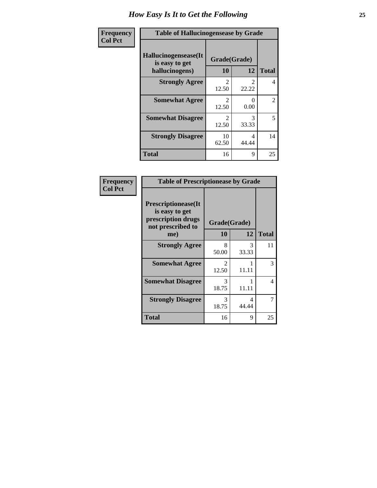| Frequency      | <b>Table of Hallucinogensease by Grade</b>               |                         |            |                |  |
|----------------|----------------------------------------------------------|-------------------------|------------|----------------|--|
| <b>Col Pct</b> | Hallucinogensease(It<br>is easy to get<br>hallucinogens) | Grade(Grade)<br>10      | 12         | <b>Total</b>   |  |
|                | <b>Strongly Agree</b>                                    | $\mathfrak{D}$<br>12.50 | 22.22      | 4              |  |
|                | <b>Somewhat Agree</b>                                    | $\mathfrak{D}$<br>12.50 | 0<br>0.00  | $\overline{2}$ |  |
|                | <b>Somewhat Disagree</b>                                 | $\mathcal{L}$<br>12.50  | 3<br>33.33 | 5              |  |
|                | <b>Strongly Disagree</b>                                 | 10<br>62.50             | 4<br>44.44 | 14             |  |
|                | <b>Total</b>                                             | 16                      | 9          | 25             |  |

| Frequency<br>Col Pct |
|----------------------|
|                      |

| <b>Table of Prescriptionease by Grade</b>                                                |                                |                        |              |  |  |
|------------------------------------------------------------------------------------------|--------------------------------|------------------------|--------------|--|--|
| <b>Prescriptionease</b> (It<br>is easy to get<br>prescription drugs<br>not prescribed to |                                | Grade(Grade)           |              |  |  |
| me)                                                                                      | 10                             | 12                     | <b>Total</b> |  |  |
| <b>Strongly Agree</b>                                                                    | 8<br>50.00                     | $\mathcal{R}$<br>33.33 | 11           |  |  |
| <b>Somewhat Agree</b>                                                                    | $\mathcal{D}_{\cdot}$<br>12.50 | 11.11                  | 3            |  |  |
| <b>Somewhat Disagree</b>                                                                 | 3<br>18.75                     | 11.11                  | 4            |  |  |
| <b>Strongly Disagree</b>                                                                 | 3<br>18.75                     | Δ<br>44.44             |              |  |  |
| <b>Total</b>                                                                             | 16                             | 9                      | 25           |  |  |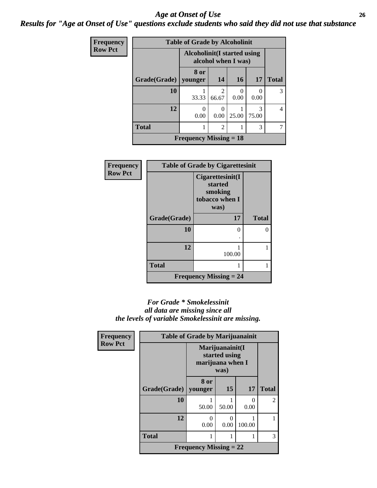### *Age at Onset of Use* **26** *Results for "Age at Onset of Use" questions exclude students who said they did not use that substance*

| Frequency      | <b>Table of Grade by Alcoholinit</b> |                                                            |                         |           |            |                |
|----------------|--------------------------------------|------------------------------------------------------------|-------------------------|-----------|------------|----------------|
| <b>Row Pct</b> |                                      | <b>Alcoholinit</b> (I started using<br>alcohol when I was) |                         |           |            |                |
|                | Grade(Grade)                         | 8 or<br>younger                                            | 14                      | <b>16</b> | <b>17</b>  | <b>Total</b>   |
|                | 10                                   | 33.33                                                      | $\overline{2}$<br>66.67 | 0.00      | 0<br>0.00  | 3              |
|                | 12                                   | $\Omega$<br>0.00                                           | $\mathbf{0}$<br>0.00    | 25.00     | 3<br>75.00 | $\overline{4}$ |
|                | <b>Total</b>                         |                                                            | $\overline{2}$          |           | 3          |                |
|                |                                      | <b>Frequency Missing = 18</b>                              |                         |           |            |                |

| Frequency      | <b>Table of Grade by Cigarettesinit</b> |                                                                  |               |  |
|----------------|-----------------------------------------|------------------------------------------------------------------|---------------|--|
| <b>Row Pct</b> |                                         | Cigarettesinit(I<br>started<br>smoking<br>tobacco when I<br>was) |               |  |
|                | Grade(Grade)                            | 17                                                               | <b>Total</b>  |  |
|                | 10                                      | O                                                                | $\mathcal{O}$ |  |
|                | 12                                      | 100.00                                                           |               |  |
|                | <b>Total</b>                            |                                                                  |               |  |
|                |                                         | <b>Frequency Missing = 24</b>                                    |               |  |

### *For Grade \* Smokelessinit all data are missing since all the levels of variable Smokelessinit are missing.*

| <b>Frequency</b> | <b>Table of Grade by Marijuanainit</b> |                                                              |           |           |                |
|------------------|----------------------------------------|--------------------------------------------------------------|-----------|-----------|----------------|
| <b>Row Pct</b>   |                                        | Marijuanainit(I<br>started using<br>marijuana when I<br>was) |           |           |                |
|                  | Grade(Grade)   younger                 | 8 or                                                         | 15        | 17        | <b>Total</b>   |
|                  | 10                                     | 50.00                                                        | 50.00     | 0<br>0.00 | $\overline{2}$ |
|                  | 12                                     | $\theta$<br>0.00                                             | 0<br>0.00 | 100.00    |                |
|                  | <b>Total</b>                           |                                                              |           |           | 3              |
|                  |                                        | <b>Frequency Missing = 22</b>                                |           |           |                |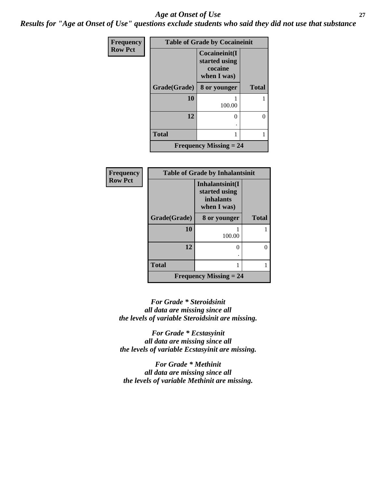### *Age at Onset of Use* **27**

*Results for "Age at Onset of Use" questions exclude students who said they did not use that substance*

| Frequency      | <b>Table of Grade by Cocaineinit</b> |                                                          |              |  |  |
|----------------|--------------------------------------|----------------------------------------------------------|--------------|--|--|
| <b>Row Pct</b> |                                      | Cocaineinit(I<br>started using<br>cocaine<br>when I was) |              |  |  |
|                | Grade(Grade)                         | 8 or younger                                             | <b>Total</b> |  |  |
|                | 10                                   | 100.00                                                   |              |  |  |
|                | 12                                   | 0                                                        | $\Omega$     |  |  |
|                | <b>Total</b>                         |                                                          |              |  |  |
|                |                                      | <b>Frequency Missing = 24</b>                            |              |  |  |

| <b>Frequency</b> |              | <b>Table of Grade by Inhalantsinit</b>                       |              |
|------------------|--------------|--------------------------------------------------------------|--------------|
| <b>Row Pct</b>   |              | Inhalantsinit(I<br>started using<br>inhalants<br>when I was) |              |
|                  | Grade(Grade) | 8 or younger                                                 | <b>Total</b> |
|                  | 10           | 100.00                                                       |              |
|                  | 12           | 0                                                            | O            |
|                  | <b>Total</b> |                                                              |              |
|                  |              | <b>Frequency Missing <math>= 24</math></b>                   |              |

*For Grade \* Steroidsinit all data are missing since all the levels of variable Steroidsinit are missing.*

*For Grade \* Ecstasyinit all data are missing since all the levels of variable Ecstasyinit are missing.*

*For Grade \* Methinit all data are missing since all the levels of variable Methinit are missing.*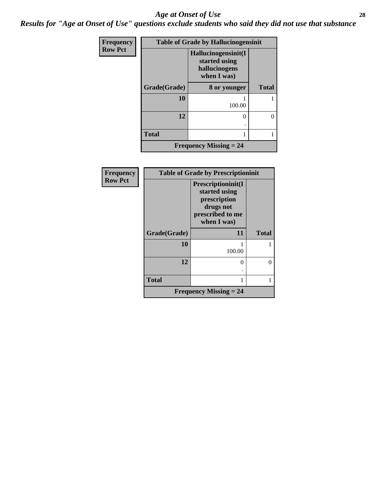#### *Age at Onset of Use* **28**

*Results for "Age at Onset of Use" questions exclude students who said they did not use that substance*

| <b>Frequency</b> | <b>Table of Grade by Hallucinogensinit</b> |                                                                      |              |  |
|------------------|--------------------------------------------|----------------------------------------------------------------------|--------------|--|
| <b>Row Pct</b>   |                                            | Hallucinogensinit(I<br>started using<br>hallucinogens<br>when I was) |              |  |
|                  | Grade(Grade)                               | 8 or younger                                                         | <b>Total</b> |  |
|                  | 10                                         | 100.00                                                               |              |  |
|                  | 12                                         | ∩                                                                    | 0            |  |
|                  | <b>Total</b>                               |                                                                      |              |  |
|                  |                                            | <b>Frequency Missing = 24</b>                                        |              |  |

| <b>Frequency</b> | <b>Table of Grade by Prescriptioninit</b> |                                                                                                     |              |
|------------------|-------------------------------------------|-----------------------------------------------------------------------------------------------------|--------------|
| <b>Row Pct</b>   |                                           | Prescriptioninit(I<br>started using<br>prescription<br>drugs not<br>prescribed to me<br>when I was) |              |
|                  | Grade(Grade)                              | 11                                                                                                  | <b>Total</b> |
|                  | 10                                        | 100.00                                                                                              |              |
|                  | 12                                        | 0                                                                                                   | $\Omega$     |
|                  |                                           |                                                                                                     |              |
|                  | <b>Total</b>                              | 1                                                                                                   |              |
|                  |                                           | Frequency Missing $= 24$                                                                            |              |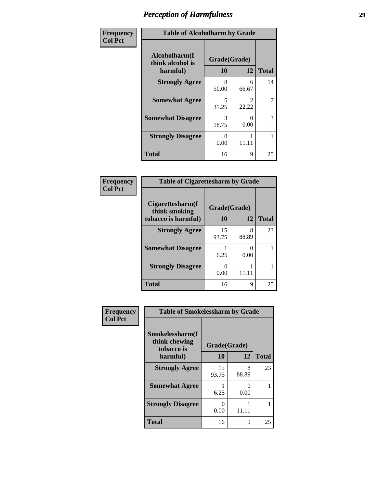| Frequency      | <b>Table of Alcoholharm by Grade</b>          |                    |                           |              |
|----------------|-----------------------------------------------|--------------------|---------------------------|--------------|
| <b>Col Pct</b> | Alcoholharm(I<br>think alcohol is<br>harmful) | Grade(Grade)<br>10 | 12                        | <b>Total</b> |
|                | <b>Strongly Agree</b>                         | 8<br>50.00         | 6<br>66.67                | 14           |
|                | <b>Somewhat Agree</b>                         | 5<br>31.25         | $\mathfrak{D}$<br>22.22   | 7            |
|                | <b>Somewhat Disagree</b>                      | 3<br>18.75         | $\mathbf{\Omega}$<br>0.00 | 3            |
|                | <b>Strongly Disagree</b>                      | 0<br>0.00          | 11.11                     |              |
|                | <b>Total</b>                                  | 16                 | 9                         | 25           |

#### **Frequency Col Pct**

| <b>Table of Cigarettesharm by Grade</b> |              |            |              |  |
|-----------------------------------------|--------------|------------|--------------|--|
| Cigarettesharm(I<br>think smoking       | Grade(Grade) |            |              |  |
| tobacco is harmful)                     | 10           | 12         | <b>Total</b> |  |
| <b>Strongly Agree</b>                   | 15<br>93.75  | 8<br>88.89 | 23           |  |
| <b>Somewhat Disagree</b>                | 6.25         | 0.00       |              |  |
| <b>Strongly Disagree</b>                | 0<br>0.00    | 11.11      |              |  |
| <b>Total</b>                            | 16           | Q          | 25           |  |

| Frequency<br><b>Col Pct</b> | <b>Table of Smokelessharm by Grade</b>         |              |            |              |
|-----------------------------|------------------------------------------------|--------------|------------|--------------|
|                             | Smokelessharm(I<br>think chewing<br>tobacco is | Grade(Grade) |            |              |
|                             | harmful)                                       | 10           | 12         | <b>Total</b> |
|                             | <b>Strongly Agree</b>                          | 15<br>93.75  | 8<br>88.89 | 23           |
|                             | <b>Somewhat Agree</b>                          | 6.25         | 0.00       | 1            |
|                             | <b>Strongly Disagree</b>                       | 0.00         | 11.11      | 1            |
|                             | Total                                          | 16           | 9          | 25           |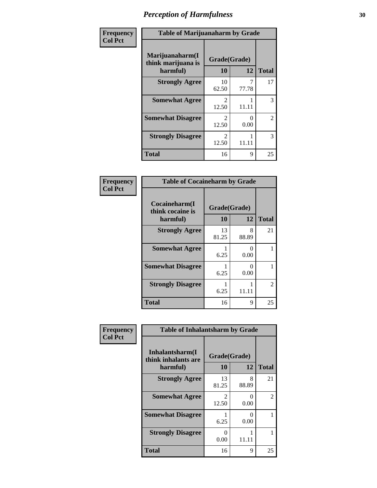| Frequency      | <b>Table of Marijuanaharm by Grade</b>            |                         |           |                |
|----------------|---------------------------------------------------|-------------------------|-----------|----------------|
| <b>Col Pct</b> | Marijuanaharm(I<br>think marijuana is<br>harmful) | Grade(Grade)<br>10      | 12        | <b>Total</b>   |
|                | <b>Strongly Agree</b>                             | 10<br>62.50             | 77.78     | 17             |
|                | <b>Somewhat Agree</b>                             | 2<br>12.50              | 11.11     | 3              |
|                | <b>Somewhat Disagree</b>                          | $\mathfrak{D}$<br>12.50 | ∩<br>0.00 | $\overline{2}$ |
|                | <b>Strongly Disagree</b>                          | 2<br>12.50              | 11.11     | 3              |
|                | <b>Total</b>                                      | 16                      | 9         | 25             |

#### **Frequency Col Pct**

| <b>Table of Cocaineharm by Grade</b>          |             |                           |    |  |  |
|-----------------------------------------------|-------------|---------------------------|----|--|--|
| Cocaineharm(I<br>think cocaine is<br>harmful) | 10          | Grade(Grade)<br>12        |    |  |  |
| <b>Strongly Agree</b>                         | 13<br>81.25 | 8<br>88.89                | 21 |  |  |
| <b>Somewhat Agree</b>                         | 6.25        | $\mathbf{\Omega}$<br>0.00 |    |  |  |
| <b>Somewhat Disagree</b>                      | 6.25        | $\mathbf{\Omega}$<br>0.00 |    |  |  |
| <b>Strongly Disagree</b>                      | 6.25        | 11.11                     | 2  |  |  |
| <b>Total</b>                                  | 16          | 9                         | 25 |  |  |

| Frequency      | <b>Table of Inhalantsharm by Grade</b>             |                        |            |              |
|----------------|----------------------------------------------------|------------------------|------------|--------------|
| <b>Col Pct</b> | Inhalantsharm(I<br>think inhalants are<br>harmful) | Grade(Grade)<br>10     | 12         | <b>Total</b> |
|                | <b>Strongly Agree</b>                              | 13<br>81.25            | 8<br>88.89 | 21           |
|                | <b>Somewhat Agree</b>                              | $\mathcal{L}$<br>12.50 | 0<br>0.00  | 2            |
|                | <b>Somewhat Disagree</b>                           | 6.25                   | 0<br>0.00  |              |
|                | <b>Strongly Disagree</b>                           | 0<br>0.00              | 11.11      |              |
|                | <b>Total</b>                                       | 16                     | 9          | 25           |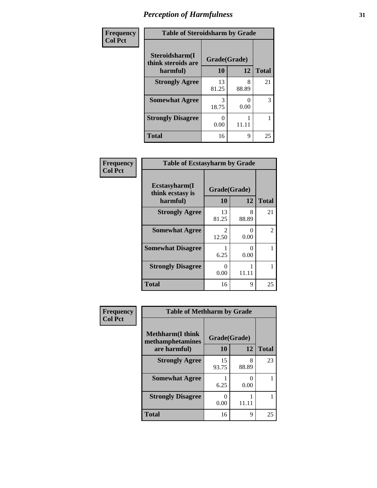| Frequency      | <b>Table of Steroidsharm by Grade</b> |              |            |              |
|----------------|---------------------------------------|--------------|------------|--------------|
| <b>Col Pct</b> | Steroidsharm(I<br>think steroids are  | Grade(Grade) |            |              |
|                | harmful)                              | 10           | 12         | <b>Total</b> |
|                | <b>Strongly Agree</b>                 | 13<br>81.25  | 8<br>88.89 | 21           |
|                | <b>Somewhat Agree</b>                 | 3<br>18.75   | 0.00       | 3            |
|                | <b>Strongly Disagree</b>              | 0.00         | 11.11      |              |
|                | <b>Total</b>                          | 16           | 9          | 25           |

| Frequency      | <b>Table of Ecstasyharm by Grade</b>          |                         |                           |                |
|----------------|-----------------------------------------------|-------------------------|---------------------------|----------------|
| <b>Col Pct</b> | Ecstasyharm(I<br>think ecstasy is<br>harmful) | Grade(Grade)<br>10      | 12                        | <b>Total</b>   |
|                | <b>Strongly Agree</b>                         | 13<br>81.25             | 8<br>88.89                | 21             |
|                | <b>Somewhat Agree</b>                         | $\mathfrak{D}$<br>12.50 | $\mathbf{\Omega}$<br>0.00 | $\mathfrak{D}$ |
|                | <b>Somewhat Disagree</b>                      | 6.25                    | $\mathbf{\Omega}$<br>0.00 |                |
|                | <b>Strongly Disagree</b>                      | $\Omega$<br>0.00        | 11.11                     |                |
|                | <b>Total</b>                                  | 16                      | 9                         | 25             |

| Frequency      | <b>Table of Methharm by Grade</b>                            |                    |                           |              |
|----------------|--------------------------------------------------------------|--------------------|---------------------------|--------------|
| <b>Col Pct</b> | <b>Methharm</b> (I think<br>methamphetamines<br>are harmful) | Grade(Grade)<br>10 | 12                        | <b>Total</b> |
|                | <b>Strongly Agree</b>                                        | 15<br>93.75        | 8<br>88.89                | 23           |
|                | <b>Somewhat Agree</b>                                        | 6.25               | $\mathbf{\Omega}$<br>0.00 |              |
|                | <b>Strongly Disagree</b>                                     | 0.00               | 11.11                     |              |
|                | <b>Total</b>                                                 | 16                 | 9                         | 25           |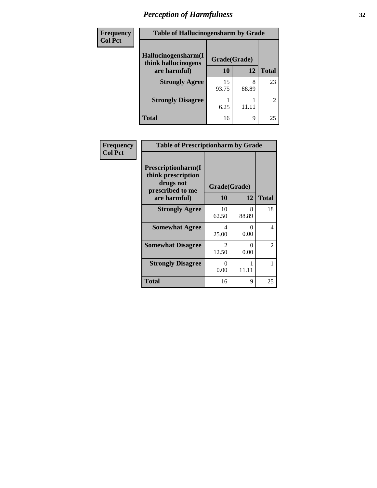| Frequency      | <b>Table of Hallucinogensharm by Grade</b> |              |            |              |
|----------------|--------------------------------------------|--------------|------------|--------------|
| <b>Col Pct</b> | Hallucinogensharm(I<br>think hallucinogens | Grade(Grade) |            |              |
|                | are harmful)                               | 10           | 12         | <b>Total</b> |
|                | <b>Strongly Agree</b>                      | 15<br>93.75  | 8<br>88.89 | 23           |
|                | <b>Strongly Disagree</b>                   | 6.25         | 11.11      | 2            |
|                | Total                                      | 16           | 9          | 25           |

| Frequency      | <b>Table of Prescriptionharm by Grade</b>                                 |                                      |            |              |
|----------------|---------------------------------------------------------------------------|--------------------------------------|------------|--------------|
| <b>Col Pct</b> | Prescriptionharm(I<br>think prescription<br>drugs not<br>prescribed to me | Grade(Grade)                         |            |              |
|                | are harmful)                                                              | <b>10</b>                            | 12         | <b>Total</b> |
|                | <b>Strongly Agree</b>                                                     | 10<br>62.50                          | 8<br>88.89 | 18           |
|                | <b>Somewhat Agree</b>                                                     | 4<br>25.00                           | 0<br>0.00  | 4            |
|                | <b>Somewhat Disagree</b>                                                  | $\mathcal{D}_{\mathcal{L}}$<br>12.50 | 0<br>0.00  | 2            |
|                | <b>Strongly Disagree</b>                                                  | 0<br>0.00                            | 11.11      |              |
|                | Total                                                                     | 16                                   | 9          | 25           |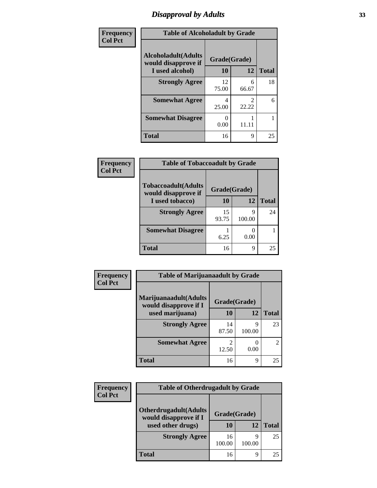### *Disapproval by Adults* **33**

| Frequency      | <b>Table of Alcoholadult by Grade</b>              |              |                         |              |
|----------------|----------------------------------------------------|--------------|-------------------------|--------------|
| <b>Col Pct</b> | <b>Alcoholadult</b> (Adults<br>would disapprove if | Grade(Grade) |                         |              |
|                | I used alcohol)                                    | 10           | 12                      | <b>Total</b> |
|                | <b>Strongly Agree</b>                              | 12<br>75.00  | 6<br>66.67              | 18           |
|                | <b>Somewhat Agree</b>                              | 4<br>25.00   | $\mathfrak{D}$<br>22.22 | 6            |
|                | <b>Somewhat Disagree</b>                           | 0.00         |                         |              |
|                | <b>Total</b>                                       | 16           | 9                       | 25           |

| Frequency      | <b>Table of Tobaccoadult by Grade</b>             |              |             |              |
|----------------|---------------------------------------------------|--------------|-------------|--------------|
| <b>Col Pct</b> | <b>Tobaccoadult(Adults</b><br>would disapprove if | Grade(Grade) |             |              |
|                | I used tobacco)                                   | 10           | 12          | <b>Total</b> |
|                | <b>Strongly Agree</b>                             | 15<br>93.75  | Q<br>100.00 | 24           |
|                | <b>Somewhat Disagree</b>                          | 6.25         | 0.00        |              |
|                | <b>Total</b>                                      | 16           | 9           | 25           |

| <b>Frequency</b> | <b>Table of Marijuanaadult by Grade</b>        |              |             |                             |
|------------------|------------------------------------------------|--------------|-------------|-----------------------------|
| <b>Col Pct</b>   | Marijuanaadult(Adults<br>would disapprove if I | Grade(Grade) |             |                             |
|                  | used marijuana)                                | 10           | 12          | <b>Total</b>                |
|                  | <b>Strongly Agree</b>                          | 14<br>87.50  | 9<br>100.00 | 23                          |
|                  | <b>Somewhat Agree</b>                          | 2<br>12.50   | 0<br>0.00   | $\mathcal{D}_{\mathcal{L}}$ |
|                  | Total                                          | 16           | 9           | 25                          |

| <b>Frequency</b> | <b>Table of Otherdrugadult by Grade</b>                |              |             |              |
|------------------|--------------------------------------------------------|--------------|-------------|--------------|
| <b>Col Pct</b>   | <b>Otherdrugadult</b> (Adults<br>would disapprove if I | Grade(Grade) |             |              |
|                  | used other drugs)                                      | 10           | 12          | <b>Total</b> |
|                  | <b>Strongly Agree</b>                                  | 16<br>100.00 | q<br>100.00 | 25           |
|                  | Total                                                  | 16           | q           | 25           |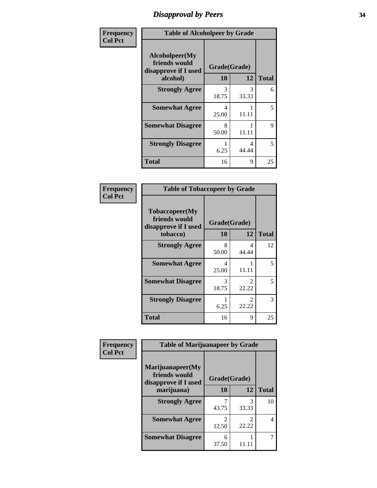# *Disapproval by Peers* **34**

| Frequency      | <b>Table of Alcoholpeer by Grade</b>                    |              |            |              |
|----------------|---------------------------------------------------------|--------------|------------|--------------|
| <b>Col Pct</b> | Alcoholpeer(My<br>friends would<br>disapprove if I used | Grade(Grade) |            |              |
|                | alcohol)                                                | 10           | 12         | <b>Total</b> |
|                | <b>Strongly Agree</b>                                   | 3<br>18.75   | 3<br>33.33 | 6            |
|                | <b>Somewhat Agree</b>                                   | 4<br>25.00   | 11.11      | 5            |
|                | <b>Somewhat Disagree</b>                                | 8<br>50.00   | 11.11      | 9            |
|                | <b>Strongly Disagree</b>                                | 6.25         | 4<br>44.44 | 5            |
|                | Total                                                   | 16           | 9          | 25           |

| Frequency      | <b>Table of Tobaccopeer by Grade</b>                                |                                   |                                      |              |
|----------------|---------------------------------------------------------------------|-----------------------------------|--------------------------------------|--------------|
| <b>Col Pct</b> | Tobaccopeer(My<br>friends would<br>disapprove if I used<br>tobacco) | Grade(Grade)<br><b>10</b>         | 12                                   | <b>Total</b> |
|                | <b>Strongly Agree</b>                                               | 8<br>50.00                        | 4<br>44.44                           | 12           |
|                | <b>Somewhat Agree</b>                                               | $\overline{\mathcal{A}}$<br>25.00 | 11.11                                | 5            |
|                | <b>Somewhat Disagree</b>                                            | 3<br>18.75                        | $\mathcal{D}_{\mathcal{L}}$<br>22.22 | 5            |
|                | <b>Strongly Disagree</b>                                            | 6.25                              | 2<br>22.22                           | 3            |
|                | <b>Total</b>                                                        | 16                                | 9                                    | 25           |

| Frequency      | <b>Table of Marijuanapeer by Grade</b>                    |                                      |            |              |
|----------------|-----------------------------------------------------------|--------------------------------------|------------|--------------|
| <b>Col Pct</b> | Marijuanapeer(My<br>friends would<br>disapprove if I used | Grade(Grade)                         |            |              |
|                | marijuana)                                                | 10                                   | 12         | <b>Total</b> |
|                | <b>Strongly Agree</b>                                     | 43.75                                | 3<br>33.33 | 10           |
|                | <b>Somewhat Agree</b>                                     | $\mathcal{D}_{\mathcal{A}}$<br>12.50 | 2<br>22.22 | 4            |
|                | <b>Somewhat Disagree</b>                                  | 6<br>37.50                           |            |              |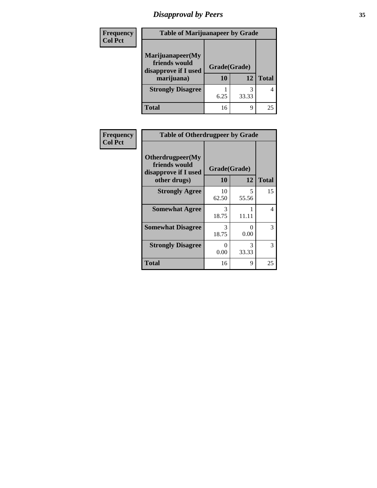# *Disapproval by Peers* **35**

| Frequency      | <b>Table of Marijuanapeer by Grade</b>                                  |                    |       |              |
|----------------|-------------------------------------------------------------------------|--------------------|-------|--------------|
| <b>Col Pct</b> | Marijuanapeer(My<br>friends would<br>disapprove if I used<br>marijuana) | Grade(Grade)<br>10 | 12    | <b>Total</b> |
|                | <b>Strongly Disagree</b>                                                | 6.25               | 33.33 | 4            |
|                | Total                                                                   | 16                 | 9     | 25           |

| <b>Frequency</b> |                                                           | <b>Table of Otherdrugpeer by Grade</b> |            |              |
|------------------|-----------------------------------------------------------|----------------------------------------|------------|--------------|
| <b>Col Pct</b>   | Otherdrugpeer(My<br>friends would<br>disapprove if I used | Grade(Grade)                           |            |              |
|                  | other drugs)                                              | <b>10</b>                              | 12         | <b>Total</b> |
|                  | <b>Strongly Agree</b>                                     | 10<br>62.50                            | 5<br>55.56 | 15           |
|                  | <b>Somewhat Agree</b>                                     | 3<br>18.75                             | 11.11      | 4            |
|                  | <b>Somewhat Disagree</b>                                  | 3<br>18.75                             | 0<br>0.00  | 3            |
|                  | <b>Strongly Disagree</b>                                  | $\Omega$<br>0.00                       | 3<br>33.33 | 3            |
|                  | <b>Total</b>                                              | 16                                     | 9          | 25           |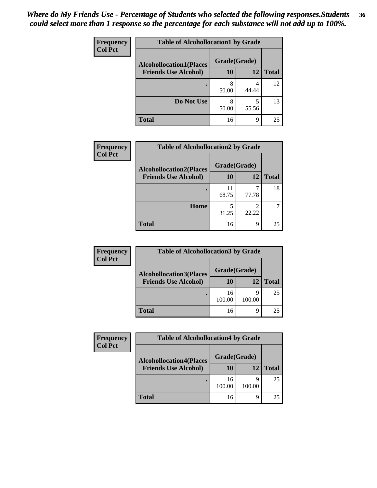#### *Where do My Friends Use - Percentage of Students who selected the following responses.Students could select more than 1 response so the percentage for each substance will not add up to 100%.* **36**

| Frequency      | <b>Table of Alcohollocation1 by Grade</b> |              |            |              |
|----------------|-------------------------------------------|--------------|------------|--------------|
| <b>Col Pct</b> | <b>Alcohollocation1(Places</b>            | Grade(Grade) |            |              |
|                | <b>Friends Use Alcohol)</b>               | 10           | 12         | <b>Total</b> |
|                |                                           | 8<br>50.00   | 4<br>44.44 | 12           |
|                | Do Not Use                                | 8<br>50.00   | 5<br>55.56 | 13           |
|                | <b>Total</b>                              | 16           | 9          | 25           |

| <b>Frequency</b> | <b>Table of Alcohollocation2 by Grade</b> |              |       |              |
|------------------|-------------------------------------------|--------------|-------|--------------|
| <b>Col Pct</b>   | <b>Alcohollocation2(Places</b>            | Grade(Grade) |       |              |
|                  | <b>Friends Use Alcohol)</b>               | 10           | 12    | <b>Total</b> |
|                  |                                           | 11<br>68.75  | 77.78 | 18           |
|                  | Home                                      | 31.25        | 22.22 |              |
|                  | <b>Total</b>                              | 16           | 9     | 25           |

| <b>Frequency</b> | <b>Table of Alcohollocation3 by Grade</b> |              |        |              |
|------------------|-------------------------------------------|--------------|--------|--------------|
| <b>Col Pct</b>   | <b>Alcohollocation3(Places</b>            | Grade(Grade) |        |              |
|                  | <b>Friends Use Alcohol)</b>               | 10           | 12     | <b>Total</b> |
|                  |                                           | 16<br>100.00 | 100.00 | 25           |
|                  | <b>Total</b>                              | 16           |        | 25           |

| <b>Frequency</b> | <b>Table of Alcohollocation4 by Grade</b> |              |             |              |
|------------------|-------------------------------------------|--------------|-------------|--------------|
| <b>Col Pct</b>   | <b>Alcohollocation4(Places</b>            | Grade(Grade) |             |              |
|                  | <b>Friends Use Alcohol)</b>               | 10           | 12          | <b>Total</b> |
|                  |                                           | 16<br>100.00 | Q<br>100.00 | 25           |
|                  | <b>Total</b>                              | 16           | q           | 25           |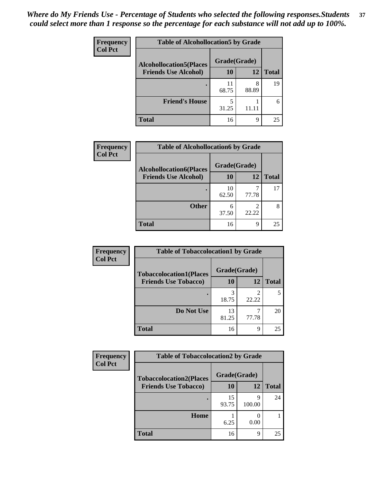| Frequency<br><b>Col Pct</b> | <b>Table of Alcohollocation5 by Grade</b>      |             |            |              |  |
|-----------------------------|------------------------------------------------|-------------|------------|--------------|--|
|                             | Grade(Grade)<br><b>Alcohollocation5(Places</b> |             |            |              |  |
|                             | <b>Friends Use Alcohol)</b>                    | 10          | 12         | <b>Total</b> |  |
|                             |                                                | 11<br>68.75 | 8<br>88.89 | 19           |  |
|                             | <b>Friend's House</b>                          | 5<br>31.25  |            | 6            |  |
|                             | <b>Total</b>                                   | 16          | Q          | 25           |  |

| <b>Frequency</b> | <b>Table of Alcohollocation6 by Grade</b>                     |                    |       |              |
|------------------|---------------------------------------------------------------|--------------------|-------|--------------|
| <b>Col Pct</b>   | <b>Alcohollocation6(Places</b><br><b>Friends Use Alcohol)</b> | Grade(Grade)<br>10 | 12    | <b>Total</b> |
|                  |                                                               |                    |       |              |
|                  |                                                               | 10<br>62.50        | 77.78 | 17           |
|                  | <b>Other</b>                                                  | 6<br>37.50         | 22.22 |              |
|                  | <b>Total</b>                                                  | 16                 | 9     | 25           |

| <b>Frequency</b>            | <b>Table of Tobaccolocation1 by Grade</b> |              |              |    |
|-----------------------------|-------------------------------------------|--------------|--------------|----|
| <b>Col Pct</b>              | <b>Tobaccolocation1(Places</b>            | Grade(Grade) |              |    |
| <b>Friends Use Tobacco)</b> | 10                                        | 12           | <b>Total</b> |    |
|                             |                                           | 18.75        | 22.22        |    |
|                             | Do Not Use                                | 13<br>81.25  | 77.78        | 20 |
|                             | <b>Total</b>                              | 16           | 9            | 25 |

| <b>Frequency</b> | <b>Table of Tobaccolocation2 by Grade</b> |              |             |              |  |  |
|------------------|-------------------------------------------|--------------|-------------|--------------|--|--|
| <b>Col Pct</b>   | <b>Tobaccolocation2(Places</b>            | Grade(Grade) |             |              |  |  |
|                  | <b>Friends Use Tobacco)</b>               | 10           | <b>12</b>   | <b>Total</b> |  |  |
|                  |                                           | 15<br>93.75  | q<br>100.00 | 24           |  |  |
|                  | Home                                      | 6.25         | 0.00        |              |  |  |
|                  | <b>Total</b>                              | 16           | 9           | 25           |  |  |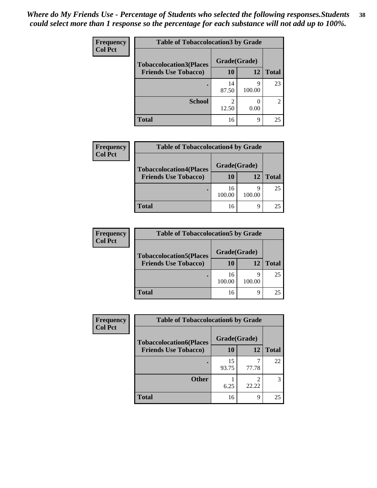| Frequency      |                                | <b>Table of Tobaccolocation 3 by Grade</b> |                  |                |  |
|----------------|--------------------------------|--------------------------------------------|------------------|----------------|--|
| <b>Col Pct</b> | <b>Tobaccolocation3(Places</b> | Grade(Grade)                               |                  |                |  |
|                | <b>Friends Use Tobacco)</b>    | 10                                         | <b>12</b>        | <b>Total</b>   |  |
|                |                                | 14<br>87.50                                | q<br>100.00      | 23             |  |
|                | <b>School</b>                  | 2<br>12.50                                 | $\left($<br>0.00 | $\mathfrak{D}$ |  |
|                | <b>Total</b>                   | 16                                         | 9                | 25             |  |

| <b>Frequency</b> | <b>Table of Tobaccolocation4 by Grade</b> |              |        |              |  |
|------------------|-------------------------------------------|--------------|--------|--------------|--|
| <b>Col Pct</b>   | <b>Tobaccolocation4(Places</b>            | Grade(Grade) |        |              |  |
|                  | <b>Friends Use Tobacco)</b>               | 10           | 12     | <b>Total</b> |  |
|                  |                                           | 16<br>100.00 | 100.00 | 25           |  |
|                  | <b>Total</b>                              | 16           | ∩      | 25           |  |

| <b>Frequency</b> | <b>Table of Tobaccolocation5 by Grade</b> |              |        |              |
|------------------|-------------------------------------------|--------------|--------|--------------|
| <b>Col Pct</b>   | <b>Tobaccolocation5(Places</b>            | Grade(Grade) |        |              |
|                  | <b>Friends Use Tobacco)</b>               | 10           | 12     | <b>Total</b> |
|                  |                                           | 16<br>100.00 | 100.00 | 25           |
|                  | <b>Total</b>                              | 16           |        | 25           |

| <b>Frequency</b> | <b>Table of Tobaccolocation6 by Grade</b> |              |            |              |
|------------------|-------------------------------------------|--------------|------------|--------------|
| <b>Col Pct</b>   | <b>Tobaccolocation6(Places</b>            | Grade(Grade) |            |              |
|                  | <b>Friends Use Tobacco)</b>               | 10           | 12         | <b>Total</b> |
|                  |                                           | 15<br>93.75  | 77.78      | 22           |
|                  | <b>Other</b>                              | 6.25         | ∍<br>22.22 |              |
|                  | <b>Total</b>                              | 16           | 9          | 25           |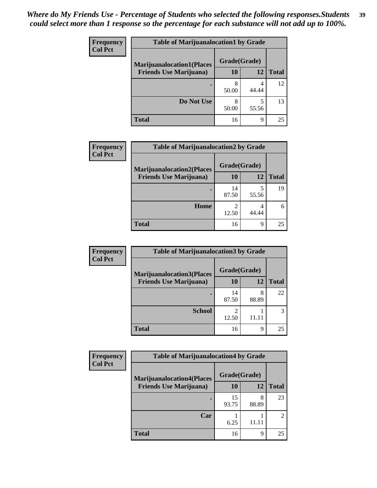| <b>Frequency</b> | <b>Table of Marijuanalocation1 by Grade</b> |              |       |              |
|------------------|---------------------------------------------|--------------|-------|--------------|
| <b>Col Pct</b>   | <b>Marijuanalocation1(Places</b>            | Grade(Grade) |       |              |
|                  | <b>Friends Use Marijuana</b> )              | <b>10</b>    | 12    | <b>Total</b> |
|                  |                                             | 50.00        | 44.44 | 12           |
|                  | Do Not Use                                  | 8<br>50.00   | 55.56 | 13           |
|                  | <b>Total</b>                                | 16           | 9     | 25           |

| <b>Frequency</b> | <b>Table of Marijuanalocation2 by Grade</b>                        |                    |            |              |
|------------------|--------------------------------------------------------------------|--------------------|------------|--------------|
| <b>Col Pct</b>   | <b>Marijuanalocation2(Places</b><br><b>Friends Use Marijuana</b> ) | Grade(Grade)<br>10 | 12         | <b>Total</b> |
|                  |                                                                    | 14<br>87.50        | 55.56      | 19           |
|                  | Home                                                               | 12.50              | 4<br>44.44 | 6            |
|                  | <b>Total</b>                                                       | 16                 | 9          | 25           |

| Frequency<br><b>Col Pct</b> | <b>Table of Marijuanalocation3 by Grade</b> |              |            |              |
|-----------------------------|---------------------------------------------|--------------|------------|--------------|
|                             | <b>Marijuanalocation3</b> (Places           | Grade(Grade) |            |              |
|                             | <b>Friends Use Marijuana</b> )              | <b>10</b>    | 12         | <b>Total</b> |
|                             |                                             | 14<br>87.50  | 8<br>88.89 | 22           |
|                             | <b>School</b>                               | 12.50        | 11.11      |              |
|                             | <b>Total</b>                                | 16           | 9          | 25           |

| Frequency      | <b>Table of Marijuanalocation4 by Grade</b> |              |            |                |  |
|----------------|---------------------------------------------|--------------|------------|----------------|--|
| <b>Col Pct</b> | <b>Marijuanalocation4(Places</b>            | Grade(Grade) |            |                |  |
|                | <b>Friends Use Marijuana</b> )              | <b>10</b>    | 12         | <b>Total</b>   |  |
|                |                                             | 15<br>93.75  | 8<br>88.89 | 23             |  |
|                | Car                                         | 6.25         | 11.11      | $\mathfrak{D}$ |  |
|                | <b>Total</b>                                | 16           | 9          | 25             |  |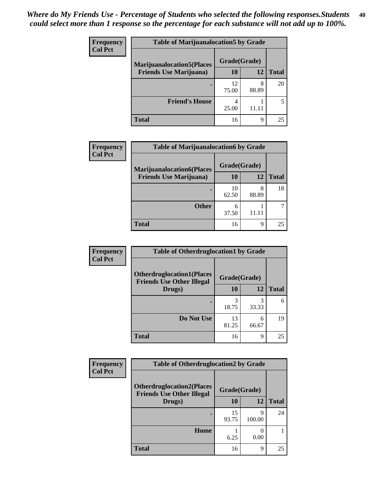| <b>Frequency</b> | <b>Table of Marijuanalocation5 by Grade</b> |              |       |              |
|------------------|---------------------------------------------|--------------|-------|--------------|
| <b>Col Pct</b>   | <b>Marijuanalocation5(Places)</b>           | Grade(Grade) |       |              |
|                  | <b>Friends Use Marijuana</b> )              | 10           | 12    | <b>Total</b> |
|                  |                                             | 12<br>75.00  | 88.89 | 20           |
|                  | <b>Friend's House</b>                       | 4<br>25.00   | 11.11 |              |
|                  | <b>Total</b>                                | 16           | q     | 25           |

| <b>Frequency</b> | <b>Table of Marijuanalocation6 by Grade</b>                        |                    |            |              |
|------------------|--------------------------------------------------------------------|--------------------|------------|--------------|
| <b>Col Pct</b>   | <b>Marijuanalocation6(Places</b><br><b>Friends Use Marijuana</b> ) | Grade(Grade)<br>10 | 12         | <b>Total</b> |
|                  |                                                                    | 10<br>62.50        | 8<br>88.89 | 18           |
|                  | <b>Other</b>                                                       | 6<br>37.50         | 11 11      |              |
|                  | <b>Total</b>                                                       | 16                 | Q          | 25           |

| <b>Frequency</b> | <b>Table of Otherdruglocation1 by Grade</b>                          |              |            |              |
|------------------|----------------------------------------------------------------------|--------------|------------|--------------|
| <b>Col Pct</b>   | <b>Otherdruglocation1(Places</b><br><b>Friends Use Other Illegal</b> | Grade(Grade) |            |              |
|                  | Drugs)                                                               | 10           | 12         | <b>Total</b> |
|                  |                                                                      | 3<br>18.75   | 3<br>33.33 | 6            |
|                  | Do Not Use                                                           | 13<br>81.25  | 6<br>66.67 | 19           |
|                  | <b>Total</b>                                                         | 16           | 9          | 25           |

| <b>Frequency</b> | <b>Table of Otherdruglocation2 by Grade</b>                          |              |             |              |
|------------------|----------------------------------------------------------------------|--------------|-------------|--------------|
| <b>Col Pct</b>   | <b>Otherdruglocation2(Places</b><br><b>Friends Use Other Illegal</b> | Grade(Grade) |             |              |
|                  | Drugs)                                                               | 10           | 12          | <b>Total</b> |
|                  |                                                                      | 15<br>93.75  | 9<br>100.00 | 24           |
|                  | Home                                                                 | 6.25         | 0.00        |              |
|                  | <b>Total</b>                                                         | 16           | 9           | 25           |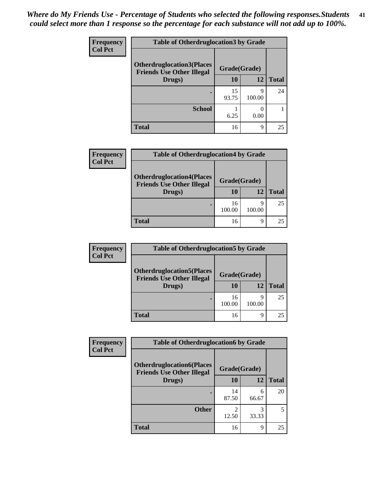| <b>Frequency</b> | <b>Table of Otherdruglocation 3 by Grade</b>                          |              |             |              |  |
|------------------|-----------------------------------------------------------------------|--------------|-------------|--------------|--|
| <b>Col Pct</b>   | <b>Otherdruglocation3(Places)</b><br><b>Friends Use Other Illegal</b> | Grade(Grade) |             |              |  |
|                  | Drugs)                                                                | 10           | 12          | <b>Total</b> |  |
|                  |                                                                       | 15<br>93.75  | Q<br>100.00 | 24           |  |
|                  | <b>School</b>                                                         | 6.25         | 0.00        |              |  |
|                  | <b>Total</b>                                                          | 16           | q           | 25           |  |

| <b>Frequency</b> | <b>Table of Otherdruglocation4 by Grade</b>                                    |                    |             |              |
|------------------|--------------------------------------------------------------------------------|--------------------|-------------|--------------|
| <b>Col Pct</b>   | <b>Otherdruglocation4(Places</b><br><b>Friends Use Other Illegal</b><br>Drugs) | Grade(Grade)<br>10 | 12          | <b>Total</b> |
|                  | ٠                                                                              | 16<br>100.00       | q<br>100.00 | 25           |
|                  | <b>Total</b>                                                                   | 16                 | 9           | 25           |

| <b>Frequency</b> | <b>Table of Otherdruglocation5 by Grade</b>                                    |                    |             |              |
|------------------|--------------------------------------------------------------------------------|--------------------|-------------|--------------|
| <b>Col Pct</b>   | <b>Otherdruglocation5(Places</b><br><b>Friends Use Other Illegal</b><br>Drugs) | Grade(Grade)<br>10 | 12          | <b>Total</b> |
|                  |                                                                                | 16<br>100.00       | Q<br>100.00 | 25           |
|                  | <b>Total</b>                                                                   | 16                 | q           | 25           |

| <b>Frequency</b> | <b>Table of Otherdruglocation6 by Grade</b>                           |              |            |              |
|------------------|-----------------------------------------------------------------------|--------------|------------|--------------|
| <b>Col Pct</b>   | <b>Otherdruglocation6(Places)</b><br><b>Friends Use Other Illegal</b> | Grade(Grade) |            |              |
|                  | Drugs)                                                                | 10           | 12         | <b>Total</b> |
|                  |                                                                       | 14<br>87.50  | 6<br>66.67 | 20           |
|                  | <b>Other</b>                                                          | 12.50        | 3<br>33.33 | 5            |
|                  | <b>Total</b>                                                          | 16           | 9          | 25           |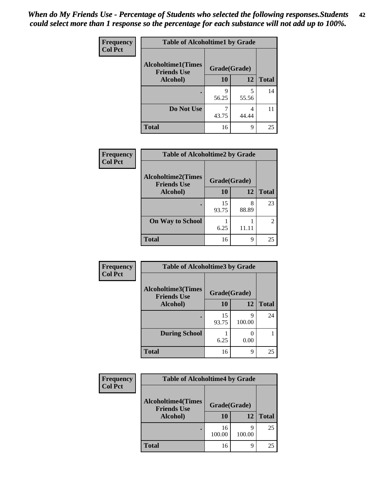| Frequency      | <b>Table of Alcoholtime1 by Grade</b>           |              |            |              |
|----------------|-------------------------------------------------|--------------|------------|--------------|
| <b>Col Pct</b> | <b>Alcoholtime1(Times</b><br><b>Friends Use</b> | Grade(Grade) |            |              |
|                | Alcohol)                                        | 10           | 12         | <b>Total</b> |
|                |                                                 | 9<br>56.25   | 5<br>55.56 | 14           |
|                | Do Not Use                                      | 43.75        | 4<br>44.44 | 11           |
|                | <b>Total</b>                                    | 16           | 9          | 25           |

| Frequency      | <b>Table of Alcoholtime2 by Grade</b>           |              |            |              |
|----------------|-------------------------------------------------|--------------|------------|--------------|
| <b>Col Pct</b> | <b>Alcoholtime2(Times</b><br><b>Friends Use</b> | Grade(Grade) |            |              |
|                | Alcohol)                                        | 10           | 12         | <b>Total</b> |
|                |                                                 | 15<br>93.75  | 8<br>88.89 | 23           |
|                | <b>On Way to School</b>                         | 6.25         | 11.11      | 2            |
|                | <b>Total</b>                                    | 16           | 9          | 25           |

| <b>Frequency</b> | <b>Table of Alcoholtime3 by Grade</b>           |              |             |              |
|------------------|-------------------------------------------------|--------------|-------------|--------------|
| <b>Col Pct</b>   | <b>Alcoholtime3(Times</b><br><b>Friends Use</b> | Grade(Grade) |             |              |
|                  | Alcohol)                                        | 10           | 12          | <b>Total</b> |
|                  | ٠                                               | 15<br>93.75  | 9<br>100.00 | 24           |
|                  | <b>During School</b>                            | 6.25         | 0.00        |              |
|                  | <b>Total</b>                                    | 16           | 9           | 25           |

| <b>Frequency</b> | <b>Table of Alcoholtime4 by Grade</b>           |              |             |              |
|------------------|-------------------------------------------------|--------------|-------------|--------------|
| <b>Col Pct</b>   | <b>Alcoholtime4(Times</b><br><b>Friends Use</b> | Grade(Grade) |             |              |
|                  | Alcohol)                                        | 10           | 12          | <b>Total</b> |
|                  |                                                 | 16<br>100.00 | q<br>100.00 | 25           |
|                  | <b>Total</b>                                    | 16           | 9           | 25           |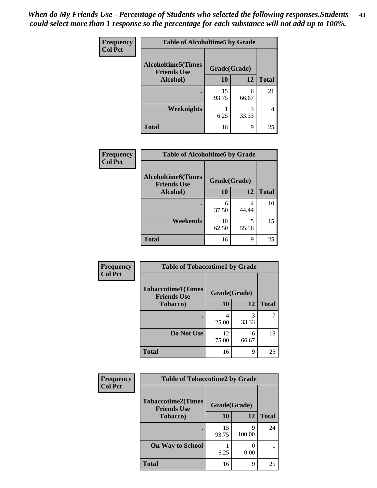*When do My Friends Use - Percentage of Students who selected the following responses.Students could select more than 1 response so the percentage for each substance will not add up to 100%.* **43**

| Frequency      | <b>Table of Alcoholtime5 by Grade</b>           |              |            |              |
|----------------|-------------------------------------------------|--------------|------------|--------------|
| <b>Col Pct</b> | <b>Alcoholtime5(Times</b><br><b>Friends Use</b> | Grade(Grade) |            |              |
|                | Alcohol)                                        | 10           | 12         | <b>Total</b> |
|                |                                                 | 15<br>93.75  | 6<br>66.67 | 21           |
|                | <b>Weeknights</b>                               | 6.25         | 3<br>33.33 |              |
|                | <b>Total</b>                                    | 16           | 9          | 25           |

| <b>Frequency</b> | <b>Table of Alcoholtime6 by Grade</b>           |              |            |              |  |
|------------------|-------------------------------------------------|--------------|------------|--------------|--|
| <b>Col Pct</b>   | <b>Alcoholtime6(Times</b><br><b>Friends Use</b> | Grade(Grade) |            |              |  |
|                  | Alcohol)                                        | 10           | 12         | <b>Total</b> |  |
|                  |                                                 | 6<br>37.50   | 4<br>44.44 | 10           |  |
|                  | Weekends                                        | 10<br>62.50  | 5<br>55.56 | 15           |  |
|                  | <b>Total</b>                                    | 16           | 9          | 25           |  |

| Frequency      | <b>Table of Tobaccotime1 by Grade</b>           |              |            |              |
|----------------|-------------------------------------------------|--------------|------------|--------------|
| <b>Col Pct</b> | <b>Tobaccotime1(Times</b><br><b>Friends Use</b> | Grade(Grade) |            |              |
|                | <b>Tobacco</b> )                                | 10           | 12         | <b>Total</b> |
|                | ٠                                               | 4<br>25.00   | 3<br>33.33 |              |
|                | Do Not Use                                      | 12<br>75.00  | 6<br>66.67 | 18           |
|                | <b>Total</b>                                    | 16           | 9          | 25           |

| <b>Frequency</b> | <b>Table of Tobaccotime2 by Grade</b>           |              |             |              |
|------------------|-------------------------------------------------|--------------|-------------|--------------|
| <b>Col Pct</b>   | <b>Tobaccotime2(Times</b><br><b>Friends Use</b> | Grade(Grade) |             |              |
|                  | Tobacco)                                        | <b>10</b>    | 12          | <b>Total</b> |
|                  |                                                 | 15<br>93.75  | q<br>100.00 | 24           |
|                  | <b>On Way to School</b>                         | 6.25         | 0.00        |              |
|                  | <b>Total</b>                                    | 16           | 9           | 25           |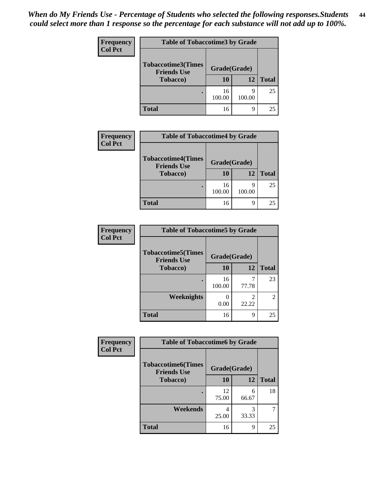| <b>Frequency</b> | <b>Table of Tobaccotime3 by Grade</b>           |              |             |              |
|------------------|-------------------------------------------------|--------------|-------------|--------------|
| <b>Col Pct</b>   | <b>Tobaccotime3(Times</b><br><b>Friends Use</b> | Grade(Grade) |             |              |
|                  | <b>Tobacco</b> )                                | 10           | 12          | <b>Total</b> |
|                  |                                                 | 16<br>100.00 | q<br>100.00 | 25           |
|                  | <b>Total</b>                                    | 16           | 9           | 25           |

| <b>Frequency</b> | <b>Table of Tobaccotime4 by Grade</b>                               |                    |             |              |
|------------------|---------------------------------------------------------------------|--------------------|-------------|--------------|
| <b>Col Pct</b>   | <b>Tobaccotime4(Times</b><br><b>Friends Use</b><br><b>Tobacco</b> ) | Grade(Grade)<br>10 | 12          | <b>Total</b> |
|                  |                                                                     | 16<br>100.00       | q<br>100.00 | 25           |
|                  | <b>Total</b>                                                        | 16                 | 9           | 25           |

| <b>Frequency</b> | <b>Table of Tobaccotime5 by Grade</b>            |              |       |              |
|------------------|--------------------------------------------------|--------------|-------|--------------|
| <b>Col Pct</b>   | <b>Tobaccotime5</b> (Times<br><b>Friends Use</b> | Grade(Grade) |       |              |
|                  | <b>Tobacco</b> )                                 | 10           | 12    | <b>Total</b> |
|                  |                                                  | 16<br>100.00 | 77.78 | 23           |
|                  | Weeknights                                       | 0.00         | 22.22 | 2            |
|                  | <b>Total</b>                                     | 16           | 9     | 25           |

| <b>Frequency</b> | <b>Table of Tobaccotime6 by Grade</b>           |              |            |              |
|------------------|-------------------------------------------------|--------------|------------|--------------|
| <b>Col Pct</b>   | <b>Tobaccotime6(Times</b><br><b>Friends Use</b> | Grade(Grade) |            |              |
|                  | <b>Tobacco</b> )                                | 10           | 12         | <b>Total</b> |
|                  |                                                 | 12<br>75.00  | 6<br>66.67 | 18           |
|                  | Weekends                                        | 25.00        | 3<br>33.33 | 7            |
|                  | <b>Total</b>                                    | 16           | 9          | 25           |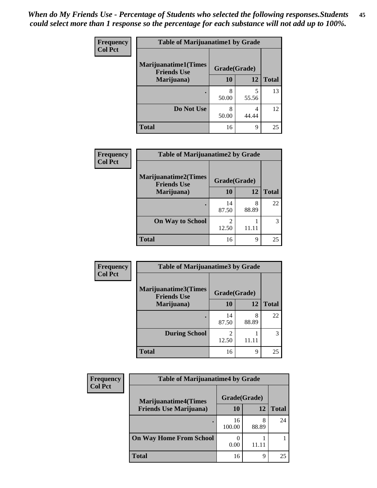| Frequency      | <b>Table of Marijuanatime1 by Grade</b>           |              |            |              |
|----------------|---------------------------------------------------|--------------|------------|--------------|
| <b>Col Pct</b> | <b>Marijuanatime1(Times</b><br><b>Friends Use</b> | Grade(Grade) |            |              |
|                | Marijuana)                                        | 10           | 12         | <b>Total</b> |
|                |                                                   | 8<br>50.00   | 5<br>55.56 | 13           |
|                | Do Not Use                                        | 8<br>50.00   | 4<br>44.44 | 12           |
|                | <b>Total</b>                                      | 16           | 9          | 25           |

| Frequency      | <b>Table of Marijuanatime2 by Grade</b>           |              |            |              |
|----------------|---------------------------------------------------|--------------|------------|--------------|
| <b>Col Pct</b> | <b>Marijuanatime2(Times</b><br><b>Friends Use</b> | Grade(Grade) |            |              |
|                | Marijuana)                                        | 10           | 12         | <b>Total</b> |
|                |                                                   | 14<br>87.50  | 8<br>88.89 | 22           |
|                | <b>On Way to School</b>                           | 2<br>12.50   | 11.11      | 3            |
|                | <b>Total</b>                                      | 16           | 9          | 25           |

| <b>Frequency</b> | <b>Table of Marijuanatime3 by Grade</b>    |                         |            |              |
|------------------|--------------------------------------------|-------------------------|------------|--------------|
| <b>Col Pct</b>   | Marijuanatime3(Times<br><b>Friends Use</b> | Grade(Grade)            |            |              |
|                  | Marijuana)                                 | 10                      | 12         | <b>Total</b> |
|                  |                                            | 14<br>87.50             | 8<br>88.89 | 22           |
|                  | <b>During School</b>                       | $\mathfrak{D}$<br>12.50 | 11.11      | 3            |
|                  | <b>Total</b>                               | 16                      | 9          | 25           |

| <b>Frequency</b><br><b>Col Pct</b> | <b>Table of Marijuanatime4 by Grade</b> |              |       |              |  |
|------------------------------------|-----------------------------------------|--------------|-------|--------------|--|
|                                    | <b>Marijuanatime4(Times</b>             | Grade(Grade) |       |              |  |
|                                    | <b>Friends Use Marijuana</b> )          | 10           | 12    | <b>Total</b> |  |
|                                    |                                         | 16<br>100.00 | 88.89 | 24           |  |
|                                    | <b>On Way Home From School</b>          | 0.00         |       |              |  |
|                                    | <b>Total</b>                            | 16           | Q     | 25           |  |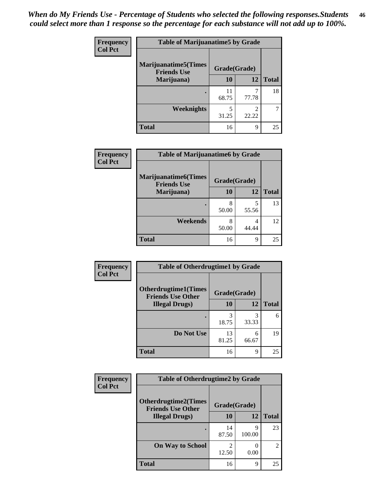| Frequency      | <b>Table of Marijuanatime5 by Grade</b>            |              |                         |              |
|----------------|----------------------------------------------------|--------------|-------------------------|--------------|
| <b>Col Pct</b> | <b>Marijuanatime5</b> (Times<br><b>Friends Use</b> | Grade(Grade) |                         |              |
|                | Marijuana)                                         | 10           | 12                      | <b>Total</b> |
|                |                                                    | 11<br>68.75  | ℸ<br>77.78              | 18           |
|                | Weeknights                                         | 5<br>31.25   | $\mathfrak{D}$<br>22.22 |              |
|                | <b>Total</b>                                       | 16           | 9                       | 25           |

| Frequency      | <b>Table of Marijuanatime6 by Grade</b>            |              |            |              |
|----------------|----------------------------------------------------|--------------|------------|--------------|
| <b>Col Pct</b> | <b>Marijuanatime6</b> (Times<br><b>Friends Use</b> | Grade(Grade) |            |              |
|                | Marijuana)                                         | 10           | 12         | <b>Total</b> |
|                |                                                    | 8<br>50.00   | 5<br>55.56 | 13           |
|                | Weekends                                           | 8<br>50.00   | 4<br>44.44 | 12           |
|                | <b>Total</b>                                       | 16           | 9          | 25           |

| <b>Frequency</b> | <b>Table of Otherdrugtime1 by Grade</b>                  |              |            |              |
|------------------|----------------------------------------------------------|--------------|------------|--------------|
| <b>Col Pct</b>   | <b>Otherdrugtime1</b> (Times<br><b>Friends Use Other</b> | Grade(Grade) |            |              |
|                  | <b>Illegal Drugs</b> )                                   | 10           | 12         | <b>Total</b> |
|                  |                                                          | 3<br>18.75   | 3<br>33.33 | 6            |
|                  | Do Not Use                                               | 13<br>81.25  | 6<br>66.67 | 19           |
|                  | <b>Total</b>                                             | 16           | 9          | 25           |

| <b>Frequency</b><br><b>Col Pct</b> | <b>Table of Otherdrugtime2 by Grade</b>                 |              |             |                |
|------------------------------------|---------------------------------------------------------|--------------|-------------|----------------|
|                                    | <b>Otherdrugtime2(Times</b><br><b>Friends Use Other</b> | Grade(Grade) |             |                |
|                                    | <b>Illegal Drugs</b> )                                  | 10           | 12          | <b>Total</b>   |
|                                    |                                                         | 14<br>87.50  | q<br>100.00 | 23             |
|                                    | <b>On Way to School</b>                                 | 2<br>12.50   | 0.00        | $\overline{c}$ |
|                                    | Total                                                   | 16           | 9           | 25             |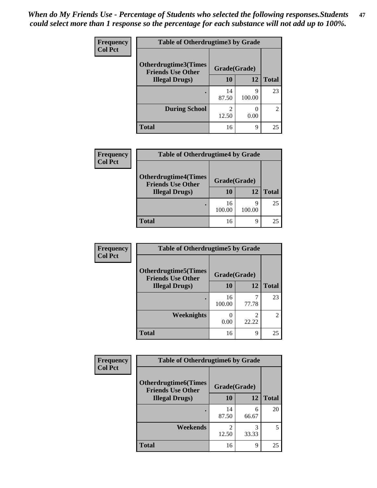| Frequency      | <b>Table of Otherdrugtime3 by Grade</b>          |                         |             |                             |
|----------------|--------------------------------------------------|-------------------------|-------------|-----------------------------|
| <b>Col Pct</b> | Otherdrugtime3(Times<br><b>Friends Use Other</b> | Grade(Grade)            |             |                             |
|                | <b>Illegal Drugs</b> )                           | 10                      | 12          | <b>Total</b>                |
|                |                                                  | 14<br>87.50             | q<br>100.00 | 23                          |
|                | <b>During School</b>                             | $\mathfrak{D}$<br>12.50 | 0.00        | $\mathcal{D}_{\mathcal{L}}$ |
|                | <b>Total</b>                                     | 16                      | 9           | 25                          |

| <b>Frequency</b> | <b>Table of Otherdrugtime4 by Grade</b>                 |              |             |              |  |
|------------------|---------------------------------------------------------|--------------|-------------|--------------|--|
| <b>Col Pct</b>   | <b>Otherdrugtime4(Times</b><br><b>Friends Use Other</b> | Grade(Grade) |             |              |  |
|                  | <b>Illegal Drugs</b> )                                  | 10           | 12          | <b>Total</b> |  |
|                  |                                                         | 16<br>100.00 | Q<br>100.00 | 25           |  |
|                  | Total                                                   | 16           | q           | 25           |  |

| <b>Frequency</b> | <b>Table of Otherdrugtime5 by Grade</b>                  |                  |              |              |
|------------------|----------------------------------------------------------|------------------|--------------|--------------|
| <b>Col Pct</b>   | <b>Otherdrugtime5</b> (Times<br><b>Friends Use Other</b> |                  | Grade(Grade) |              |
|                  | <b>Illegal Drugs</b> )                                   | 10               | 12           | <b>Total</b> |
|                  |                                                          | 16<br>100.00     | 77.78        | 23           |
|                  | <b>Weeknights</b>                                        | $\theta$<br>0.00 | 2<br>22.22   |              |
|                  | <b>Total</b>                                             | 16               | 9            | 25           |

| Frequency      | <b>Table of Otherdrugtime6 by Grade</b>                  |              |            |              |
|----------------|----------------------------------------------------------|--------------|------------|--------------|
| <b>Col Pct</b> | <b>Otherdrugtime6</b> (Times<br><b>Friends Use Other</b> | Grade(Grade) |            |              |
|                | <b>Illegal Drugs</b> )                                   | 10           | 12         | <b>Total</b> |
|                |                                                          | 14<br>87.50  | 6<br>66.67 | 20           |
|                | Weekends                                                 | 2<br>12.50   | 3<br>33.33 | 5            |
|                | <b>Total</b>                                             | 16           | 9          | 25           |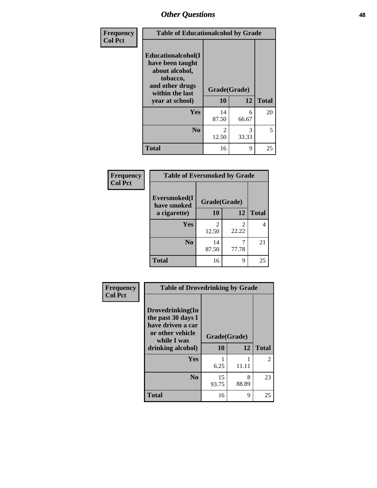| Frequency      | <b>Table of Educationalcohol by Grade</b>                                                                  |              |            |              |
|----------------|------------------------------------------------------------------------------------------------------------|--------------|------------|--------------|
| <b>Col Pct</b> | Educationalcohol(I<br>have been taught<br>about alcohol,<br>tobacco,<br>and other drugs<br>within the last | Grade(Grade) |            |              |
|                | year at school)                                                                                            | 10           | 12         | <b>Total</b> |
|                | Yes                                                                                                        | 14<br>87.50  | 6<br>66.67 | 20           |
|                | N <sub>0</sub>                                                                                             | 2<br>12.50   | 3<br>33.33 | 5            |
|                | <b>Total</b>                                                                                               | 16           | 9          | 25           |

| Frequency      | <b>Table of Eversmoked by Grade</b> |                         |              |              |  |
|----------------|-------------------------------------|-------------------------|--------------|--------------|--|
| <b>Col Pct</b> | Eversmoked(I<br>have smoked         |                         | Grade(Grade) |              |  |
|                | a cigarette)                        | 10                      | 12           | <b>Total</b> |  |
|                | Yes                                 | $\mathfrak{D}$<br>12.50 | 2<br>22.22   | 4            |  |
|                | N <sub>0</sub>                      | 14<br>87.50             | 77.78        | 21           |  |
|                | <b>Total</b>                        | 16                      | 9            | 25           |  |

| Frequency      | <b>Table of Drovedrinking by Grade</b>                                                                              |                    |            |              |
|----------------|---------------------------------------------------------------------------------------------------------------------|--------------------|------------|--------------|
| <b>Col Pct</b> | Drovedrinking(In<br>the past 30 days I<br>have driven a car<br>or other vehicle<br>while I was<br>drinking alcohol) | Grade(Grade)<br>10 | 12         | <b>Total</b> |
|                | <b>Yes</b>                                                                                                          | 6.25               | 11.11      | 2            |
|                | N <sub>0</sub>                                                                                                      | 15<br>93.75        | 8<br>88.89 | 23           |
|                | <b>Total</b>                                                                                                        | 16                 | 9          | 25           |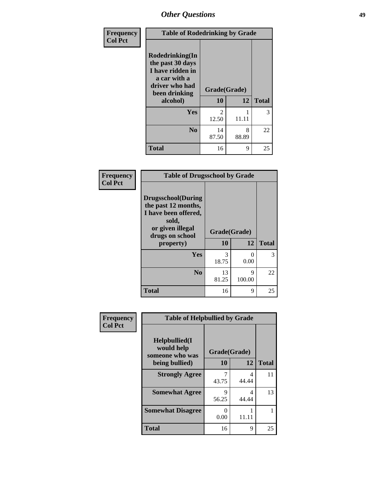| Frequency      | <b>Table of Rodedrinking by Grade</b>                                                                      |                         |            |              |
|----------------|------------------------------------------------------------------------------------------------------------|-------------------------|------------|--------------|
| <b>Col Pct</b> | Rodedrinking(In<br>the past 30 days<br>I have ridden in<br>a car with a<br>driver who had<br>been drinking | Grade(Grade)            |            |              |
|                | alcohol)                                                                                                   | 10                      | 12         | <b>Total</b> |
|                | <b>Yes</b>                                                                                                 | $\mathfrak{D}$<br>12.50 | 11.11      | 3            |
|                | N <sub>0</sub>                                                                                             | 14<br>87.50             | 8<br>88.89 | 22           |
|                | <b>Total</b>                                                                                               | 16                      | 9          | 25           |

### **Frequency Col Pct**

|                                                                                                                           | <b>Table of Drugsschool by Grade</b> |             |              |  |  |  |  |
|---------------------------------------------------------------------------------------------------------------------------|--------------------------------------|-------------|--------------|--|--|--|--|
| <b>Drugsschool</b> (During<br>the past 12 months,<br>I have been offered,<br>sold,<br>or given illegal<br>drugs on school | Grade(Grade)                         |             |              |  |  |  |  |
| property)                                                                                                                 | 10                                   | 12          | <b>Total</b> |  |  |  |  |
| Yes                                                                                                                       | 3<br>18.75                           | 0<br>0.00   | 3            |  |  |  |  |
| N <sub>0</sub>                                                                                                            | 13<br>81.25                          | 9<br>100.00 | 22           |  |  |  |  |
| <b>Total</b>                                                                                                              | 16                                   | 9           | 25           |  |  |  |  |

| Frequency<br><b>Col Pct</b> | <b>Table of Helpbullied by Grade</b>                 |              |            |              |  |  |
|-----------------------------|------------------------------------------------------|--------------|------------|--------------|--|--|
|                             | $Helpb$ ullied $(I$<br>would help<br>someone who was | Grade(Grade) |            |              |  |  |
|                             | being bullied)                                       | 10           | 12         | <b>Total</b> |  |  |
|                             | <b>Strongly Agree</b>                                | 43.75        | 4<br>44.44 | 11           |  |  |
|                             | <b>Somewhat Agree</b>                                | Q<br>56.25   | 4<br>44.44 | 13           |  |  |
|                             | <b>Somewhat Disagree</b>                             | 0.00         | 11.11      |              |  |  |
|                             | <b>Total</b>                                         | 16           | 9          | 25           |  |  |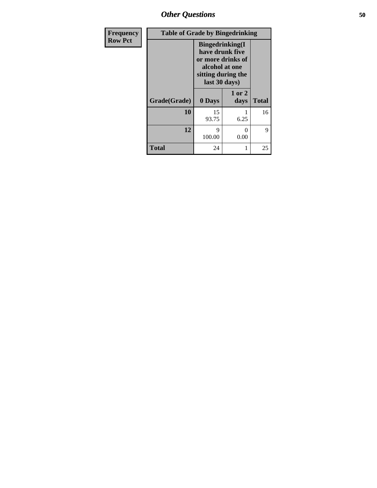*Other Questions* **50**

| <b>Frequency</b> | <b>Table of Grade by Bingedrinking</b> |                                                                                                                          |                |              |
|------------------|----------------------------------------|--------------------------------------------------------------------------------------------------------------------------|----------------|--------------|
| <b>Row Pct</b>   |                                        | <b>Bingedrinking</b> (I<br>have drunk five<br>or more drinks of<br>alcohol at one<br>sitting during the<br>last 30 days) |                |              |
|                  | Grade(Grade)                           | 0 Days                                                                                                                   | 1 or 2<br>days | <b>Total</b> |
|                  | 10                                     | 15<br>93.75                                                                                                              | 6.25           | 16           |
|                  | 12                                     | 9<br>100.00                                                                                                              | 0<br>0.00      | 9            |
|                  | <b>Total</b>                           | 24                                                                                                                       |                | 25           |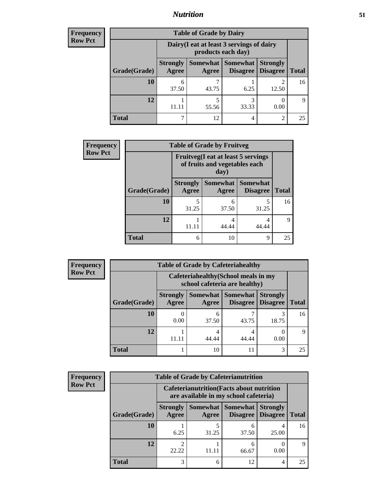## *Nutrition* **51**

| <b>Frequency</b> | <b>Table of Grade by Dairy</b> |                                                                 |                     |                                    |                                    |              |  |  |
|------------------|--------------------------------|-----------------------------------------------------------------|---------------------|------------------------------------|------------------------------------|--------------|--|--|
| <b>Row Pct</b>   |                                | Dairy (I eat at least 3 servings of dairy<br>products each day) |                     |                                    |                                    |              |  |  |
|                  | Grade(Grade)                   | <b>Strongly</b><br>Agree                                        | Somewhat  <br>Agree | <b>Somewhat</b><br><b>Disagree</b> | <b>Strongly</b><br><b>Disagree</b> | <b>Total</b> |  |  |
|                  | 10                             | 37.50                                                           | 43.75               | 6.25                               | 12.50                              | 16           |  |  |
|                  | 12                             | 11.11                                                           | 55.56               | 3<br>33.33                         | 0.00                               | 9            |  |  |
|                  | <b>Total</b>                   |                                                                 | 12                  | 4                                  | $\mathfrak{D}$                     | 25           |  |  |

| <b>Frequency</b> | <b>Table of Grade by Fruitveg</b> |                                                                             |                     |                                    |              |
|------------------|-----------------------------------|-----------------------------------------------------------------------------|---------------------|------------------------------------|--------------|
| <b>Row Pct</b>   |                                   | <b>Fruitveg</b> (I eat at least 5 servings<br>of fruits and vegetables each |                     |                                    |              |
|                  | Grade(Grade)                      | <b>Strongly</b><br>Agree                                                    | Somewhat  <br>Agree | <b>Somewhat</b><br><b>Disagree</b> | <b>Total</b> |
|                  | 10                                | 5<br>31.25                                                                  | 6<br>37.50          | 5<br>31.25                         | 16           |
|                  | 12                                | 11.11                                                                       | 4<br>44.44          | 4<br>44.44                         | Q            |
|                  | <b>Total</b>                      | 6                                                                           | 10                  | 9                                  | 25           |

| <b>Frequency</b> | <b>Table of Grade by Cafeteriahealthy</b> |                                                                       |            |                               |                                    |              |  |  |
|------------------|-------------------------------------------|-----------------------------------------------------------------------|------------|-------------------------------|------------------------------------|--------------|--|--|
| <b>Row Pct</b>   |                                           | Cafeteriahealthy (School meals in my<br>school cafeteria are healthy) |            |                               |                                    |              |  |  |
|                  | Grade(Grade)                              | <b>Strongly</b><br>Agree                                              | Agree      | Somewhat Somewhat<br>Disagree | <b>Strongly</b><br><b>Disagree</b> | <b>Total</b> |  |  |
|                  | 10                                        | 0.00                                                                  | 6<br>37.50 | 43.75                         | 18.75                              | 16           |  |  |
|                  | 12                                        | 11.11                                                                 | 4<br>44.44 | 44.44                         | 0.00                               | $\mathbf Q$  |  |  |
|                  | <b>Total</b>                              |                                                                       | 10         | 11                            | 3                                  | 25           |  |  |

| <b>Frequency</b> |
|------------------|
| <b>Row Pct</b>   |

|                                                                            | <b>Table of Grade by Cafeterianutrition</b> |                         |                                                                                           |            |                                        |              |  |  |
|----------------------------------------------------------------------------|---------------------------------------------|-------------------------|-------------------------------------------------------------------------------------------|------------|----------------------------------------|--------------|--|--|
|                                                                            |                                             |                         | <b>Cafeterianutrition</b> (Facts about nutrition<br>are available in my school cafeteria) |            |                                        |              |  |  |
| Somewhat   Somewhat  <br><b>Strongly</b><br>Agree<br>Grade(Grade)<br>Agree |                                             |                         |                                                                                           |            | <b>Strongly</b><br>Disagree   Disagree | <b>Total</b> |  |  |
|                                                                            | 10                                          | 6.25                    | 31.25                                                                                     | 6<br>37.50 | 25.00                                  | 16           |  |  |
|                                                                            | 12                                          | $\mathfrak{D}$<br>22.22 | 11 11                                                                                     | 6<br>66.67 | 0.00                                   | Q            |  |  |
|                                                                            | <b>Total</b>                                | 3                       | 6                                                                                         | 12         | 4                                      | 25           |  |  |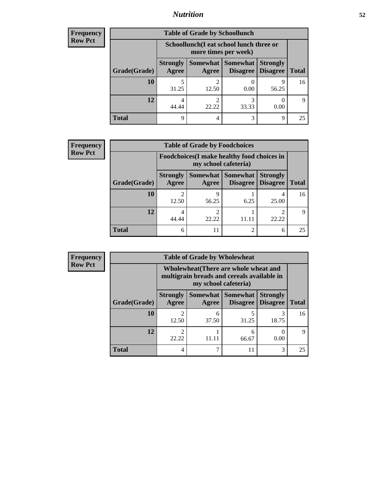## *Nutrition* **52**

| Frequency      |
|----------------|
| <b>Row Pct</b> |

| <b>Table of Grade by Schoollunch</b> |                                                                                                                              |                                                                 |            |            |    |  |  |
|--------------------------------------|------------------------------------------------------------------------------------------------------------------------------|-----------------------------------------------------------------|------------|------------|----|--|--|
|                                      |                                                                                                                              | Schoollunch(I eat school lunch three or<br>more times per week) |            |            |    |  |  |
| Grade(Grade)                         | Somewhat   Somewhat  <br><b>Strongly</b><br><b>Strongly</b><br><b>Disagree</b><br><b>Total</b><br>Agree<br>Disagree<br>Agree |                                                                 |            |            |    |  |  |
| 10                                   | 5<br>31.25                                                                                                                   | 12.50                                                           | 0.00       | 9<br>56.25 | 16 |  |  |
| 12                                   | 4<br>44.44                                                                                                                   | 22.22                                                           | 3<br>33.33 | 0.00       | Q  |  |  |
| <b>Total</b>                         | q                                                                                                                            | 4                                                               | 3          | 9          | 25 |  |  |

| <b>Frequency</b> |
|------------------|
| <b>Row Pct</b>   |

| V | <b>Table of Grade by Foodchoices</b> |                          |                                                                            |                                    |                                    |              |  |
|---|--------------------------------------|--------------------------|----------------------------------------------------------------------------|------------------------------------|------------------------------------|--------------|--|
|   |                                      |                          | <b>Foodchoices</b> (I make healthy food choices in<br>my school cafeteria) |                                    |                                    |              |  |
|   | Grade(Grade)                         | <b>Strongly</b><br>Agree | Somewhat  <br>Agree                                                        | <b>Somewhat</b><br><b>Disagree</b> | <b>Strongly</b><br><b>Disagree</b> | <b>Total</b> |  |
|   | 10                                   | 12.50                    | Q<br>56.25                                                                 | 6.25                               | 4<br>25.00                         | 16           |  |
|   | 12                                   | 4<br>44.44               | $\mathfrak{D}$<br>22.22                                                    | 11.11                              | າ<br>22.22                         |              |  |
|   | <b>Total</b>                         | 6                        | 11                                                                         |                                    | 6                                  | 25           |  |

| <b>Frequency</b> | <b>Table of Grade by Wholewheat</b> |                                                                                     |            |                                   |                                    |              |  |  |
|------------------|-------------------------------------|-------------------------------------------------------------------------------------|------------|-----------------------------------|------------------------------------|--------------|--|--|
| <b>Row Pct</b>   |                                     | Wholewheat (There are whole wheat and<br>multigrain breads and cereals available in |            |                                   |                                    |              |  |  |
|                  | Grade(Grade)                        | <b>Strongly</b><br>Agree                                                            | Agree      | Somewhat   Somewhat  <br>Disagree | <b>Strongly</b><br><b>Disagree</b> | <b>Total</b> |  |  |
|                  | 10                                  | 12.50                                                                               | 6<br>37.50 | 31.25                             | 18.75                              | 16           |  |  |
|                  | 12                                  | ◠<br>22.22                                                                          | 11.11      | 6<br>66.67                        | 0.00                               | 9            |  |  |
|                  | <b>Total</b>                        | 4                                                                                   | 7          |                                   | 3                                  | 25           |  |  |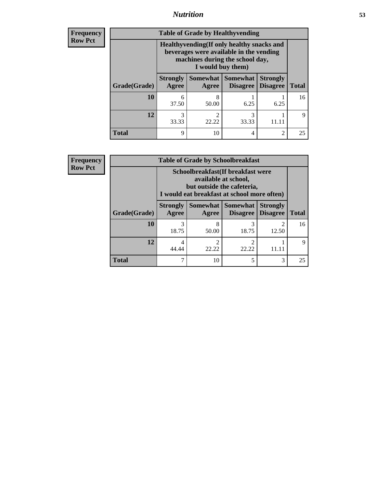## *Nutrition* **53**

**Frequency Row Pct**

| <b>Table of Grade by Healthyvending</b> |                                                                                                                                               |            |                                   |                                    |              |  |
|-----------------------------------------|-----------------------------------------------------------------------------------------------------------------------------------------------|------------|-----------------------------------|------------------------------------|--------------|--|
|                                         | Healthyvending (If only healthy snacks and<br>beverages were available in the vending<br>machines during the school day,<br>I would buy them) |            |                                   |                                    |              |  |
| Grade(Grade)                            | <b>Strongly</b><br>Agree                                                                                                                      | Agree      | Somewhat   Somewhat  <br>Disagree | <b>Strongly</b><br><b>Disagree</b> | <b>Total</b> |  |
| 10                                      | 6<br>37.50                                                                                                                                    | 8<br>50.00 | 6.25                              | 6.25                               | 16           |  |
| 12                                      | 3<br>33.33                                                                                                                                    | 2<br>22.22 | 3<br>33.33                        |                                    | Q            |  |
| <b>Total</b>                            | 9                                                                                                                                             | 10         | 4                                 | $\overline{c}$                     | 25           |  |

**Frequency Row Pct**

| <b>Table of Grade by Schoolbreakfast</b> |                                                                                                                                         |            |                         |                                        |              |  |  |
|------------------------------------------|-----------------------------------------------------------------------------------------------------------------------------------------|------------|-------------------------|----------------------------------------|--------------|--|--|
|                                          | Schoolbreakfast (If breakfast were<br>available at school,<br>but outside the cafeteria,<br>I would eat breakfast at school more often) |            |                         |                                        |              |  |  |
| Grade(Grade)                             | <b>Strongly</b><br>Agree                                                                                                                | Agree      | Somewhat   Somewhat     | <b>Strongly</b><br>Disagree   Disagree | <b>Total</b> |  |  |
| 10                                       | 3<br>18.75                                                                                                                              | 8<br>50.00 | 3<br>18.75              | 12.50                                  | 16           |  |  |
| 12                                       | 4<br>44.44                                                                                                                              | 2<br>22.22 | $\overline{c}$<br>22.22 |                                        | 9            |  |  |
| <b>Total</b>                             | 7                                                                                                                                       | 10         | 5                       | 3                                      | 25           |  |  |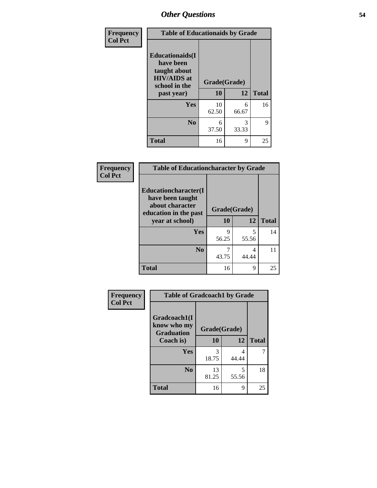| Frequency<br><b>Col Pct</b> | <b>Table of Educationaids by Grade</b>                                                                    |                    |            |              |  |
|-----------------------------|-----------------------------------------------------------------------------------------------------------|--------------------|------------|--------------|--|
|                             | <b>Educationaids</b> (I<br>have been<br>taught about<br><b>HIV/AIDS</b> at<br>school in the<br>past year) | Grade(Grade)<br>10 | 12         | <b>Total</b> |  |
|                             | <b>Yes</b>                                                                                                | 10<br>62.50        | 6<br>66.67 | 16           |  |
|                             | N <sub>0</sub>                                                                                            | 6<br>37.50         | 3<br>33.33 | 9            |  |
|                             | <b>Total</b>                                                                                              | 16                 | 9          | 25           |  |

| Frequency      | <b>Table of Educationcharacter by Grade</b>                 |              |       |              |
|----------------|-------------------------------------------------------------|--------------|-------|--------------|
| <b>Col Pct</b> | Educationcharacter(I<br>have been taught<br>about character |              |       |              |
|                | education in the past                                       | Grade(Grade) |       |              |
|                | year at school)                                             | 10           | 12    | <b>Total</b> |
|                | <b>Yes</b>                                                  | q            | 5     | 14           |
|                |                                                             | 56.25        | 55.56 |              |
|                | N <sub>0</sub>                                              |              | 4     | 11           |
|                |                                                             | 43.75        | 44.44 |              |
|                | <b>Total</b>                                                | 16           | 9     | 25           |

| Frequency      | <b>Table of Gradcoach1 by Grade</b>              |              |            |              |
|----------------|--------------------------------------------------|--------------|------------|--------------|
| <b>Col Pct</b> | Gradcoach1(I<br>know who my<br><b>Graduation</b> | Grade(Grade) |            |              |
|                | Coach is)                                        | 10           | 12         | <b>Total</b> |
|                | Yes                                              | 3<br>18.75   | 4<br>44.44 | 7            |
|                | N <sub>0</sub>                                   | 13<br>81.25  | 5<br>55.56 | 18           |
|                | <b>Total</b>                                     | 16           | 9          | 25           |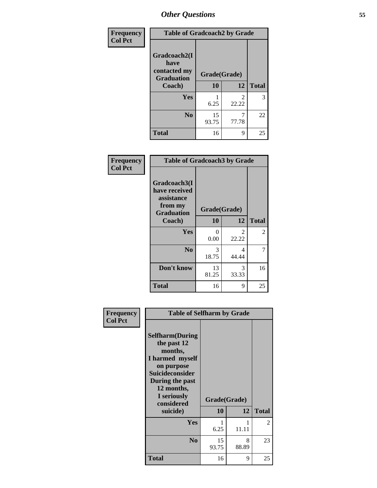| Frequency      | <b>Table of Gradcoach2 by Grade</b> |              |            |              |
|----------------|-------------------------------------|--------------|------------|--------------|
| <b>Col Pct</b> | Gradcoach2(I<br>have                |              |            |              |
|                | contacted my<br><b>Graduation</b>   | Grade(Grade) |            |              |
|                | Coach)                              | 10           | 12         | <b>Total</b> |
|                | Yes                                 | 6.25         | 2<br>22.22 | 3            |
|                | N <sub>0</sub>                      | 15<br>93.75  | 77.78      | 22           |
|                | <b>Total</b>                        | 16           | 9          | 25           |

| <b>Frequency</b><br><b>Col Pct</b> | <b>Table of Gradcoach3 by Grade</b>                                         |              |            |                |
|------------------------------------|-----------------------------------------------------------------------------|--------------|------------|----------------|
|                                    | Gradcoach3(I<br>have received<br>assistance<br>from my<br><b>Graduation</b> | Grade(Grade) |            |                |
|                                    | Coach)                                                                      | 10           | 12         | <b>Total</b>   |
|                                    | Yes                                                                         | 0<br>0.00    | 2<br>22.22 | $\overline{2}$ |
|                                    | N <sub>0</sub>                                                              | 3<br>18.75   | 4<br>44.44 | 7              |
|                                    | Don't know                                                                  | 13<br>81.25  | 3<br>33.33 | 16             |
|                                    | <b>Total</b>                                                                | 16           | 9          | 25             |

|                             | <b>Table of Selfharm by Grade</b>                                                                                     |              |            |              |  |
|-----------------------------|-----------------------------------------------------------------------------------------------------------------------|--------------|------------|--------------|--|
| Frequency<br><b>Col Pct</b> | <b>Selfharm</b> (During<br>the past 12<br>months,                                                                     |              |            |              |  |
|                             | I harmed myself<br>on purpose<br><b>Suicideconsider</b><br>During the past<br>12 months,<br>I seriously<br>considered | Grade(Grade) |            |              |  |
|                             | suicide)                                                                                                              | 10           | 12         | <b>Total</b> |  |
|                             | Yes                                                                                                                   | 6.25         | 11.11      | 2            |  |
|                             | N <sub>0</sub>                                                                                                        | 15<br>93.75  | 8<br>88.89 | 23           |  |
|                             | <b>Total</b>                                                                                                          | 16           | 9          | 25           |  |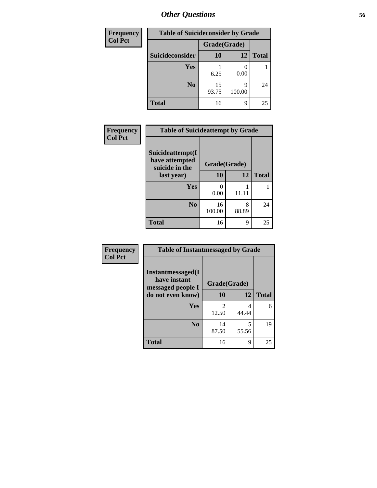| <b>Frequency</b> | <b>Table of Suicideconsider by Grade</b> |              |             |              |
|------------------|------------------------------------------|--------------|-------------|--------------|
| <b>Col Pct</b>   |                                          | Grade(Grade) |             |              |
|                  | Suicideconsider                          | <b>10</b>    | 12          | <b>Total</b> |
|                  | <b>Yes</b>                               | 6.25         | 0.00        |              |
|                  | N <sub>0</sub>                           | 15<br>93.75  | q<br>100.00 | 24           |
|                  | <b>Total</b>                             | 16           | 9           | 25           |

| Frequency      | <b>Table of Suicideattempt by Grade</b>              |              |            |              |
|----------------|------------------------------------------------------|--------------|------------|--------------|
| <b>Col Pct</b> | Suicideattempt(I<br>have attempted<br>suicide in the | Grade(Grade) |            |              |
|                | last year)                                           | 10           | 12         | <b>Total</b> |
|                | Yes                                                  | ∩<br>0.00    | 11.11      |              |
|                | N <sub>0</sub>                                       | 16<br>100.00 | 8<br>88.89 | 24           |
|                | <b>Total</b>                                         | 16           | 9          | 25           |

| Frequency      | <b>Table of Instantmessaged by Grade</b>               |                         |            |              |
|----------------|--------------------------------------------------------|-------------------------|------------|--------------|
| <b>Col Pct</b> | Instantmessaged(I<br>have instant<br>messaged people I | Grade(Grade)            |            |              |
|                | do not even know)                                      | 10                      | 12         | <b>Total</b> |
|                | Yes                                                    | $\overline{2}$<br>12.50 | 4<br>44.44 | 6            |
|                | N <sub>0</sub>                                         | 14<br>87.50             | 5<br>55.56 | 19           |
|                | <b>Total</b>                                           | 16                      | 9          | 25           |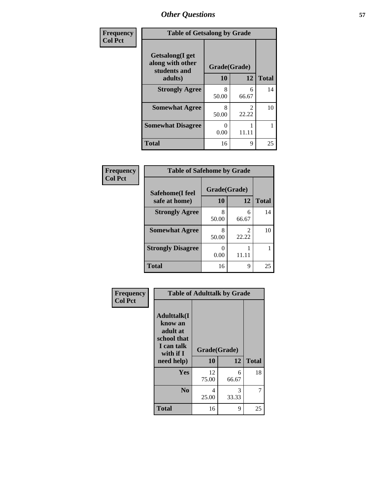| Frequency      | <b>Table of Getsalong by Grade</b>                                     |                    |                         |              |  |  |
|----------------|------------------------------------------------------------------------|--------------------|-------------------------|--------------|--|--|
| <b>Col Pct</b> | <b>Getsalong</b> (I get<br>along with other<br>students and<br>adults) | Grade(Grade)<br>10 | 12                      | <b>Total</b> |  |  |
|                | <b>Strongly Agree</b>                                                  | 8                  | 6                       | 14           |  |  |
|                |                                                                        | 50.00              | 66.67                   |              |  |  |
|                | <b>Somewhat Agree</b>                                                  | 8<br>50.00         | $\mathfrak{D}$<br>22.22 | 10           |  |  |
|                | <b>Somewhat Disagree</b>                                               | $_{0}$<br>0.00     | 11.11                   |              |  |  |
|                | <b>Total</b>                                                           | 16                 | 9                       | 25           |  |  |

### **Frequency Col Pct**

**Frequency Col Pct**

| <b>Table of Safehome by Grade</b> |                          |            |                    |  |  |  |  |  |
|-----------------------------------|--------------------------|------------|--------------------|--|--|--|--|--|
| Safehome(I feel<br>safe at home)  | Grade(Grade)<br>12<br>10 |            |                    |  |  |  |  |  |
| <b>Strongly Agree</b>             | 50.00                    | 6<br>66.67 | <b>Total</b><br>14 |  |  |  |  |  |
| <b>Somewhat Agree</b>             | 50.00                    | 2<br>22.22 | 10                 |  |  |  |  |  |
| <b>Strongly Disagree</b>          | 0.00                     | 11.11      |                    |  |  |  |  |  |
| Total                             | 16                       | 9          |                    |  |  |  |  |  |

| <b>Table of Adulttalk by Grade</b>                                                                |                    |            |              |  |  |  |  |
|---------------------------------------------------------------------------------------------------|--------------------|------------|--------------|--|--|--|--|
| <b>Adulttalk(I</b><br>know an<br>adult at<br>school that<br>I can talk<br>with if I<br>need help) | Grade(Grade)<br>10 | 12         | <b>Total</b> |  |  |  |  |
| Yes                                                                                               | 12<br>75.00        | 6<br>66.67 | 18           |  |  |  |  |
| N <sub>0</sub>                                                                                    | 4<br>25.00         | 3<br>33.33 |              |  |  |  |  |
| <b>Total</b>                                                                                      | 16                 | 9          | 25           |  |  |  |  |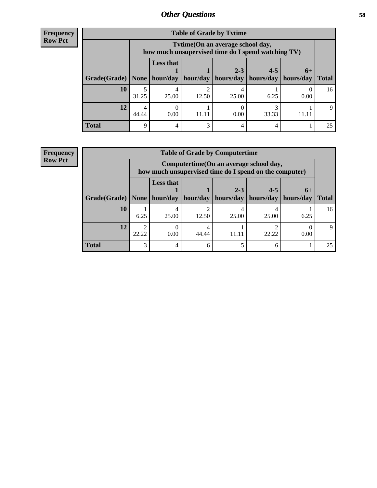| <b>Frequency</b> |
|------------------|
| <b>Row Pct</b>   |

| <b>Table of Grade by Tytime</b>           |            |                                                                                         |       |           |           |           |              |  |  |  |
|-------------------------------------------|------------|-----------------------------------------------------------------------------------------|-------|-----------|-----------|-----------|--------------|--|--|--|
|                                           |            | Tvtime (On an average school day,<br>how much unsupervised time do I spend watching TV) |       |           |           |           |              |  |  |  |
|                                           |            | <b>Less that</b>                                                                        |       | $2 - 3$   | $4 - 5$   | $6+$      |              |  |  |  |
| Grade(Grade)   None   hour/day   hour/day |            |                                                                                         |       | hours/day | hours/day | hours/day | <b>Total</b> |  |  |  |
| 10                                        | 5<br>31.25 | 25.00                                                                                   | 12.50 | 25.00     | 6.25      | 0.00      | 16           |  |  |  |
| 12                                        | 4<br>44.44 | 0.00                                                                                    | 11.11 | 0.00      | 33.33     |           | 9            |  |  |  |
| <b>Total</b>                              | 9          |                                                                                         | 3     |           |           |           | 25           |  |  |  |

### **Frequency Row Pct**

| <b>Table of Grade by Computertime</b> |                                                                                                                                             |                                                                                                  |       |       |       |      |    |  |  |
|---------------------------------------|---------------------------------------------------------------------------------------------------------------------------------------------|--------------------------------------------------------------------------------------------------|-------|-------|-------|------|----|--|--|
|                                       |                                                                                                                                             | Computertime(On an average school day,<br>how much unsupervised time do I spend on the computer) |       |       |       |      |    |  |  |
| Grade(Grade)                          | <b>Less that</b><br>$4 - 5$<br>$2 - 3$<br>$6+$<br>hour/day<br>  hours/day<br>hours/day<br>hour/day<br>hours/day<br>None $ $<br><b>Total</b> |                                                                                                  |       |       |       |      |    |  |  |
| 10                                    | 6.25                                                                                                                                        | 25.00                                                                                            | 12.50 | 25.00 | 25.00 | 6.25 | 16 |  |  |
| 12                                    | 22.22                                                                                                                                       | 0.00                                                                                             | 44.44 | 11.11 | 22.22 | 0.00 |    |  |  |
| <b>Total</b>                          | 3                                                                                                                                           |                                                                                                  |       |       |       |      | 25 |  |  |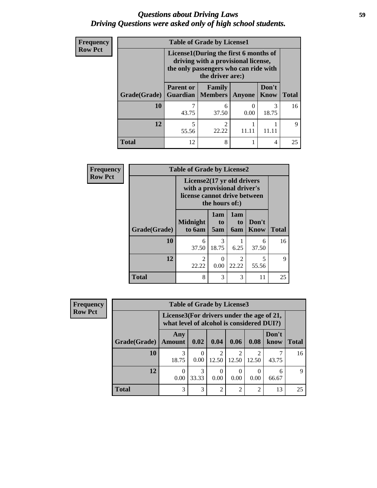## *Questions about Driving Laws* **59** *Driving Questions were asked only of high school students.*

| <b>Frequency</b> | <b>Table of Grade by License1</b> |                                                                                                                                           |            |        |                      |              |  |  |  |  |
|------------------|-----------------------------------|-------------------------------------------------------------------------------------------------------------------------------------------|------------|--------|----------------------|--------------|--|--|--|--|
| <b>Row Pct</b>   |                                   | License1(During the first 6 months of<br>driving with a provisional license,<br>the only passengers who can ride with<br>the driver are:) |            |        |                      |              |  |  |  |  |
|                  | Grade(Grade)                      | <b>Parent or</b><br><b>Guardian</b>   Members                                                                                             | Family     | Anyone | Don't<br><b>Know</b> | <b>Total</b> |  |  |  |  |
|                  | 10                                | 43.75                                                                                                                                     | 6<br>37.50 | 0.00   | 3<br>18.75           | 16           |  |  |  |  |
|                  | 12                                | 5<br>55.56                                                                                                                                | າ<br>22.22 |        |                      | $\mathbf Q$  |  |  |  |  |
|                  | <b>Total</b>                      | 12                                                                                                                                        | 8          |        | 4                    | 25           |  |  |  |  |

| Frequency      | <b>Table of Grade by License2</b> |                                                                                                             |                  |                         |                      |              |  |  |  |
|----------------|-----------------------------------|-------------------------------------------------------------------------------------------------------------|------------------|-------------------------|----------------------|--------------|--|--|--|
| <b>Row Pct</b> |                                   | License2(17 yr old drivers<br>with a provisional driver's<br>license cannot drive between<br>the hours of:) |                  |                         |                      |              |  |  |  |
|                | Grade(Grade)                      | <b>Midnight</b><br>to 6am                                                                                   | 1am<br>to<br>5am | 1am<br>to<br><b>6am</b> | Don't<br><b>Know</b> | <b>Total</b> |  |  |  |
|                | 10                                | 6<br>37.50                                                                                                  | 3<br>18.75       | 6.25                    | 6<br>37.50           | 16           |  |  |  |
|                | 12                                | $\overline{c}$<br>22.22                                                                                     | $\theta$<br>0.00 | 2<br>22.22              | 5<br>55.56           | 9            |  |  |  |
|                | <b>Total</b>                      | 8                                                                                                           | 3                | 3                       | 11                   | 25           |  |  |  |

| <b>Frequency</b> |              | <b>Table of Grade by License3</b><br>License3(For drivers under the age of 21,<br>what level of alcohol is considered DUI?) |       |                |               |                |               |              |  |
|------------------|--------------|-----------------------------------------------------------------------------------------------------------------------------|-------|----------------|---------------|----------------|---------------|--------------|--|
| <b>Row Pct</b>   |              |                                                                                                                             |       |                |               |                |               |              |  |
|                  | Grade(Grade) | Any<br><b>Amount</b>                                                                                                        | 0.02  | 0.04           | 0.06          | 0.08           | Don't<br>know | <b>Total</b> |  |
|                  | 10           | 18.75                                                                                                                       | 0.00  | 12.50          | 12.50         | 12.50          | ⇁<br>43.75    | 16           |  |
|                  | 12           | 0<br>0.00                                                                                                                   | 33.33 | 0.00           | 0.00          | 0.00           | 6<br>66.67    | $\mathbf Q$  |  |
|                  | <b>Total</b> | 3                                                                                                                           | 3     | $\overline{c}$ | $\mathcal{D}$ | $\overline{c}$ | 13            | 25           |  |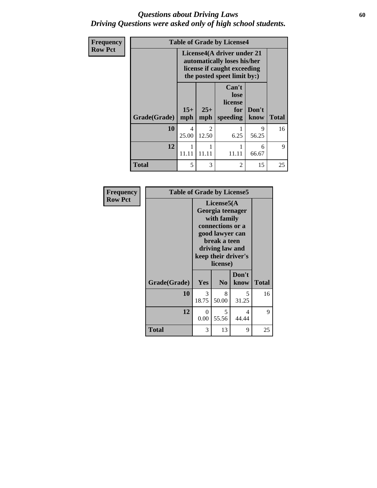### *Questions about Driving Laws* **60** *Driving Questions were asked only of high school students.*

| Frequency      | <b>Table of Grade by License4</b>                                                                                       |                         |                                      |                                             |               |              |  |  |  |
|----------------|-------------------------------------------------------------------------------------------------------------------------|-------------------------|--------------------------------------|---------------------------------------------|---------------|--------------|--|--|--|
| <b>Row Pct</b> | License4(A driver under 21<br>automatically loses his/her<br>license if caught exceeding<br>the posted speet limit by:) |                         |                                      |                                             |               |              |  |  |  |
|                | Grade(Grade)                                                                                                            | $15+$<br>mph            | $25+$<br>mph                         | Can't<br>lose<br>license<br>for<br>speeding | Don't<br>know | <b>Total</b> |  |  |  |
|                | 10                                                                                                                      | $\overline{4}$<br>25.00 | $\mathcal{D}_{\mathcal{L}}$<br>12.50 | 6.25                                        | 9<br>56.25    | 16           |  |  |  |
|                | 12                                                                                                                      | 11.11                   | 11.11                                | 11.11                                       | 6<br>66.67    | 9            |  |  |  |
|                | <b>Total</b>                                                                                                            | 5                       | 3                                    | $\overline{2}$                              | 15            | 25           |  |  |  |

| Frequency      | <b>Table of Grade by License5</b> |            |                                                                                                                                                             |               |              |  |  |
|----------------|-----------------------------------|------------|-------------------------------------------------------------------------------------------------------------------------------------------------------------|---------------|--------------|--|--|
| <b>Row Pct</b> |                                   |            | License5(A)<br>Georgia teenager<br>with family<br>connections or a<br>good lawyer can<br>break a teen<br>driving law and<br>keep their driver's<br>license) |               |              |  |  |
|                | Grade(Grade)                      | Yes        | N <sub>0</sub>                                                                                                                                              | Don't<br>know | <b>Total</b> |  |  |
|                | 10                                | 3<br>18.75 | 8<br>50.00                                                                                                                                                  | 5<br>31.25    | 16           |  |  |
|                | 12                                | 0<br>0.00  | 5.<br>55.56                                                                                                                                                 | 4<br>44.44    | 9            |  |  |
|                | <b>Total</b>                      | 3          | 13                                                                                                                                                          | 9             | 25           |  |  |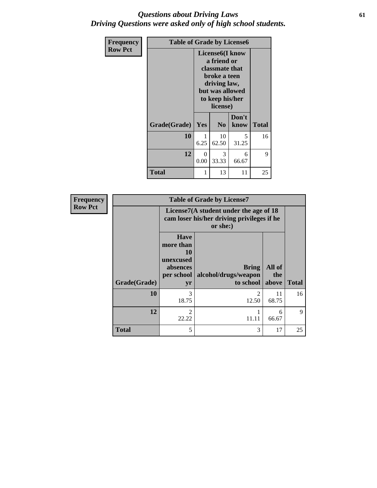## *Questions about Driving Laws* **61** *Driving Questions were asked only of high school students.*

| <b>Frequency</b> | <b>Table of Grade by License6</b> |           |                                                                                                                                                 |               |              |  |
|------------------|-----------------------------------|-----------|-------------------------------------------------------------------------------------------------------------------------------------------------|---------------|--------------|--|
| <b>Row Pct</b>   |                                   |           | License <sub>6</sub> (I know<br>a friend or<br>classmate that<br>broke a teen<br>driving law,<br>but was allowed<br>to keep his/her<br>license) |               |              |  |
|                  | Grade(Grade)                      | Yes       | N <sub>0</sub>                                                                                                                                  | Don't<br>know | <b>Total</b> |  |
|                  | 10                                | 1<br>6.25 | 10<br>62.50                                                                                                                                     | 5<br>31.25    | 16           |  |
|                  | 12                                | 0<br>0.00 | 3<br>33.33                                                                                                                                      | 6<br>66.67    | 9            |  |
|                  | <b>Total</b>                      | 1         | 13                                                                                                                                              | 11            | 25           |  |

| <b>Frequency</b> | <b>Table of Grade by License7</b> |                                                                             |                                                                                                  |               |              |  |
|------------------|-----------------------------------|-----------------------------------------------------------------------------|--------------------------------------------------------------------------------------------------|---------------|--------------|--|
| <b>Row Pct</b>   |                                   |                                                                             | License7(A student under the age of 18<br>cam loser his/her driving privileges if he<br>or she:) |               |              |  |
|                  |                                   | <b>Have</b><br>more than<br>10<br>unexcused<br>absences<br>$per$ school $ $ | <b>Bring</b><br>alcohol/drugs/weapon                                                             | All of<br>the | <b>Total</b> |  |
|                  | Grade(Grade)                      | yr                                                                          | to school above                                                                                  |               |              |  |
|                  | 10                                | 3<br>18.75                                                                  | $\mathfrak{D}$<br>12.50                                                                          | 11<br>68.75   | 16           |  |
|                  | 12                                | 2<br>22.22                                                                  | 11.11                                                                                            | 6<br>66.67    | 9            |  |
|                  | <b>Total</b>                      | 5                                                                           | 3                                                                                                | 17            | 25           |  |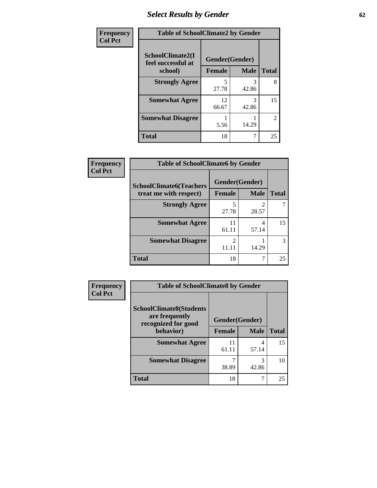# *Select Results by Gender* **62**

| Frequency      | <b>Table of SchoolClimate2 by Gender</b> |                |             |                |
|----------------|------------------------------------------|----------------|-------------|----------------|
| <b>Col Pct</b> | SchoolClimate2(I<br>feel successful at   | Gender(Gender) |             |                |
|                | school)                                  | <b>Female</b>  | <b>Male</b> | <b>Total</b>   |
|                | <b>Strongly Agree</b>                    | 5<br>27.78     | 42.86       | 8              |
|                | <b>Somewhat Agree</b>                    | 12<br>66.67    | 3<br>42.86  | 15             |
|                | <b>Somewhat Disagree</b>                 | 5.56           | 14.29       | $\overline{2}$ |
|                | <b>Total</b>                             | 18             | 7           | 25             |

| <b>Frequency</b> | <b>Table of SchoolClimate6 by Gender</b>                 |                         |             |              |  |
|------------------|----------------------------------------------------------|-------------------------|-------------|--------------|--|
| <b>Col Pct</b>   | <b>SchoolClimate6(Teachers</b><br>treat me with respect) | Gender(Gender)          |             |              |  |
|                  |                                                          | Female                  | <b>Male</b> | <b>Total</b> |  |
|                  | <b>Strongly Agree</b>                                    | 27.78                   | 28.57       |              |  |
|                  | <b>Somewhat Agree</b>                                    | 11<br>61.11             | 4<br>57.14  | 15           |  |
|                  | <b>Somewhat Disagree</b>                                 | $\mathfrak{D}$<br>11.11 | 14.29       | 3            |  |
|                  | <b>Total</b>                                             | 18                      | 7           | 25           |  |

| <b>Frequency</b> | <b>Table of SchoolClimate8 by Gender</b>         |                |             |              |  |
|------------------|--------------------------------------------------|----------------|-------------|--------------|--|
| <b>Col Pct</b>   | <b>SchoolClimate8(Students</b><br>are frequently | Gender(Gender) |             |              |  |
|                  | recognized for good<br>behavior)                 | <b>Female</b>  | <b>Male</b> | <b>Total</b> |  |
|                  | <b>Somewhat Agree</b>                            | 11<br>61.11    | 4<br>57.14  | 15           |  |
|                  | <b>Somewhat Disagree</b>                         | ℸ<br>38.89     | 3<br>42.86  | 10           |  |
|                  | <b>Total</b>                                     | 18             |             | 25           |  |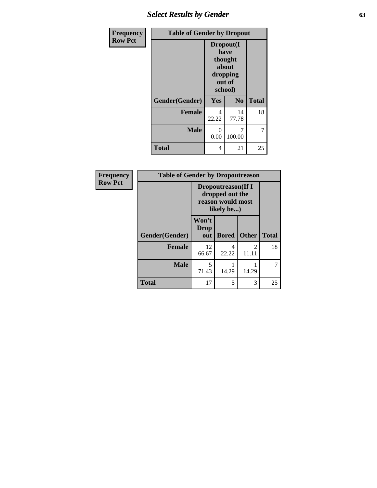# *Select Results by Gender* **63**

| Frequency      | <b>Table of Gender by Dropout</b> |                                                                        |                |              |
|----------------|-----------------------------------|------------------------------------------------------------------------|----------------|--------------|
| <b>Row Pct</b> |                                   | Dropout(I<br>have<br>thought<br>about<br>dropping<br>out of<br>school) |                |              |
|                | Gender(Gender)                    | Yes                                                                    | N <sub>0</sub> | <b>Total</b> |
|                | <b>Female</b>                     | 4<br>22.22                                                             | 14<br>77.78    | 18           |
|                | <b>Male</b>                       | 0<br>0.00                                                              | 7<br>100.00    | 7            |
|                | <b>Total</b>                      | 4                                                                      | 21             | 25           |

| Frequency      | <b>Table of Gender by Dropoutreason</b> |                                                                                  |              |                         |              |
|----------------|-----------------------------------------|----------------------------------------------------------------------------------|--------------|-------------------------|--------------|
| <b>Row Pct</b> |                                         | <b>Dropoutreason</b> (If I<br>dropped out the<br>reason would most<br>likely be) |              |                         |              |
|                | Gender(Gender)                          | Won't<br><b>Drop</b><br>out                                                      | <b>Bored</b> | <b>Other</b>            | <b>Total</b> |
|                | <b>Female</b>                           | 12<br>66.67                                                                      | 4<br>22.22   | $\mathfrak{D}$<br>11.11 | 18           |
|                | <b>Male</b>                             | 5<br>71.43                                                                       | 14.29        | 14.29                   |              |
|                | <b>Total</b>                            | 17                                                                               | 5            | 3                       | 25           |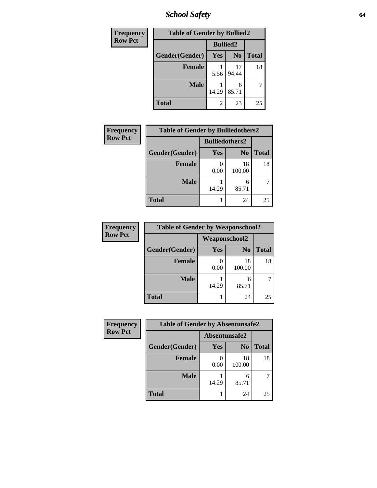*School Safety* **64**

| Frequency      | <b>Table of Gender by Bullied2</b> |                 |                |              |
|----------------|------------------------------------|-----------------|----------------|--------------|
| <b>Row Pct</b> |                                    | <b>Bullied2</b> |                |              |
|                | Gender(Gender)                     | Yes             | N <sub>0</sub> | <b>Total</b> |
|                | <b>Female</b>                      | 5.56            | 17<br>94.44    | 18           |
|                | <b>Male</b>                        | 14.29           | 6<br>85.71     |              |
|                | <b>Total</b>                       | 2               | 23             | 25           |

| Frequency      | <b>Table of Gender by Bulliedothers2</b> |                       |                |              |
|----------------|------------------------------------------|-----------------------|----------------|--------------|
| <b>Row Pct</b> |                                          | <b>Bulliedothers2</b> |                |              |
|                | Gender(Gender)                           | Yes                   | N <sub>0</sub> | <b>Total</b> |
|                | <b>Female</b>                            | 0.00                  | 18<br>100.00   | 18           |
|                | <b>Male</b>                              | 14.29                 | 6<br>85.71     |              |
|                | <b>Total</b>                             |                       | 24             | 25           |

| Frequency      | <b>Table of Gender by Weaponschool2</b> |                      |                |              |
|----------------|-----------------------------------------|----------------------|----------------|--------------|
| <b>Row Pct</b> |                                         | <b>Weaponschool2</b> |                |              |
|                | Gender(Gender)                          | Yes                  | N <sub>0</sub> | <b>Total</b> |
|                | <b>Female</b>                           | 0.00                 | 18<br>100.00   | 18           |
|                | <b>Male</b>                             | 14.29                | 6<br>85.71     |              |
|                | <b>Total</b>                            |                      | 24             | 25           |

| Frequency      | <b>Table of Gender by Absentunsafe2</b> |               |                |              |
|----------------|-----------------------------------------|---------------|----------------|--------------|
| <b>Row Pct</b> |                                         | Absentunsafe2 |                |              |
|                | Gender(Gender)                          | Yes           | N <sub>0</sub> | <b>Total</b> |
|                | <b>Female</b>                           | 0.00          | 18<br>100.00   | 18           |
|                | <b>Male</b>                             | 14.29         | 6<br>85.71     |              |
|                | <b>Total</b>                            |               | 24             | 25           |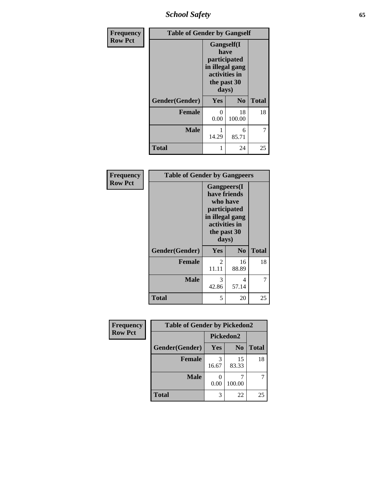*School Safety* **65**

| Frequency      | <b>Table of Gender by Gangself</b> |                                                                                                |                |              |
|----------------|------------------------------------|------------------------------------------------------------------------------------------------|----------------|--------------|
| <b>Row Pct</b> |                                    | Gangself(I<br>have<br>participated<br>in illegal gang<br>activities in<br>the past 30<br>days) |                |              |
|                | Gender(Gender)                     | Yes                                                                                            | N <sub>0</sub> | <b>Total</b> |
|                | <b>Female</b>                      | 0<br>0.00                                                                                      | 18<br>100.00   | 18           |
|                | <b>Male</b>                        | 14.29                                                                                          | 6<br>85.71     | 7            |
|                | <b>Total</b>                       |                                                                                                | 24             | 25           |

| Frequency      | <b>Table of Gender by Gangpeers</b> |                                                                                                                             |                |              |
|----------------|-------------------------------------|-----------------------------------------------------------------------------------------------------------------------------|----------------|--------------|
| <b>Row Pct</b> |                                     | <b>Gangpeers</b> (I<br>have friends<br>who have<br>participated<br>in illegal gang<br>activities in<br>the past 30<br>days) |                |              |
|                | Gender(Gender)                      | Yes                                                                                                                         | N <sub>0</sub> | <b>Total</b> |
|                | <b>Female</b>                       | 2<br>11.11                                                                                                                  | 16<br>88.89    | 18           |
|                | <b>Male</b>                         | 3<br>42.86                                                                                                                  | 4<br>57.14     | 7            |
|                | <b>Total</b>                        | 5                                                                                                                           | 20             | 25           |

| Frequency      | <b>Table of Gender by Pickedon2</b> |            |                |       |  |
|----------------|-------------------------------------|------------|----------------|-------|--|
| <b>Row Pct</b> |                                     | Pickedon2  |                |       |  |
|                | Gender(Gender)                      | Yes        | N <sub>0</sub> | Total |  |
|                | <b>Female</b>                       | 3<br>16.67 | 15<br>83.33    | 18    |  |
|                | <b>Male</b>                         | 0.00       | 100.00         |       |  |
|                | <b>Total</b>                        | 3          | 22             | 25    |  |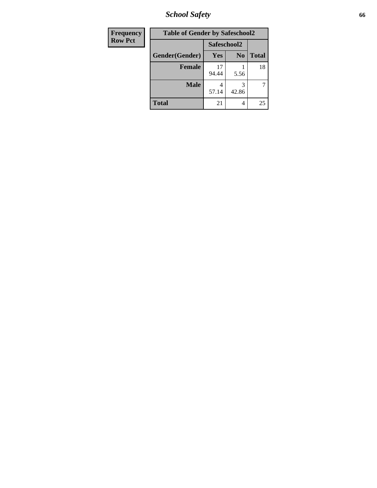*School Safety* **66**

| Frequency      | <b>Table of Gender by Safeschool2</b> |             |                |              |  |
|----------------|---------------------------------------|-------------|----------------|--------------|--|
| <b>Row Pct</b> |                                       | Safeschool2 |                |              |  |
|                | Gender(Gender)                        | <b>Yes</b>  | N <sub>0</sub> | <b>Total</b> |  |
|                | <b>Female</b>                         | 17<br>94.44 | 5.56           | 18           |  |
|                | <b>Male</b>                           | 4<br>57.14  | 3<br>42.86     | 7            |  |
|                | <b>Total</b>                          | 21          | 4              | 25           |  |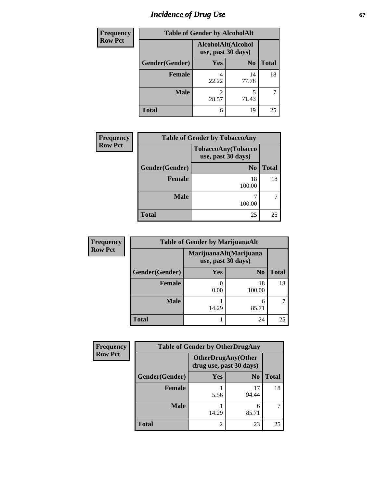# *Incidence of Drug Use* 67

| Frequency      |                | <b>Table of Gender by AlcoholAlt</b>     |                |              |
|----------------|----------------|------------------------------------------|----------------|--------------|
| <b>Row Pct</b> |                | AlcoholAlt(Alcohol<br>use, past 30 days) |                |              |
|                | Gender(Gender) | Yes                                      | N <sub>0</sub> | <b>Total</b> |
|                | <b>Female</b>  | 4<br>22.22                               | 14<br>77.78    | 18           |
|                | <b>Male</b>    | 2<br>28.57                               | 5<br>71.43     |              |
|                | <b>Total</b>   | 6                                        | 19             | 25           |

| <b>Frequency</b> | <b>Table of Gender by TobaccoAny</b> |                                          |              |  |
|------------------|--------------------------------------|------------------------------------------|--------------|--|
| <b>Row Pct</b>   |                                      | TobaccoAny(Tobacco<br>use, past 30 days) |              |  |
|                  | Gender(Gender)                       | N <sub>0</sub>                           | <b>Total</b> |  |
|                  | <b>Female</b>                        | 18<br>100.00                             | 18           |  |
|                  | <b>Male</b>                          | 100.00                                   |              |  |
|                  | <b>Total</b>                         | 25                                       | 25           |  |

| <b>Frequency</b> | <b>Table of Gender by MarijuanaAlt</b> |            |                                              |              |
|------------------|----------------------------------------|------------|----------------------------------------------|--------------|
| <b>Row Pct</b>   |                                        |            | MarijuanaAlt(Marijuana<br>use, past 30 days) |              |
|                  | Gender(Gender)                         | <b>Yes</b> | N <sub>0</sub>                               | <b>Total</b> |
|                  | Female                                 | 0.00       | 18<br>100.00                                 | 18           |
|                  | <b>Male</b>                            | 14.29      | 6<br>85.71                                   |              |
|                  | <b>Total</b>                           |            | 24                                           | 25           |

| <b>Frequency</b> | <b>Table of Gender by OtherDrugAny</b> |                                                       |                |              |
|------------------|----------------------------------------|-------------------------------------------------------|----------------|--------------|
| <b>Row Pct</b>   |                                        | <b>OtherDrugAny</b> (Other<br>drug use, past 30 days) |                |              |
|                  | Gender(Gender)                         | Yes                                                   | N <sub>0</sub> | <b>Total</b> |
|                  | <b>Female</b>                          | 5.56                                                  | 17<br>94.44    | 18           |
|                  | <b>Male</b>                            | 14.29                                                 | 6<br>85.71     |              |
|                  | <b>Total</b>                           | 2                                                     | 23             | 25           |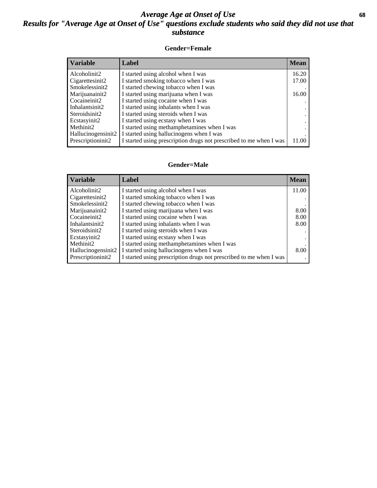## *Average Age at Onset of Use* **68** *Results for "Average Age at Onset of Use" questions exclude students who said they did not use that substance*

### **Gender=Female**

| Variable           | <b>Label</b>                                                       | <b>Mean</b> |
|--------------------|--------------------------------------------------------------------|-------------|
| Alcoholinit2       | I started using alcohol when I was                                 | 16.20       |
| Cigarettesinit2    | I started smoking tobacco when I was                               | 17.00       |
| Smokelessinit2     | I started chewing tobacco when I was                               |             |
| Marijuanainit2     | I started using marijuana when I was                               | 16.00       |
| Cocaineinit2       | I started using cocaine when I was                                 |             |
| Inhalantsinit2     | I started using inhalants when I was                               |             |
| Steroidsinit2      | I started using steroids when I was                                |             |
| Ecstasyinit2       | I started using ecstasy when I was                                 |             |
| Methinit2          | I started using methamphetamines when I was                        |             |
| Hallucinogensinit2 | I started using hallucinogens when I was                           |             |
| Prescription in t2 | I started using prescription drugs not prescribed to me when I was | 11.00       |

### **Gender=Male**

| <b>Variable</b>       | Label                                                              | <b>Mean</b> |
|-----------------------|--------------------------------------------------------------------|-------------|
| Alcoholinit2          | I started using alcohol when I was                                 | 11.00       |
| Cigarettesinit2       | I started smoking tobacco when I was                               |             |
| Smokelessinit2        | I started chewing tobacco when I was                               |             |
| Marijuanainit2        | I started using marijuana when I was                               | 8.00        |
| Cocaineinit2          | I started using cocaine when I was                                 | 8.00        |
| Inhalantsinit2        | I started using inhalants when I was                               | 8.00        |
| Steroidsinit2         | I started using steroids when I was                                |             |
| Ecstasyinit2          | I started using ecstasy when I was                                 |             |
| Methinit <sub>2</sub> | I started using methamphetamines when I was                        |             |
| Hallucinogensinit2    | I started using hallucinogens when I was                           | 8.00        |
| Prescriptioninit2     | I started using prescription drugs not prescribed to me when I was |             |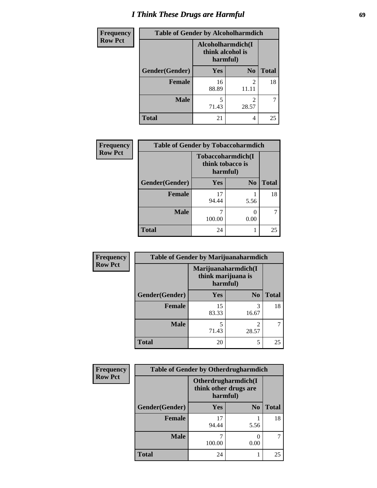# *I Think These Drugs are Harmful* **69**

| <b>Frequency</b> | <b>Table of Gender by Alcoholharmdich</b> |                                                   |                |              |
|------------------|-------------------------------------------|---------------------------------------------------|----------------|--------------|
| <b>Row Pct</b>   |                                           | Alcoholharmdich(I<br>think alcohol is<br>harmful) |                |              |
|                  | Gender(Gender)                            | Yes                                               | N <sub>0</sub> | <b>Total</b> |
|                  | <b>Female</b>                             | 16<br>88.89                                       | 2<br>11.11     | 18           |
|                  | <b>Male</b>                               | 5<br>71.43                                        | 28.57          |              |
|                  | <b>Total</b>                              | 21                                                | 4              | 25           |

| Frequency      | <b>Table of Gender by Tobaccoharmdich</b> |                  |                               |              |
|----------------|-------------------------------------------|------------------|-------------------------------|--------------|
| <b>Row Pct</b> |                                           | think tobacco is | Tobaccoharmdich(I<br>harmful) |              |
|                | Gender(Gender)                            | Yes              | N <sub>0</sub>                | <b>Total</b> |
|                | <b>Female</b>                             | 17<br>94.44      | 5.56                          | 18           |
|                | <b>Male</b>                               | 100.00           | 0<br>0.00                     |              |
|                | <b>Total</b>                              | 24               |                               | 25           |

| Frequency      | <b>Table of Gender by Marijuanaharmdich</b> |                                |                         |              |  |
|----------------|---------------------------------------------|--------------------------------|-------------------------|--------------|--|
| <b>Row Pct</b> |                                             | think marijuana is<br>harmful) | Marijuanaharmdich(I     |              |  |
|                | Gender(Gender)                              | <b>Yes</b>                     | N <sub>0</sub>          | <b>Total</b> |  |
|                | <b>Female</b>                               | 15<br>83.33                    | 3<br>16.67              | 18           |  |
|                | <b>Male</b>                                 | 5<br>71.43                     | $\mathfrak{D}$<br>28.57 |              |  |
|                | <b>Total</b>                                | 20                             | 5                       | 25           |  |

| Frequency      | <b>Table of Gender by Otherdrugharmdich</b> |                                   |                     |              |
|----------------|---------------------------------------------|-----------------------------------|---------------------|--------------|
| <b>Row Pct</b> |                                             | think other drugs are<br>harmful) | Otherdrugharmdich(I |              |
|                | Gender(Gender)                              | <b>Yes</b>                        | N <sub>0</sub>      | <b>Total</b> |
|                | <b>Female</b>                               | 17<br>94.44                       | 5.56                | 18           |
|                | <b>Male</b>                                 | 100.00                            | 0<br>0.00           |              |
|                | <b>Total</b>                                | 24                                |                     | 25           |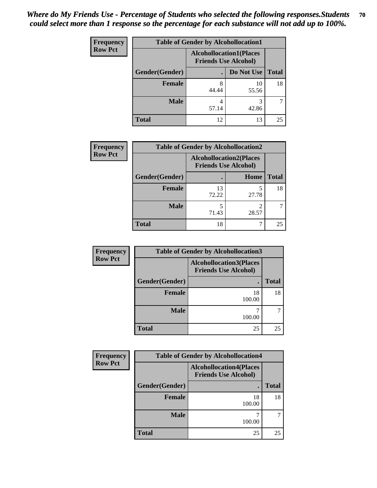| <b>Frequency</b> | <b>Table of Gender by Alcohollocation1</b> |                                                               |             |              |
|------------------|--------------------------------------------|---------------------------------------------------------------|-------------|--------------|
| <b>Row Pct</b>   |                                            | <b>Alcohollocation1(Places</b><br><b>Friends Use Alcohol)</b> |             |              |
|                  | Gender(Gender)                             |                                                               | Do Not Use  | <b>Total</b> |
|                  | <b>Female</b>                              | 8<br>44.44                                                    | 10<br>55.56 | 18           |
|                  | <b>Male</b>                                | 57.14                                                         | 42.86       |              |
|                  | <b>Total</b>                               | 12                                                            | 13          | 25           |

| <b>Frequency</b> | <b>Table of Gender by Alcohollocation2</b> |             |                                                               |              |
|------------------|--------------------------------------------|-------------|---------------------------------------------------------------|--------------|
| <b>Row Pct</b>   |                                            |             | <b>Alcohollocation2(Places</b><br><b>Friends Use Alcohol)</b> |              |
|                  | Gender(Gender)                             |             | <b>Home</b>                                                   | <b>Total</b> |
|                  | Female                                     | 13<br>72.22 | 27.78                                                         | 18           |
|                  | <b>Male</b>                                | 5<br>71.43  | 28.57                                                         |              |
|                  | <b>Total</b>                               | 18          |                                                               | 25           |

| Frequency      | <b>Table of Gender by Alcohollocation3</b> |                                                               |              |  |
|----------------|--------------------------------------------|---------------------------------------------------------------|--------------|--|
| <b>Row Pct</b> |                                            | <b>Alcohollocation3(Places</b><br><b>Friends Use Alcohol)</b> |              |  |
|                | Gender(Gender)                             |                                                               | <b>Total</b> |  |
|                | <b>Female</b>                              | 18<br>100.00                                                  | 18           |  |
|                | <b>Male</b>                                | 100.00                                                        |              |  |
|                | <b>Total</b>                               | 25                                                            | 25           |  |

| <b>Frequency</b> | <b>Table of Gender by Alcohollocation4</b>                    |              |              |  |  |
|------------------|---------------------------------------------------------------|--------------|--------------|--|--|
| <b>Row Pct</b>   | <b>Alcohollocation4(Places</b><br><b>Friends Use Alcohol)</b> |              |              |  |  |
|                  | Gender(Gender)                                                |              | <b>Total</b> |  |  |
|                  | <b>Female</b>                                                 | 18<br>100.00 | 18           |  |  |
|                  | <b>Male</b>                                                   | 100.00       |              |  |  |
|                  | <b>Total</b>                                                  | 25           | 25           |  |  |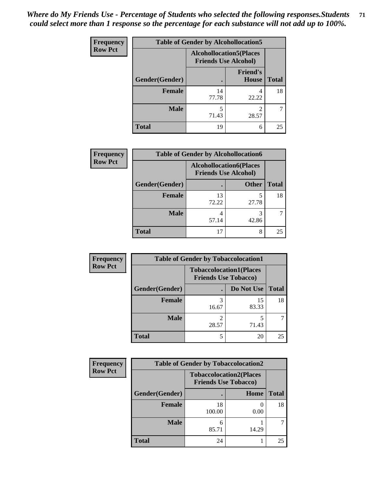| <b>Frequency</b> | <b>Table of Gender by Alcohollocation5</b> |                                                                |                                 |              |
|------------------|--------------------------------------------|----------------------------------------------------------------|---------------------------------|--------------|
| <b>Row Pct</b>   |                                            | <b>Alcohollocation5</b> (Places<br><b>Friends Use Alcohol)</b> |                                 |              |
|                  | Gender(Gender)                             |                                                                | <b>Friend's</b><br><b>House</b> | <b>Total</b> |
|                  | <b>Female</b>                              | 14<br>77.78                                                    | 4<br>22.22                      | 18           |
|                  | <b>Male</b>                                | 5<br>71.43                                                     | 28.57                           |              |
|                  | <b>Total</b>                               | 19                                                             | 6                               | 25           |

| Frequency      | <b>Table of Gender by Alcohollocation6</b> |                                                               |              |              |  |
|----------------|--------------------------------------------|---------------------------------------------------------------|--------------|--------------|--|
| <b>Row Pct</b> |                                            | <b>Alcohollocation6(Places</b><br><b>Friends Use Alcohol)</b> |              |              |  |
|                | <b>Gender</b> (Gender)                     |                                                               | <b>Other</b> | <b>Total</b> |  |
|                | <b>Female</b>                              | 13<br>72.22                                                   | 27.78        | 18           |  |
|                | <b>Male</b>                                | 57.14                                                         | 42.86        |              |  |
|                | <b>Total</b>                               | 17                                                            | 8            | 25           |  |

| Frequency      | <b>Table of Gender by Tobaccolocation1</b> |                                                               |             |              |  |
|----------------|--------------------------------------------|---------------------------------------------------------------|-------------|--------------|--|
| <b>Row Pct</b> |                                            | <b>Tobaccolocation1(Places</b><br><b>Friends Use Tobacco)</b> |             |              |  |
|                | Gender(Gender)                             |                                                               | Do Not Use  | <b>Total</b> |  |
|                | Female                                     | 16.67                                                         | 15<br>83.33 | 18           |  |
|                | <b>Male</b>                                | 28.57                                                         | 71.43       |              |  |
|                | <b>Total</b>                               |                                                               | 20          | 25           |  |

| <b>Frequency</b> | <b>Table of Gender by Tobaccolocation2</b> |              |                                                               |              |  |
|------------------|--------------------------------------------|--------------|---------------------------------------------------------------|--------------|--|
| <b>Row Pct</b>   |                                            |              | <b>Tobaccolocation2(Places</b><br><b>Friends Use Tobacco)</b> |              |  |
|                  | Gender(Gender)                             |              | <b>Home</b>                                                   | <b>Total</b> |  |
|                  | Female                                     | 18<br>100.00 | 0.00                                                          | 18           |  |
|                  | <b>Male</b>                                | 85.71        | 14.29                                                         |              |  |
|                  | <b>Total</b>                               | 24           |                                                               | 25           |  |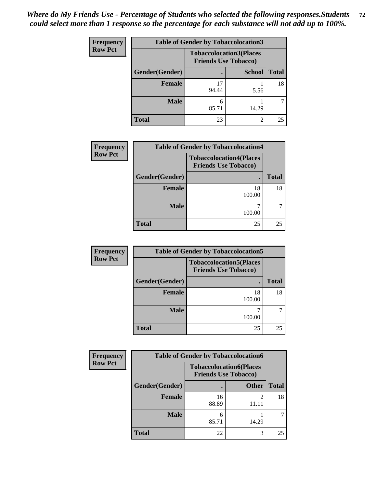| <b>Frequency</b> |                | <b>Table of Gender by Tobaccolocation3</b>                    |               |              |
|------------------|----------------|---------------------------------------------------------------|---------------|--------------|
| <b>Row Pct</b>   |                | <b>Tobaccolocation3(Places</b><br><b>Friends Use Tobacco)</b> |               |              |
|                  | Gender(Gender) |                                                               | <b>School</b> | <b>Total</b> |
|                  | <b>Female</b>  | 17<br>94.44                                                   | 5.56          | 18           |
|                  | <b>Male</b>    | 6<br>85.71                                                    | 14.29         |              |
|                  | <b>Total</b>   | 23                                                            | ◠             | 25           |

| <b>Frequency</b> | <b>Table of Gender by Tobaccolocation4</b> |                                                               |              |
|------------------|--------------------------------------------|---------------------------------------------------------------|--------------|
| <b>Row Pct</b>   |                                            | <b>Tobaccolocation4(Places</b><br><b>Friends Use Tobacco)</b> |              |
|                  | Gender(Gender)                             |                                                               | <b>Total</b> |
|                  | <b>Female</b>                              | 18<br>100.00                                                  | 18           |
|                  | <b>Male</b>                                | 100.00                                                        |              |
|                  | <b>Total</b>                               | 25                                                            | 25           |

| Frequency      | <b>Table of Gender by Tobaccolocation5</b> |                                                               |              |
|----------------|--------------------------------------------|---------------------------------------------------------------|--------------|
| <b>Row Pct</b> |                                            | <b>Tobaccolocation5(Places</b><br><b>Friends Use Tobacco)</b> |              |
|                | Gender(Gender)                             | $\bullet$                                                     | <b>Total</b> |
|                | <b>Female</b>                              | 18<br>100.00                                                  | 18           |
|                | <b>Male</b>                                | 100.00                                                        |              |
|                | <b>Total</b>                               | 25                                                            | 25           |

| <b>Frequency</b> | <b>Table of Gender by Tobaccolocation6</b>                    |             |              |              |  |
|------------------|---------------------------------------------------------------|-------------|--------------|--------------|--|
| <b>Row Pct</b>   | <b>Tobaccolocation6(Places</b><br><b>Friends Use Tobacco)</b> |             |              |              |  |
|                  | Gender(Gender)                                                |             | <b>Other</b> | <b>Total</b> |  |
|                  | <b>Female</b>                                                 | 16<br>88.89 | 11.11        | 18           |  |
|                  | <b>Male</b>                                                   | n<br>85.71  | 14.29        |              |  |
|                  | <b>Total</b>                                                  | 22          | 3            | 25           |  |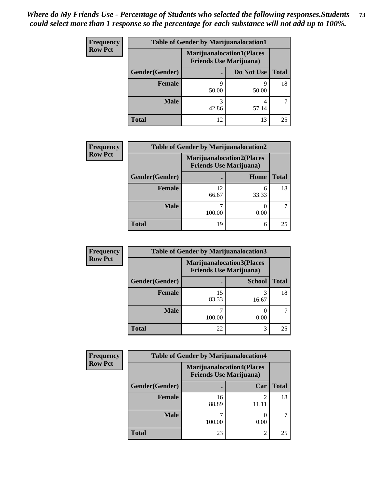### *Where do My Friends Use - Percentage of Students who selected the following responses.Students could select more than 1 response so the percentage for each substance will not add up to 100%.* **73**

| <b>Frequency</b> | <b>Table of Gender by Marijuanalocation1</b> |                                                                    |            |              |
|------------------|----------------------------------------------|--------------------------------------------------------------------|------------|--------------|
| <b>Row Pct</b>   |                                              | <b>Marijuanalocation1(Places</b><br><b>Friends Use Marijuana</b> ) |            |              |
|                  | <b>Gender</b> (Gender)                       |                                                                    | Do Not Use | <b>Total</b> |
|                  | <b>Female</b>                                | Q<br>50.00                                                         | Q<br>50.00 | 18           |
|                  | <b>Male</b>                                  | 42.86                                                              | 57.14      |              |
|                  | <b>Total</b>                                 | 12                                                                 | 13         | 25           |

| <b>Frequency</b> | <b>Table of Gender by Marijuanalocation2</b> |                                                                    |            |              |  |
|------------------|----------------------------------------------|--------------------------------------------------------------------|------------|--------------|--|
| <b>Row Pct</b>   |                                              | <b>Marijuanalocation2(Places</b><br><b>Friends Use Marijuana</b> ) |            |              |  |
|                  | Gender(Gender)                               |                                                                    | Home       | <b>Total</b> |  |
|                  | <b>Female</b>                                | 12<br>66.67                                                        | 6<br>33.33 | 18           |  |
|                  | <b>Male</b>                                  | 100.00                                                             | 0.00       |              |  |
|                  | <b>Total</b>                                 | 19                                                                 | 6          | 25           |  |

| Frequency      | <b>Table of Gender by Marijuanalocation3</b> |                                                                    |               |              |  |
|----------------|----------------------------------------------|--------------------------------------------------------------------|---------------|--------------|--|
| <b>Row Pct</b> |                                              | <b>Marijuanalocation3(Places</b><br><b>Friends Use Marijuana</b> ) |               |              |  |
|                | Gender(Gender)                               |                                                                    | <b>School</b> | <b>Total</b> |  |
|                | Female                                       | 15<br>83.33                                                        | 3<br>16.67    | 18           |  |
|                | <b>Male</b>                                  | 100.00                                                             | 0.00          |              |  |
|                | <b>Total</b>                                 | 22                                                                 | 3             | 25           |  |

| <b>Frequency</b> | <b>Table of Gender by Marijuanalocation4</b> |                                                                    |      |              |  |
|------------------|----------------------------------------------|--------------------------------------------------------------------|------|--------------|--|
| <b>Row Pct</b>   |                                              | <b>Marijuanalocation4(Places</b><br><b>Friends Use Marijuana</b> ) |      |              |  |
|                  | Gender(Gender)                               |                                                                    | Car  | <b>Total</b> |  |
|                  | <b>Female</b>                                | 16<br>88.89                                                        |      | 18           |  |
|                  | <b>Male</b>                                  | 100.00                                                             | 0.00 |              |  |
|                  | <b>Total</b>                                 | 23                                                                 | ↑    | 25           |  |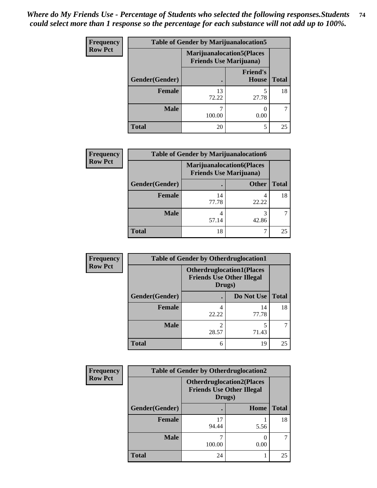#### *Where do My Friends Use - Percentage of Students who selected the following responses.Students could select more than 1 response so the percentage for each substance will not add up to 100%.* **74**

| <b>Frequency</b> | <b>Table of Gender by Marijuanalocation5</b> |                                                                     |                                 |              |
|------------------|----------------------------------------------|---------------------------------------------------------------------|---------------------------------|--------------|
| <b>Row Pct</b>   |                                              | <b>Marijuanalocation5</b> (Places<br><b>Friends Use Marijuana</b> ) |                                 |              |
|                  | Gender(Gender)                               |                                                                     | <b>Friend's</b><br><b>House</b> | <b>Total</b> |
|                  | <b>Female</b>                                | 13<br>72.22                                                         | 27.78                           | 18           |
|                  | <b>Male</b>                                  | 100.00                                                              | 0.00                            |              |
|                  | <b>Total</b>                                 | 20                                                                  | 5                               | 25           |

| <b>Frequency</b> | <b>Table of Gender by Marijuanalocation6</b> |                                                                    |              |              |  |
|------------------|----------------------------------------------|--------------------------------------------------------------------|--------------|--------------|--|
| <b>Row Pct</b>   |                                              | <b>Marijuanalocation6(Places</b><br><b>Friends Use Marijuana</b> ) |              |              |  |
|                  | Gender(Gender)                               |                                                                    | <b>Other</b> | <b>Total</b> |  |
|                  | Female                                       | 14<br>77.78                                                        | 4<br>22.22   | 18           |  |
|                  | <b>Male</b>                                  | 57.14                                                              | 3<br>42.86   |              |  |
|                  | <b>Total</b>                                 | 18                                                                 |              | 25           |  |

| Frequency      | <b>Table of Gender by Otherdruglocation1</b> |                                                                                |             |              |
|----------------|----------------------------------------------|--------------------------------------------------------------------------------|-------------|--------------|
| <b>Row Pct</b> |                                              | <b>Otherdruglocation1(Places</b><br><b>Friends Use Other Illegal</b><br>Drugs) |             |              |
|                | Gender(Gender)                               |                                                                                | Do Not Use  | <b>Total</b> |
|                | Female                                       | 22.22                                                                          | 14<br>77.78 | 18           |
|                | <b>Male</b>                                  | 28.57                                                                          | 71.43       |              |
|                | <b>Total</b>                                 | 6                                                                              | 19          | 25           |

| <b>Frequency</b> | <b>Table of Gender by Otherdruglocation2</b> |                                                                                |      |              |
|------------------|----------------------------------------------|--------------------------------------------------------------------------------|------|--------------|
| <b>Row Pct</b>   |                                              | <b>Otherdruglocation2(Places</b><br><b>Friends Use Other Illegal</b><br>Drugs) |      |              |
|                  | Gender(Gender)                               |                                                                                | Home | <b>Total</b> |
|                  | Female                                       | 17<br>94.44                                                                    | 5.56 | 18           |
|                  | <b>Male</b>                                  | 100.00                                                                         | 0.00 |              |
|                  | <b>Total</b>                                 | 24                                                                             |      | 25           |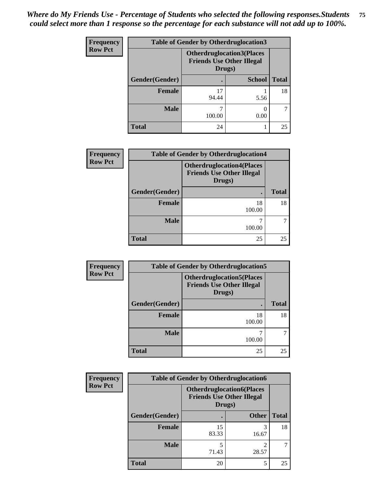### *Where do My Friends Use - Percentage of Students who selected the following responses.Students could select more than 1 response so the percentage for each substance will not add up to 100%.* **75**

| Frequency      | <b>Table of Gender by Otherdruglocation3</b> |                                                                                |               |              |
|----------------|----------------------------------------------|--------------------------------------------------------------------------------|---------------|--------------|
| <b>Row Pct</b> |                                              | <b>Otherdruglocation3(Places</b><br><b>Friends Use Other Illegal</b><br>Drugs) |               |              |
|                | Gender(Gender)                               |                                                                                | <b>School</b> | <b>Total</b> |
|                | Female                                       | 17<br>94.44                                                                    | 5.56          | 18           |
|                | <b>Male</b>                                  | 100.00                                                                         | 0.00          |              |
|                | <b>Total</b>                                 | 24                                                                             |               | 25           |

| Frequency      | <b>Table of Gender by Otherdruglocation4</b> |                                                                                |              |  |
|----------------|----------------------------------------------|--------------------------------------------------------------------------------|--------------|--|
| <b>Row Pct</b> |                                              | <b>Otherdruglocation4(Places</b><br><b>Friends Use Other Illegal</b><br>Drugs) |              |  |
|                | Gender(Gender)                               |                                                                                | <b>Total</b> |  |
|                | <b>Female</b>                                | 18<br>100.00                                                                   | 18           |  |
|                | <b>Male</b>                                  | ¬<br>100.00                                                                    |              |  |
|                | <b>Total</b>                                 | 25                                                                             | 25           |  |

| Frequency                | <b>Table of Gender by Otherdruglocation5</b> |                                                                       |              |  |
|--------------------------|----------------------------------------------|-----------------------------------------------------------------------|--------------|--|
| <b>Row Pct</b><br>Drugs) |                                              | <b>Otherdruglocation5(Places)</b><br><b>Friends Use Other Illegal</b> |              |  |
|                          | Gender(Gender)                               |                                                                       | <b>Total</b> |  |
|                          | Female                                       | 18<br>100.00                                                          | 18           |  |
|                          | <b>Male</b>                                  | 100.00                                                                |              |  |
|                          | <b>Total</b>                                 | 25                                                                    | 25           |  |

| Frequency      | <b>Table of Gender by Otherdruglocation6</b> |                                                                                |              |              |
|----------------|----------------------------------------------|--------------------------------------------------------------------------------|--------------|--------------|
| <b>Row Pct</b> |                                              | <b>Otherdruglocation6(Places</b><br><b>Friends Use Other Illegal</b><br>Drugs) |              |              |
|                | Gender(Gender)                               |                                                                                | <b>Other</b> | <b>Total</b> |
|                | Female                                       | 15<br>83.33                                                                    | 3<br>16.67   | 18           |
|                | <b>Male</b>                                  | 71.43                                                                          | ◠<br>28.57   |              |
|                | <b>Total</b>                                 | 20                                                                             | 5            | 25           |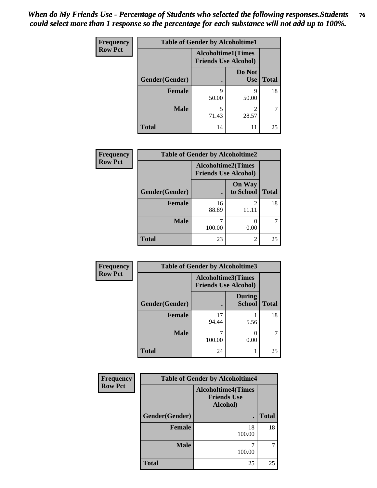#### *When do My Friends Use - Percentage of Students who selected the following responses.Students could select more than 1 response so the percentage for each substance will not add up to 100%.* **76**

| <b>Frequency</b> | <b>Table of Gender by Alcoholtime1</b> |                                                          |                      |              |
|------------------|----------------------------------------|----------------------------------------------------------|----------------------|--------------|
| <b>Row Pct</b>   |                                        | <b>Alcoholtime1(Times</b><br><b>Friends Use Alcohol)</b> |                      |              |
|                  | Gender(Gender)                         |                                                          | Do Not<br><b>Use</b> | <b>Total</b> |
|                  | <b>Female</b>                          | 9<br>50.00                                               | 9<br>50.00           | 18           |
|                  | <b>Male</b>                            | 5<br>71.43                                               | 2<br>28.57           | 7            |
|                  | <b>Total</b>                           | 14                                                       | 11                   | 25           |

| <b>Frequency</b> |                | <b>Table of Gender by Alcoholtime2</b>                   |                            |              |
|------------------|----------------|----------------------------------------------------------|----------------------------|--------------|
| <b>Row Pct</b>   |                | <b>Alcoholtime2(Times</b><br><b>Friends Use Alcohol)</b> |                            |              |
|                  | Gender(Gender) |                                                          | <b>On Way</b><br>to School | <b>Total</b> |
|                  | <b>Female</b>  | 16<br>88.89                                              | $\mathfrak{D}$<br>11.11    | 18           |
|                  | <b>Male</b>    | 100.00                                                   | 0.00                       |              |
|                  | <b>Total</b>   | 23                                                       | 2                          | 25           |

| Frequency      | <b>Table of Gender by Alcoholtime3</b> |                                                          |                                |              |
|----------------|----------------------------------------|----------------------------------------------------------|--------------------------------|--------------|
| <b>Row Pct</b> |                                        | <b>Alcoholtime3(Times</b><br><b>Friends Use Alcohol)</b> |                                |              |
|                | Gender(Gender)                         |                                                          | <b>During</b><br><b>School</b> | <b>Total</b> |
|                | <b>Female</b>                          | 17<br>94.44                                              | 5.56                           | 18           |
|                | <b>Male</b>                            | 100.00                                                   | 0.00                           | 7            |
|                | <b>Total</b>                           | 24                                                       |                                | 25           |

| Frequency      | <b>Table of Gender by Alcoholtime4</b> |              |              |  |
|----------------|----------------------------------------|--------------|--------------|--|
| <b>Row Pct</b> |                                        |              |              |  |
|                | Gender(Gender)                         |              | <b>Total</b> |  |
|                | <b>Female</b>                          | 18<br>100.00 | 18           |  |
|                | <b>Male</b>                            | 100.00       | 7            |  |
|                | <b>Total</b>                           | 25           | 25           |  |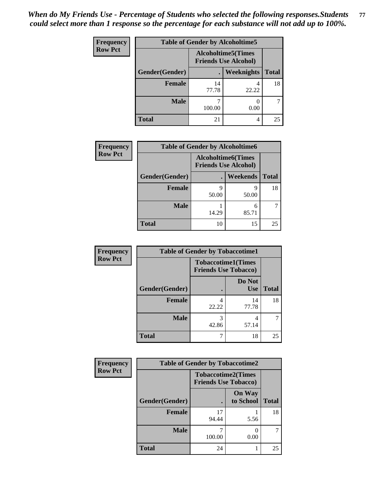*When do My Friends Use - Percentage of Students who selected the following responses.Students could select more than 1 response so the percentage for each substance will not add up to 100%.* **77**

| <b>Frequency</b> | <b>Table of Gender by Alcoholtime5</b> |                                                           |            |              |
|------------------|----------------------------------------|-----------------------------------------------------------|------------|--------------|
| <b>Row Pct</b>   |                                        | <b>Alcoholtime5</b> (Times<br><b>Friends Use Alcohol)</b> |            |              |
|                  | Gender(Gender)                         |                                                           | Weeknights | <b>Total</b> |
|                  | <b>Female</b>                          | 14<br>77.78                                               | 4<br>22.22 | 18           |
|                  | <b>Male</b>                            | 100.00                                                    | 0.00       | 7            |
|                  | <b>Total</b>                           | 21                                                        | 4          | 25           |

| <b>Frequency</b> | <b>Table of Gender by Alcoholtime6</b> |                                                           |                 |              |
|------------------|----------------------------------------|-----------------------------------------------------------|-----------------|--------------|
| <b>Row Pct</b>   |                                        | <b>Alcoholtime6</b> (Times<br><b>Friends Use Alcohol)</b> |                 |              |
|                  | Gender(Gender)                         |                                                           | <b>Weekends</b> | <b>Total</b> |
|                  | <b>Female</b>                          | 9<br>50.00                                                | q<br>50.00      | 18           |
|                  | <b>Male</b>                            | 14.29                                                     | 6<br>85.71      |              |
|                  | <b>Total</b>                           | 10                                                        | 15              | 25           |

| Frequency      | <b>Table of Gender by Tobaccotime1</b>                   |            |               |              |
|----------------|----------------------------------------------------------|------------|---------------|--------------|
| <b>Row Pct</b> | <b>Tobaccotime1(Times</b><br><b>Friends Use Tobacco)</b> |            |               |              |
|                | Gender(Gender)                                           |            | Do Not<br>Use | <b>Total</b> |
|                | Female                                                   | 4<br>22.22 | 14<br>77.78   | 18           |
|                | <b>Male</b>                                              | 3<br>42.86 | 4<br>57.14    |              |
|                | <b>Total</b>                                             |            | 18            | 25           |

| <b>Frequency</b> | <b>Table of Gender by Tobaccotime2</b> |                                                          |                            |              |
|------------------|----------------------------------------|----------------------------------------------------------|----------------------------|--------------|
| <b>Row Pct</b>   |                                        | <b>Tobaccotime2(Times</b><br><b>Friends Use Tobacco)</b> |                            |              |
|                  | Gender(Gender)                         |                                                          | <b>On Way</b><br>to School | <b>Total</b> |
|                  | Female                                 | 17<br>94.44                                              | 5.56                       | 18           |
|                  | <b>Male</b>                            | 100.00                                                   | 0.00                       |              |
|                  | <b>Total</b>                           | 24                                                       |                            | 25           |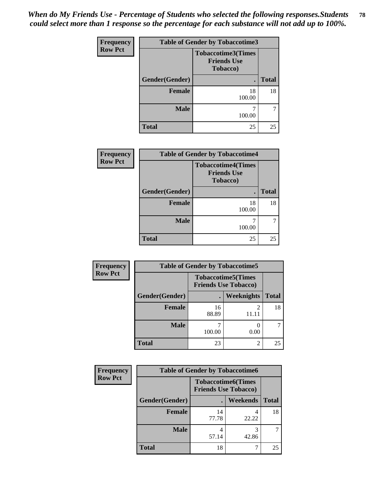*When do My Friends Use - Percentage of Students who selected the following responses.Students could select more than 1 response so the percentage for each substance will not add up to 100%.* **78**

| Frequency      | <b>Table of Gender by Tobaccotime3</b>                      |              |              |  |
|----------------|-------------------------------------------------------------|--------------|--------------|--|
| <b>Row Pct</b> | <b>Tobaccotime3(Times</b><br><b>Friends Use</b><br>Tobacco) |              |              |  |
|                | Gender(Gender)                                              |              | <b>Total</b> |  |
|                | <b>Female</b>                                               | 18<br>100.00 | 18           |  |
|                | <b>Male</b>                                                 | 100.00       |              |  |
|                | <b>Total</b>                                                | 25           | 25           |  |

| Frequency      | <b>Table of Gender by Tobaccotime4</b> |                                                             |              |  |
|----------------|----------------------------------------|-------------------------------------------------------------|--------------|--|
| <b>Row Pct</b> |                                        | <b>Tobaccotime4(Times</b><br><b>Friends Use</b><br>Tobacco) |              |  |
|                | Gender(Gender)                         |                                                             | <b>Total</b> |  |
|                | Female                                 | 18<br>100.00                                                | 18           |  |
|                | <b>Male</b>                            | 100.00                                                      |              |  |
|                | <b>Total</b>                           | 25                                                          | 25           |  |

| Frequency      | <b>Table of Gender by Tobaccotime5</b> |             |                                                           |              |  |
|----------------|----------------------------------------|-------------|-----------------------------------------------------------|--------------|--|
| <b>Row Pct</b> |                                        |             | <b>Tobaccotime5</b> (Times<br><b>Friends Use Tobacco)</b> |              |  |
|                | Gender(Gender)                         |             | <b>Weeknights</b>                                         | <b>Total</b> |  |
|                | <b>Female</b>                          | 16<br>88.89 | 2<br>11.11                                                | 18           |  |
|                | <b>Male</b>                            | 100.00      | 0.00                                                      |              |  |
|                | <b>Total</b>                           | 23          | $\overline{c}$                                            | 25           |  |

| Frequency      | <b>Table of Gender by Tobaccotime6</b> |                             |                           |              |  |
|----------------|----------------------------------------|-----------------------------|---------------------------|--------------|--|
| <b>Row Pct</b> |                                        | <b>Friends Use Tobacco)</b> | <b>Tobaccotime6(Times</b> |              |  |
|                | Gender(Gender)                         |                             | Weekends                  | <b>Total</b> |  |
|                | <b>Female</b>                          | 14<br>77.78                 | 22.22                     | 18           |  |
|                | <b>Male</b>                            | 4<br>57.14                  | 42.86                     |              |  |
|                | Total                                  | 18                          |                           | 25           |  |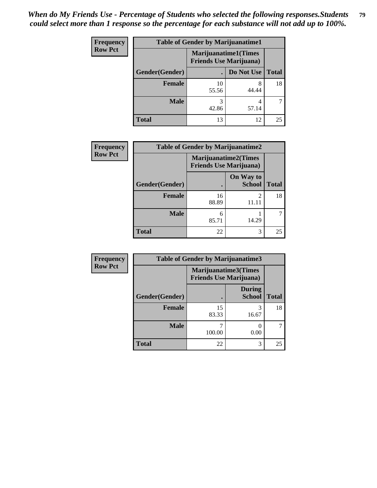*When do My Friends Use - Percentage of Students who selected the following responses.Students could select more than 1 response so the percentage for each substance will not add up to 100%.* **79**

| <b>Frequency</b> | <b>Table of Gender by Marijuanatime1</b> |                                |                             |              |
|------------------|------------------------------------------|--------------------------------|-----------------------------|--------------|
| <b>Row Pct</b>   |                                          | <b>Friends Use Marijuana</b> ) | <b>Marijuanatime1(Times</b> |              |
|                  | Gender(Gender)                           |                                | Do Not Use                  | <b>Total</b> |
|                  | <b>Female</b>                            | 10<br>55.56                    | 44.44                       | 18           |
|                  | <b>Male</b>                              | 3<br>42.86                     | 57.14                       |              |
|                  | <b>Total</b>                             | 13                             | 12                          | 25           |

| <b>Frequency</b> | <b>Table of Gender by Marijuanatime2</b> |                                                               |                                   |              |
|------------------|------------------------------------------|---------------------------------------------------------------|-----------------------------------|--------------|
| <b>Row Pct</b>   |                                          | <b>Marijuanatime2(Times</b><br><b>Friends Use Marijuana</b> ) |                                   |              |
|                  | Gender(Gender)                           |                                                               | <b>On Way to</b><br><b>School</b> | <b>Total</b> |
|                  | Female                                   | 16<br>88.89                                                   | 11.11                             | 18           |
|                  | <b>Male</b>                              | 6<br>85.71                                                    | 14.29                             |              |
|                  | <b>Total</b>                             | 22                                                            | 3                                 | 25           |

| <b>Frequency</b> | <b>Table of Gender by Marijuanatime3</b> |                                                        |                                |              |
|------------------|------------------------------------------|--------------------------------------------------------|--------------------------------|--------------|
| <b>Row Pct</b>   |                                          | Marijuanatime3(Times<br><b>Friends Use Marijuana</b> ) |                                |              |
|                  | Gender(Gender)                           |                                                        | <b>During</b><br><b>School</b> | <b>Total</b> |
|                  | <b>Female</b>                            | 15<br>83.33                                            | 16.67                          | 18           |
|                  | <b>Male</b>                              | 100.00                                                 | 0.00                           |              |
|                  | <b>Total</b>                             | 22                                                     | 3                              | 25           |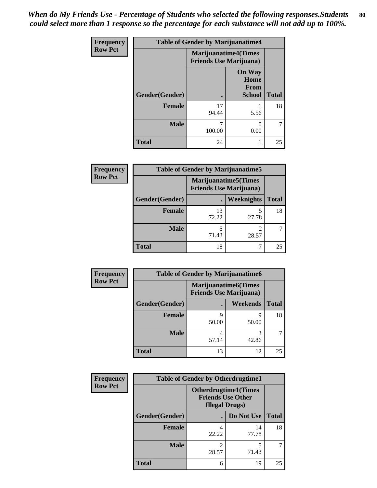*When do My Friends Use - Percentage of Students who selected the following responses.Students could select more than 1 response so the percentage for each substance will not add up to 100%.* **80**

| Frequency      | <b>Table of Gender by Marijuanatime4</b> |                                                                |                                                       |              |
|----------------|------------------------------------------|----------------------------------------------------------------|-------------------------------------------------------|--------------|
| <b>Row Pct</b> |                                          | <b>Marijuanatime4</b> (Times<br><b>Friends Use Marijuana</b> ) |                                                       |              |
|                | Gender(Gender)                           |                                                                | <b>On Way</b><br>Home<br><b>From</b><br><b>School</b> | <b>Total</b> |
|                | <b>Female</b>                            | 17<br>94.44                                                    | 5.56                                                  | 18           |
|                | <b>Male</b>                              | 100.00                                                         | $\Omega$<br>0.00                                      |              |
|                | <b>Total</b>                             | 24                                                             |                                                       | 25           |

| Frequency      | <b>Table of Gender by Marijuanatime5</b> |                                                                |                   |              |
|----------------|------------------------------------------|----------------------------------------------------------------|-------------------|--------------|
| <b>Row Pct</b> |                                          | <b>Marijuanatime5</b> (Times<br><b>Friends Use Marijuana</b> ) |                   |              |
|                | Gender(Gender)                           |                                                                | <b>Weeknights</b> | <b>Total</b> |
|                | <b>Female</b>                            | 13<br>72.22                                                    | 27.78             | 18           |
|                | <b>Male</b>                              | 71.43                                                          | 28.57             |              |
|                | <b>Total</b>                             | 18                                                             |                   | 25           |

| <b>Frequency</b> | <b>Table of Gender by Marijuanatime6</b> |                                |                      |              |  |
|------------------|------------------------------------------|--------------------------------|----------------------|--------------|--|
| <b>Row Pct</b>   |                                          | <b>Friends Use Marijuana</b> ) | Marijuanatime6(Times |              |  |
|                  | Gender(Gender)                           |                                | <b>Weekends</b>      | <b>Total</b> |  |
|                  | <b>Female</b>                            | 9<br>50.00                     | Q<br>50.00           | 18           |  |
|                  | <b>Male</b>                              | 4<br>57.14                     | 3<br>42.86           |              |  |
|                  | <b>Total</b>                             | 13                             | 12                   | 25           |  |

| Frequency      | <b>Table of Gender by Otherdrugtime1</b> |                                                                                    |                    |    |
|----------------|------------------------------------------|------------------------------------------------------------------------------------|--------------------|----|
| <b>Row Pct</b> |                                          | <b>Otherdrugtime1</b> (Times<br><b>Friends Use Other</b><br><b>Illegal Drugs</b> ) |                    |    |
|                | Gender(Gender)                           |                                                                                    | Do Not Use   Total |    |
|                | <b>Female</b>                            | 22.22                                                                              | 14<br>77.78        | 18 |
|                | <b>Male</b>                              | 28.57                                                                              | 5<br>71.43         |    |
|                | <b>Total</b>                             | 6                                                                                  | 19                 | 25 |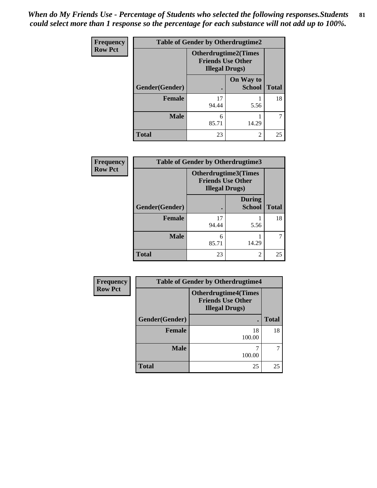*When do My Friends Use - Percentage of Students who selected the following responses.Students could select more than 1 response so the percentage for each substance will not add up to 100%.* **81**

| Frequency      | <b>Table of Gender by Otherdrugtime2</b> |                                                                                   |                            |              |
|----------------|------------------------------------------|-----------------------------------------------------------------------------------|----------------------------|--------------|
| <b>Row Pct</b> |                                          | <b>Otherdrugtime2(Times</b><br><b>Friends Use Other</b><br><b>Illegal Drugs</b> ) |                            |              |
|                | Gender(Gender)                           |                                                                                   | On Way to<br><b>School</b> | <b>Total</b> |
|                | <b>Female</b>                            | 17<br>94.44                                                                       | 5.56                       | 18           |
|                | <b>Male</b>                              | 6<br>85.71                                                                        | 14.29                      |              |
|                | <b>Total</b>                             | 23                                                                                | $\mathfrak{D}$             | 25           |

| Frequency      | <b>Table of Gender by Otherdrugtime3</b> |                        |                                                  |              |  |
|----------------|------------------------------------------|------------------------|--------------------------------------------------|--------------|--|
| <b>Row Pct</b> |                                          | <b>Illegal Drugs</b> ) | Otherdrugtime3(Times<br><b>Friends Use Other</b> |              |  |
|                | Gender(Gender)                           |                        | <b>During</b><br><b>School</b>                   | <b>Total</b> |  |
|                | <b>Female</b>                            | 17<br>94.44            | 5.56                                             | 18           |  |
|                | <b>Male</b>                              | 6<br>85.71             | 14.29                                            |              |  |
|                | <b>Total</b>                             | 23                     | $\mathfrak{D}$                                   | 25           |  |

| <b>Frequency</b> | <b>Table of Gender by Otherdrugtime4</b> |                                                                                   |              |  |
|------------------|------------------------------------------|-----------------------------------------------------------------------------------|--------------|--|
| <b>Row Pct</b>   |                                          | <b>Otherdrugtime4(Times</b><br><b>Friends Use Other</b><br><b>Illegal Drugs</b> ) |              |  |
|                  | Gender(Gender)                           |                                                                                   | <b>Total</b> |  |
|                  | <b>Female</b>                            | 18<br>100.00                                                                      | 18           |  |
|                  | <b>Male</b>                              | 100.00                                                                            |              |  |
|                  | <b>Total</b>                             | 25                                                                                | 25           |  |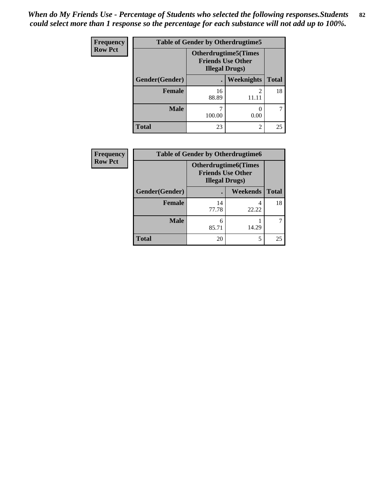*When do My Friends Use - Percentage of Students who selected the following responses.Students could select more than 1 response so the percentage for each substance will not add up to 100%.* **82**

| <b>Frequency</b> | <b>Table of Gender by Otherdrugtime5</b> |                                                                                   |                         |              |
|------------------|------------------------------------------|-----------------------------------------------------------------------------------|-------------------------|--------------|
| <b>Row Pct</b>   |                                          | <b>Otherdrugtime5</b> (Times<br><b>Friends Use Other</b><br><b>Illegal Drugs)</b> |                         |              |
|                  | Gender(Gender)                           | $\bullet$                                                                         | Weeknights              | <b>Total</b> |
|                  | <b>Female</b>                            | 16<br>88.89                                                                       | $\mathfrak{D}$<br>11.11 | 18           |
|                  | <b>Male</b>                              | 7<br>100.00                                                                       | 0.00                    |              |
|                  | <b>Total</b>                             | 23                                                                                | 2                       | 25           |

| Frequency      | <b>Table of Gender by Otherdrugtime6</b> |                                                                                   |          |              |
|----------------|------------------------------------------|-----------------------------------------------------------------------------------|----------|--------------|
| <b>Row Pct</b> |                                          | <b>Otherdrugtime6(Times</b><br><b>Friends Use Other</b><br><b>Illegal Drugs</b> ) |          |              |
|                | Gender(Gender)                           |                                                                                   | Weekends | <b>Total</b> |
|                | Female                                   | 14<br>77.78                                                                       | 22.22    | 18           |
|                | <b>Male</b>                              | 6<br>85.71                                                                        | 14.29    |              |
|                | <b>Total</b>                             | 20                                                                                | 5        | 25           |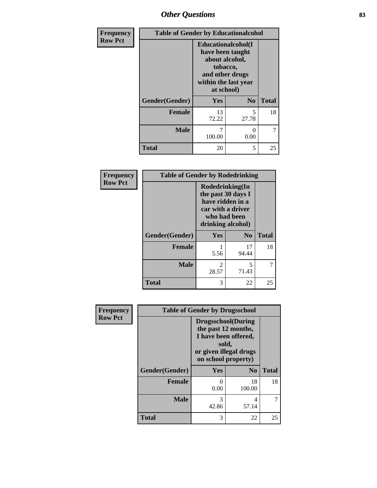## *Other Questions* **83**

| Frequency      | <b>Table of Gender by Educationalcohol</b> |                                                                                                                               |                      |              |
|----------------|--------------------------------------------|-------------------------------------------------------------------------------------------------------------------------------|----------------------|--------------|
| <b>Row Pct</b> |                                            | Educationalcohol(I<br>have been taught<br>about alcohol,<br>tobacco,<br>and other drugs<br>within the last year<br>at school) |                      |              |
|                | Gender(Gender)                             | <b>Yes</b>                                                                                                                    | N <sub>0</sub>       | <b>Total</b> |
|                | <b>Female</b>                              | 13<br>72.22                                                                                                                   | 5<br>27.78           | 18           |
|                | <b>Male</b>                                | 7<br>100.00                                                                                                                   | $\mathbf{0}$<br>0.00 | 7            |
|                | <b>Total</b>                               | 20                                                                                                                            | 5                    | 25           |

| Frequency      | <b>Table of Gender by Rodedrinking</b> |                                                                                                                     |                |              |
|----------------|----------------------------------------|---------------------------------------------------------------------------------------------------------------------|----------------|--------------|
| <b>Row Pct</b> |                                        | Rodedrinking(In<br>the past 30 days I<br>have ridden in a<br>car with a driver<br>who had been<br>drinking alcohol) |                |              |
|                | Gender(Gender)                         | Yes                                                                                                                 | N <sub>0</sub> | <b>Total</b> |
|                | <b>Female</b>                          | 5.56                                                                                                                | 17<br>94.44    | 18           |
|                | <b>Male</b>                            | $\mathfrak{D}$<br>28.57                                                                                             | 5<br>71.43     |              |
|                | <b>Total</b>                           | 3                                                                                                                   | 22             | 25           |

| Frequency      | <b>Table of Gender by Drugsschool</b> |                                                                                                                                     |                |              |
|----------------|---------------------------------------|-------------------------------------------------------------------------------------------------------------------------------------|----------------|--------------|
| <b>Row Pct</b> |                                       | <b>Drugsschool</b> (During<br>the past 12 months,<br>I have been offered,<br>sold,<br>or given illegal drugs<br>on school property) |                |              |
|                | Gender(Gender)                        | <b>Yes</b>                                                                                                                          | N <sub>0</sub> | <b>Total</b> |
|                | <b>Female</b>                         | 0<br>0.00                                                                                                                           | 18<br>100.00   | 18           |
|                | <b>Male</b>                           | 3<br>42.86                                                                                                                          | 4<br>57.14     |              |
|                | <b>Total</b>                          | 3                                                                                                                                   | 22             | 25           |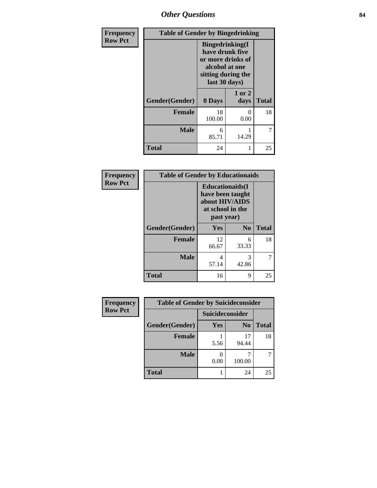*Other Questions* **84**

| Frequency      | <b>Table of Gender by Bingedrinking</b> |                                                                                                                          |                  |              |
|----------------|-----------------------------------------|--------------------------------------------------------------------------------------------------------------------------|------------------|--------------|
| <b>Row Pct</b> |                                         | <b>Bingedrinking</b> (I<br>have drunk five<br>or more drinks of<br>alcohol at one<br>sitting during the<br>last 30 days) |                  |              |
|                | Gender(Gender)                          | 0 Days                                                                                                                   | 1 or 2<br>days   | <b>Total</b> |
|                | <b>Female</b>                           | 18<br>100.00                                                                                                             | $\Omega$<br>0.00 | 18           |
|                | <b>Male</b>                             | 6<br>85.71                                                                                                               | 14.29            | 7            |
|                | <b>Total</b>                            | 24                                                                                                                       |                  | 25           |

| Frequency      | <b>Table of Gender by Educationaids</b> |                                                                                                 |            |              |
|----------------|-----------------------------------------|-------------------------------------------------------------------------------------------------|------------|--------------|
| <b>Row Pct</b> |                                         | <b>Educationaids</b> (I<br>have been taught<br>about HIV/AIDS<br>at school in the<br>past year) |            |              |
|                | Gender(Gender)                          | Yes                                                                                             | $\bf N_0$  | <b>Total</b> |
|                | <b>Female</b>                           | 12<br>66.67                                                                                     | 6<br>33.33 | 18           |
|                | <b>Male</b>                             | 4<br>57.14                                                                                      | 3<br>42.86 |              |
|                | <b>Total</b>                            | 16                                                                                              | 9          | 25           |

| <b>Frequency</b> | <b>Table of Gender by Suicideconsider</b> |                 |                |              |
|------------------|-------------------------------------------|-----------------|----------------|--------------|
| <b>Row Pct</b>   |                                           | Suicideconsider |                |              |
|                  | Gender(Gender)                            | Yes             | N <sub>0</sub> | <b>Total</b> |
|                  | <b>Female</b>                             | 5.56            | 17<br>94.44    | 18           |
|                  | <b>Male</b>                               | 0.00            | 100.00         |              |
|                  | <b>Total</b>                              |                 | 24             | 25           |